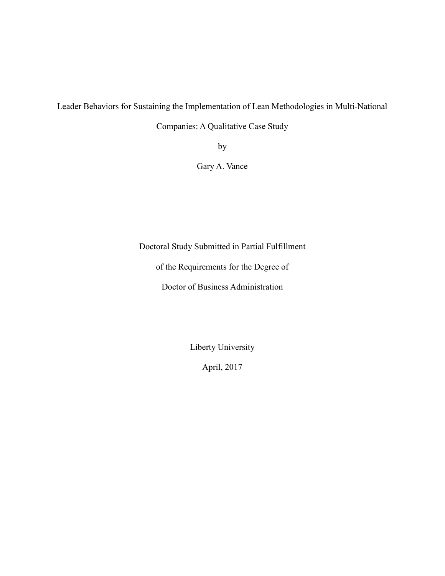Leader Behaviors for Sustaining the Implementation of Lean Methodologies in Multi-National

Companies: A Qualitative Case Study

by

Gary A. Vance

Doctoral Study Submitted in Partial Fulfillment

of the Requirements for the Degree of

Doctor of Business Administration

Liberty University

April, 2017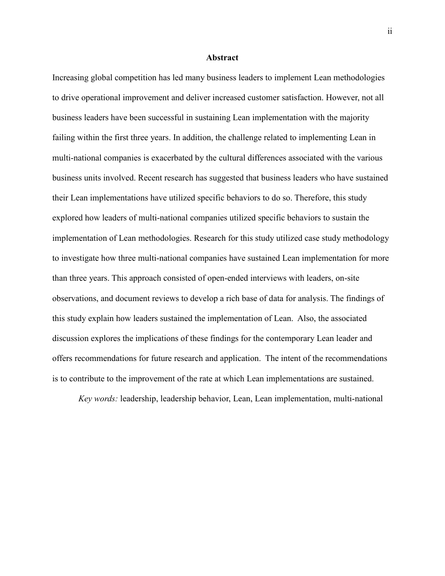#### **Abstract**

Increasing global competition has led many business leaders to implement Lean methodologies to drive operational improvement and deliver increased customer satisfaction. However, not all business leaders have been successful in sustaining Lean implementation with the majority failing within the first three years. In addition, the challenge related to implementing Lean in multi-national companies is exacerbated by the cultural differences associated with the various business units involved. Recent research has suggested that business leaders who have sustained their Lean implementations have utilized specific behaviors to do so. Therefore, this study explored how leaders of multi-national companies utilized specific behaviors to sustain the implementation of Lean methodologies. Research for this study utilized case study methodology to investigate how three multi-national companies have sustained Lean implementation for more than three years. This approach consisted of open-ended interviews with leaders, on-site observations, and document reviews to develop a rich base of data for analysis. The findings of this study explain how leaders sustained the implementation of Lean. Also, the associated discussion explores the implications of these findings for the contemporary Lean leader and offers recommendations for future research and application. The intent of the recommendations is to contribute to the improvement of the rate at which Lean implementations are sustained.

*Key words:* leadership, leadership behavior, Lean, Lean implementation, multi-national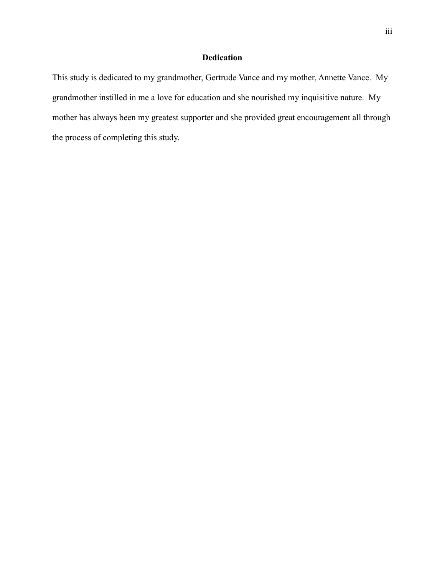# **Dedication**

This study is dedicated to my grandmother, Gertrude Vance and my mother, Annette Vance. My grandmother instilled in me a love for education and she nourished my inquisitive nature. My mother has always been my greatest supporter and she provided great encouragement all through the process of completing this study.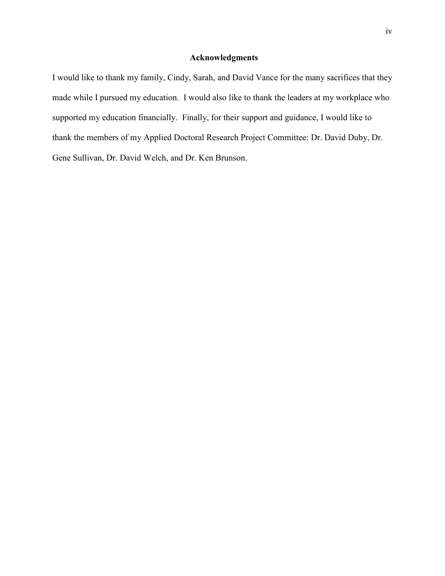### **Acknowledgments**

I would like to thank my family, Cindy, Sarah, and David Vance for the many sacrifices that they made while I pursued my education. I would also like to thank the leaders at my workplace who supported my education financially. Finally, for their support and guidance, I would like to thank the members of my Applied Doctoral Research Project Committee: Dr. David Duby, Dr. Gene Sullivan, Dr. David Welch, and Dr. Ken Brunson.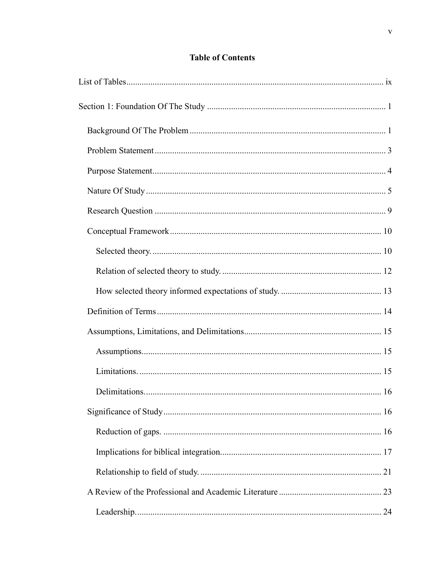# **Table of Contents**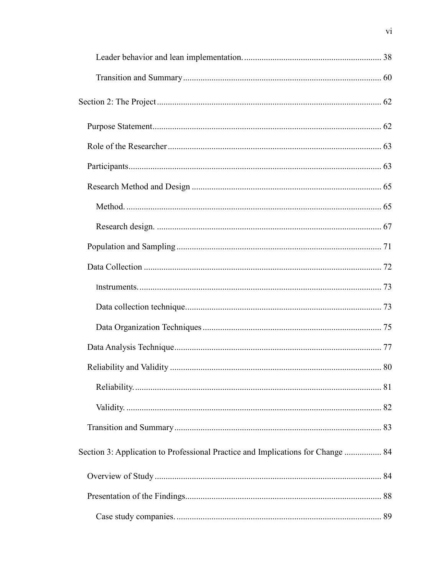| Section 3: Application to Professional Practice and Implications for Change  84 |  |
|---------------------------------------------------------------------------------|--|
|                                                                                 |  |
|                                                                                 |  |
|                                                                                 |  |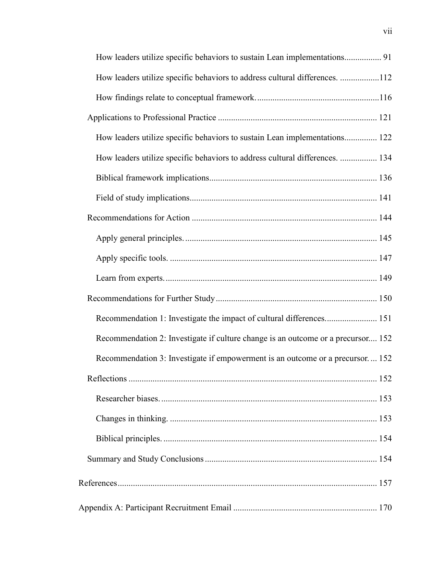| How leaders utilize specific behaviors to address cultural differences. 112      |  |
|----------------------------------------------------------------------------------|--|
|                                                                                  |  |
|                                                                                  |  |
| How leaders utilize specific behaviors to sustain Lean implementations 122       |  |
| How leaders utilize specific behaviors to address cultural differences.  134     |  |
|                                                                                  |  |
|                                                                                  |  |
|                                                                                  |  |
|                                                                                  |  |
|                                                                                  |  |
|                                                                                  |  |
|                                                                                  |  |
| Recommendation 1: Investigate the impact of cultural differences 151             |  |
| Recommendation 2: Investigate if culture change is an outcome or a precursor 152 |  |
| Recommendation 3: Investigate if empowerment is an outcome or a precursor 152    |  |
|                                                                                  |  |
|                                                                                  |  |
|                                                                                  |  |
|                                                                                  |  |
|                                                                                  |  |
|                                                                                  |  |
|                                                                                  |  |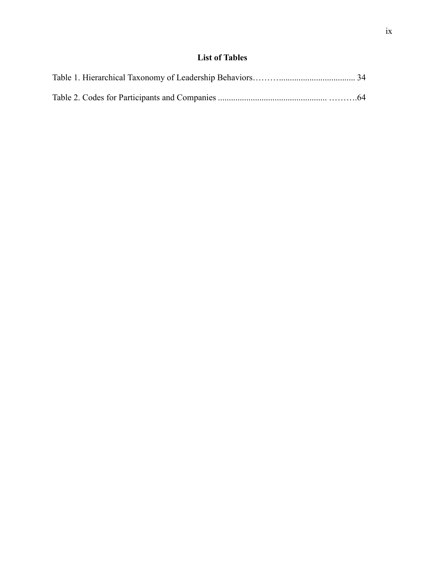# **List of Tables**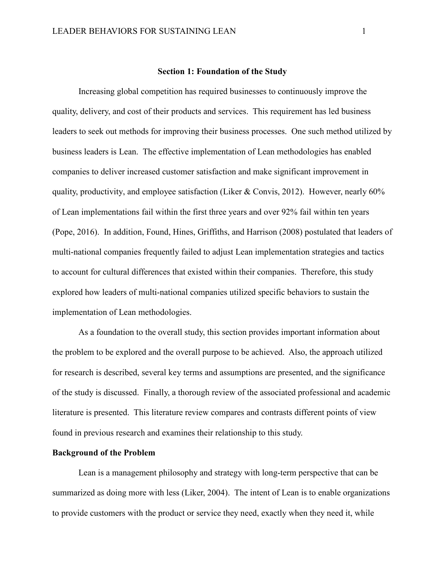#### **Section 1: Foundation of the Study**

Increasing global competition has required businesses to continuously improve the quality, delivery, and cost of their products and services. This requirement has led business leaders to seek out methods for improving their business processes. One such method utilized by business leaders is Lean. The effective implementation of Lean methodologies has enabled companies to deliver increased customer satisfaction and make significant improvement in quality, productivity, and employee satisfaction (Liker & Convis, 2012). However, nearly 60% of Lean implementations fail within the first three years and over 92% fail within ten years (Pope, 2016). In addition, Found, Hines, Griffiths, and Harrison (2008) postulated that leaders of multi-national companies frequently failed to adjust Lean implementation strategies and tactics to account for cultural differences that existed within their companies. Therefore, this study explored how leaders of multi-national companies utilized specific behaviors to sustain the implementation of Lean methodologies.

As a foundation to the overall study, this section provides important information about the problem to be explored and the overall purpose to be achieved. Also, the approach utilized for research is described, several key terms and assumptions are presented, and the significance of the study is discussed. Finally, a thorough review of the associated professional and academic literature is presented. This literature review compares and contrasts different points of view found in previous research and examines their relationship to this study.

# **Background of the Problem**

Lean is a management philosophy and strategy with long-term perspective that can be summarized as doing more with less (Liker, 2004). The intent of Lean is to enable organizations to provide customers with the product or service they need, exactly when they need it, while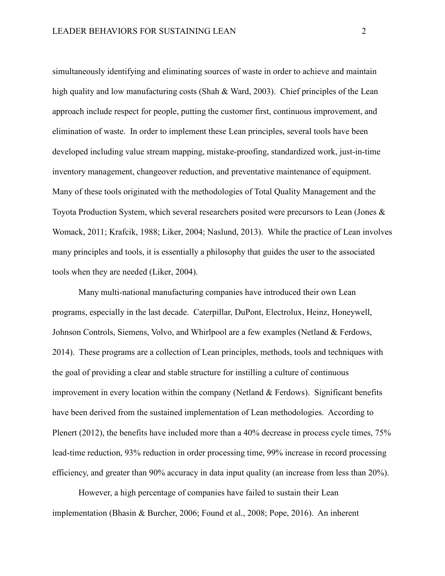simultaneously identifying and eliminating sources of waste in order to achieve and maintain high quality and low manufacturing costs (Shah & Ward, 2003). Chief principles of the Lean approach include respect for people, putting the customer first, continuous improvement, and elimination of waste. In order to implement these Lean principles, several tools have been developed including value stream mapping, mistake-proofing, standardized work, just-in-time inventory management, changeover reduction, and preventative maintenance of equipment. Many of these tools originated with the methodologies of Total Quality Management and the Toyota Production System, which several researchers posited were precursors to Lean (Jones & Womack, 2011; Krafcik, 1988; Liker, 2004; Naslund, 2013). While the practice of Lean involves many principles and tools, it is essentially a philosophy that guides the user to the associated tools when they are needed (Liker, 2004).

Many multi-national manufacturing companies have introduced their own Lean programs, especially in the last decade. Caterpillar, DuPont, Electrolux, Heinz, Honeywell, Johnson Controls, Siemens, Volvo, and Whirlpool are a few examples (Netland & Ferdows, 2014). These programs are a collection of Lean principles, methods, tools and techniques with the goal of providing a clear and stable structure for instilling a culture of continuous improvement in every location within the company (Netland  $&$  Ferdows). Significant benefits have been derived from the sustained implementation of Lean methodologies. According to Plenert (2012), the benefits have included more than a 40% decrease in process cycle times, 75% lead-time reduction, 93% reduction in order processing time, 99% increase in record processing efficiency, and greater than 90% accuracy in data input quality (an increase from less than 20%).

However, a high percentage of companies have failed to sustain their Lean implementation (Bhasin & Burcher, 2006; Found et al., 2008; Pope, 2016). An inherent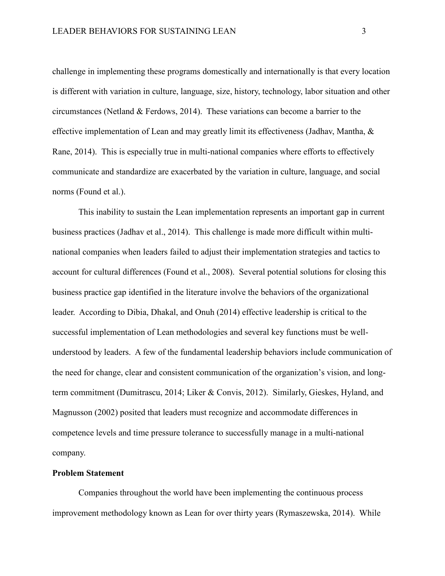challenge in implementing these programs domestically and internationally is that every location is different with variation in culture, language, size, history, technology, labor situation and other circumstances (Netland & Ferdows, 2014). These variations can become a barrier to the effective implementation of Lean and may greatly limit its effectiveness (Jadhav, Mantha, & Rane, 2014). This is especially true in multi-national companies where efforts to effectively communicate and standardize are exacerbated by the variation in culture, language, and social norms (Found et al.).

This inability to sustain the Lean implementation represents an important gap in current business practices (Jadhav et al., 2014). This challenge is made more difficult within multinational companies when leaders failed to adjust their implementation strategies and tactics to account for cultural differences (Found et al., 2008). Several potential solutions for closing this business practice gap identified in the literature involve the behaviors of the organizational leader. According to Dibia, Dhakal, and Onuh (2014) effective leadership is critical to the successful implementation of Lean methodologies and several key functions must be wellunderstood by leaders. A few of the fundamental leadership behaviors include communication of the need for change, clear and consistent communication of the organization's vision, and longterm commitment (Dumitrascu, 2014; Liker & Convis, 2012). Similarly, Gieskes, Hyland, and Magnusson (2002) posited that leaders must recognize and accommodate differences in competence levels and time pressure tolerance to successfully manage in a multi-national company.

# **Problem Statement**

Companies throughout the world have been implementing the continuous process improvement methodology known as Lean for over thirty years (Rymaszewska, 2014). While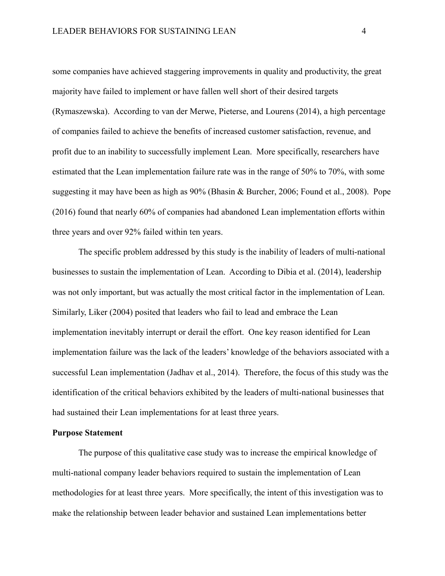some companies have achieved staggering improvements in quality and productivity, the great majority have failed to implement or have fallen well short of their desired targets (Rymaszewska). According to van der Merwe, Pieterse, and Lourens (2014), a high percentage of companies failed to achieve the benefits of increased customer satisfaction, revenue, and profit due to an inability to successfully implement Lean. More specifically, researchers have estimated that the Lean implementation failure rate was in the range of 50% to 70%, with some suggesting it may have been as high as 90% (Bhasin & Burcher, 2006; Found et al., 2008). Pope (2016) found that nearly 60% of companies had abandoned Lean implementation efforts within three years and over 92% failed within ten years.

The specific problem addressed by this study is the inability of leaders of multi-national businesses to sustain the implementation of Lean. According to Dibia et al. (2014), leadership was not only important, but was actually the most critical factor in the implementation of Lean. Similarly, Liker (2004) posited that leaders who fail to lead and embrace the Lean implementation inevitably interrupt or derail the effort. One key reason identified for Lean implementation failure was the lack of the leaders' knowledge of the behaviors associated with a successful Lean implementation (Jadhav et al., 2014). Therefore, the focus of this study was the identification of the critical behaviors exhibited by the leaders of multi-national businesses that had sustained their Lean implementations for at least three years.

## **Purpose Statement**

The purpose of this qualitative case study was to increase the empirical knowledge of multi-national company leader behaviors required to sustain the implementation of Lean methodologies for at least three years. More specifically, the intent of this investigation was to make the relationship between leader behavior and sustained Lean implementations better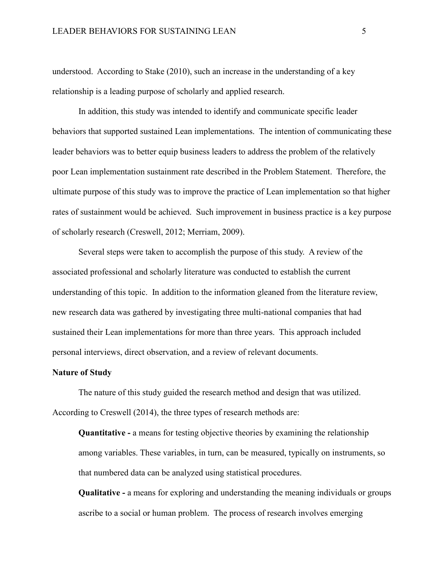understood. According to Stake (2010), such an increase in the understanding of a key relationship is a leading purpose of scholarly and applied research.

In addition, this study was intended to identify and communicate specific leader behaviors that supported sustained Lean implementations. The intention of communicating these leader behaviors was to better equip business leaders to address the problem of the relatively poor Lean implementation sustainment rate described in the Problem Statement. Therefore, the ultimate purpose of this study was to improve the practice of Lean implementation so that higher rates of sustainment would be achieved. Such improvement in business practice is a key purpose of scholarly research (Creswell, 2012; Merriam, 2009).

Several steps were taken to accomplish the purpose of this study. A review of the associated professional and scholarly literature was conducted to establish the current understanding of this topic. In addition to the information gleaned from the literature review, new research data was gathered by investigating three multi-national companies that had sustained their Lean implementations for more than three years. This approach included personal interviews, direct observation, and a review of relevant documents.

#### **Nature of Study**

The nature of this study guided the research method and design that was utilized. According to Creswell (2014), the three types of research methods are:

**Quantitative - a** means for testing objective theories by examining the relationship among variables. These variables, in turn, can be measured, typically on instruments, so that numbered data can be analyzed using statistical procedures.

**Qualitative -** a means for exploring and understanding the meaning individuals or groups ascribe to a social or human problem. The process of research involves emerging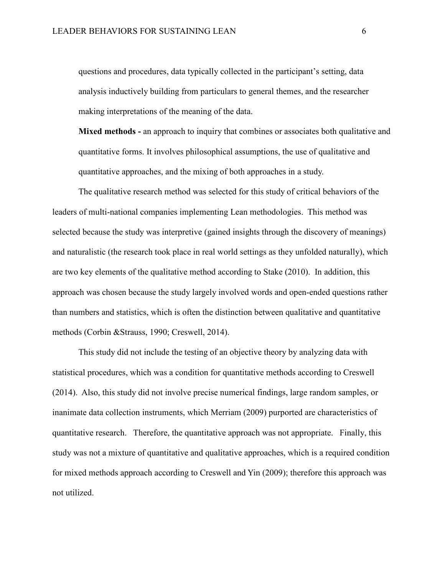questions and procedures, data typically collected in the participant's setting, data analysis inductively building from particulars to general themes, and the researcher making interpretations of the meaning of the data.

**Mixed methods -** an approach to inquiry that combines or associates both qualitative and quantitative forms. It involves philosophical assumptions, the use of qualitative and quantitative approaches, and the mixing of both approaches in a study.

The qualitative research method was selected for this study of critical behaviors of the leaders of multi-national companies implementing Lean methodologies. This method was selected because the study was interpretive (gained insights through the discovery of meanings) and naturalistic (the research took place in real world settings as they unfolded naturally), which are two key elements of the qualitative method according to Stake (2010). In addition, this approach was chosen because the study largely involved words and open-ended questions rather than numbers and statistics, which is often the distinction between qualitative and quantitative methods (Corbin &Strauss, 1990; Creswell, 2014).

This study did not include the testing of an objective theory by analyzing data with statistical procedures, which was a condition for quantitative methods according to Creswell (2014). Also, this study did not involve precise numerical findings, large random samples, or inanimate data collection instruments, which Merriam (2009) purported are characteristics of quantitative research. Therefore, the quantitative approach was not appropriate. Finally, this study was not a mixture of quantitative and qualitative approaches, which is a required condition for mixed methods approach according to Creswell and Yin (2009); therefore this approach was not utilized.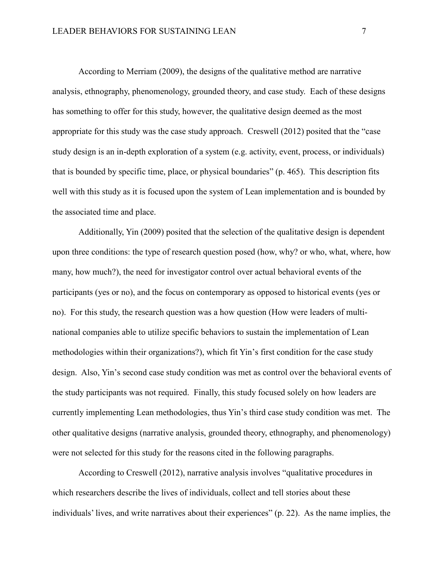According to Merriam (2009), the designs of the qualitative method are narrative analysis, ethnography, phenomenology, grounded theory, and case study. Each of these designs has something to offer for this study, however, the qualitative design deemed as the most appropriate for this study was the case study approach. Creswell (2012) posited that the "case study design is an in-depth exploration of a system (e.g. activity, event, process, or individuals) that is bounded by specific time, place, or physical boundaries" (p. 465). This description fits well with this study as it is focused upon the system of Lean implementation and is bounded by the associated time and place.

Additionally, Yin (2009) posited that the selection of the qualitative design is dependent upon three conditions: the type of research question posed (how, why? or who, what, where, how many, how much?), the need for investigator control over actual behavioral events of the participants (yes or no), and the focus on contemporary as opposed to historical events (yes or no). For this study, the research question was a how question (How were leaders of multinational companies able to utilize specific behaviors to sustain the implementation of Lean methodologies within their organizations?), which fit Yin's first condition for the case study design. Also, Yin's second case study condition was met as control over the behavioral events of the study participants was not required. Finally, this study focused solely on how leaders are currently implementing Lean methodologies, thus Yin's third case study condition was met. The other qualitative designs (narrative analysis, grounded theory, ethnography, and phenomenology) were not selected for this study for the reasons cited in the following paragraphs.

According to Creswell (2012), narrative analysis involves "qualitative procedures in which researchers describe the lives of individuals, collect and tell stories about these individuals' lives, and write narratives about their experiences" (p. 22). As the name implies, the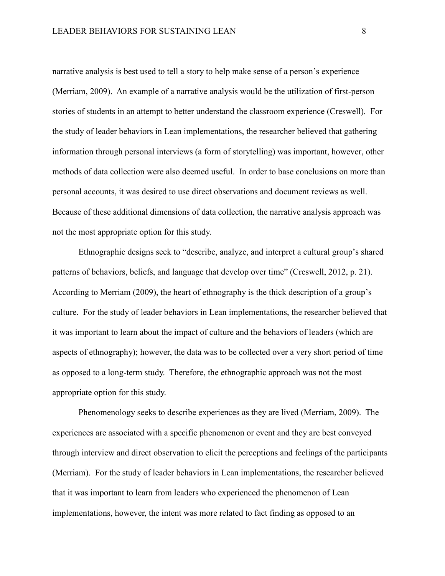narrative analysis is best used to tell a story to help make sense of a person's experience (Merriam, 2009). An example of a narrative analysis would be the utilization of first-person stories of students in an attempt to better understand the classroom experience (Creswell). For the study of leader behaviors in Lean implementations, the researcher believed that gathering information through personal interviews (a form of storytelling) was important, however, other methods of data collection were also deemed useful. In order to base conclusions on more than personal accounts, it was desired to use direct observations and document reviews as well. Because of these additional dimensions of data collection, the narrative analysis approach was not the most appropriate option for this study.

Ethnographic designs seek to "describe, analyze, and interpret a cultural group's shared patterns of behaviors, beliefs, and language that develop over time" (Creswell, 2012, p. 21). According to Merriam (2009), the heart of ethnography is the thick description of a group's culture. For the study of leader behaviors in Lean implementations, the researcher believed that it was important to learn about the impact of culture and the behaviors of leaders (which are aspects of ethnography); however, the data was to be collected over a very short period of time as opposed to a long-term study. Therefore, the ethnographic approach was not the most appropriate option for this study.

Phenomenology seeks to describe experiences as they are lived (Merriam, 2009). The experiences are associated with a specific phenomenon or event and they are best conveyed through interview and direct observation to elicit the perceptions and feelings of the participants (Merriam). For the study of leader behaviors in Lean implementations, the researcher believed that it was important to learn from leaders who experienced the phenomenon of Lean implementations, however, the intent was more related to fact finding as opposed to an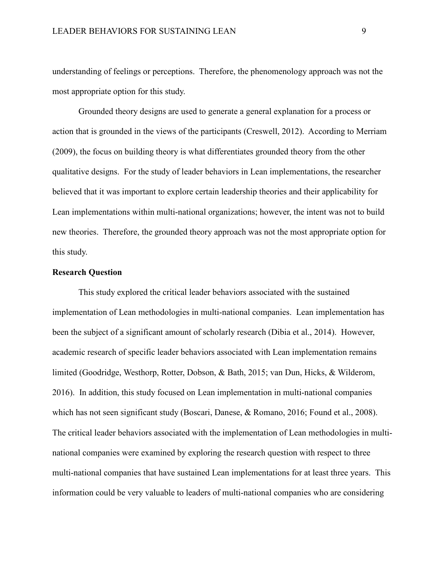understanding of feelings or perceptions. Therefore, the phenomenology approach was not the most appropriate option for this study.

Grounded theory designs are used to generate a general explanation for a process or action that is grounded in the views of the participants (Creswell, 2012). According to Merriam (2009), the focus on building theory is what differentiates grounded theory from the other qualitative designs. For the study of leader behaviors in Lean implementations, the researcher believed that it was important to explore certain leadership theories and their applicability for Lean implementations within multi-national organizations; however, the intent was not to build new theories. Therefore, the grounded theory approach was not the most appropriate option for this study.

# **Research Question**

This study explored the critical leader behaviors associated with the sustained implementation of Lean methodologies in multi-national companies. Lean implementation has been the subject of a significant amount of scholarly research (Dibia et al., 2014). However, academic research of specific leader behaviors associated with Lean implementation remains limited (Goodridge, Westhorp, Rotter, Dobson, & Bath, 2015; van Dun, Hicks, & Wilderom, 2016). In addition, this study focused on Lean implementation in multi-national companies which has not seen significant study (Boscari, Danese, & Romano, 2016; Found et al., 2008). The critical leader behaviors associated with the implementation of Lean methodologies in multinational companies were examined by exploring the research question with respect to three multi-national companies that have sustained Lean implementations for at least three years. This information could be very valuable to leaders of multi-national companies who are considering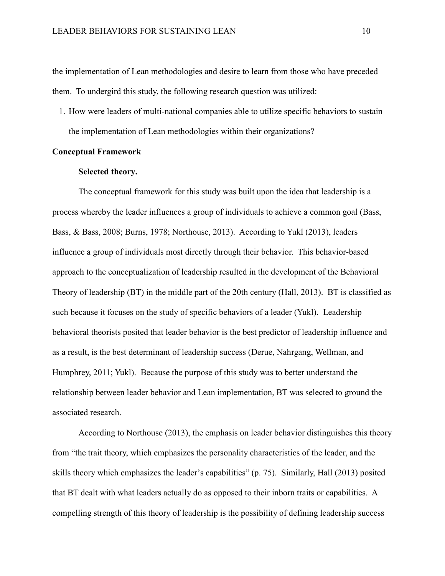the implementation of Lean methodologies and desire to learn from those who have preceded them. To undergird this study, the following research question was utilized:

1. How were leaders of multi-national companies able to utilize specific behaviors to sustain the implementation of Lean methodologies within their organizations?

### **Conceptual Framework**

#### **Selected theory.**

The conceptual framework for this study was built upon the idea that leadership is a process whereby the leader influences a group of individuals to achieve a common goal (Bass, Bass, & Bass, 2008; Burns, 1978; Northouse, 2013). According to Yukl (2013), leaders influence a group of individuals most directly through their behavior. This behavior-based approach to the conceptualization of leadership resulted in the development of the Behavioral Theory of leadership (BT) in the middle part of the 20th century (Hall, 2013). BT is classified as such because it focuses on the study of specific behaviors of a leader (Yukl). Leadership behavioral theorists posited that leader behavior is the best predictor of leadership influence and as a result, is the best determinant of leadership success (Derue, Nahrgang, Wellman, and Humphrey, 2011; Yukl). Because the purpose of this study was to better understand the relationship between leader behavior and Lean implementation, BT was selected to ground the associated research.

According to Northouse (2013), the emphasis on leader behavior distinguishes this theory from "the trait theory, which emphasizes the personality characteristics of the leader, and the skills theory which emphasizes the leader's capabilities" (p. 75). Similarly, Hall (2013) posited that BT dealt with what leaders actually do as opposed to their inborn traits or capabilities. A compelling strength of this theory of leadership is the possibility of defining leadership success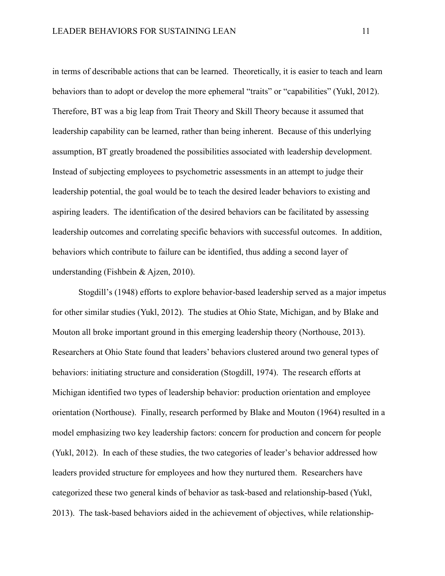in terms of describable actions that can be learned. Theoretically, it is easier to teach and learn behaviors than to adopt or develop the more ephemeral "traits" or "capabilities" (Yukl, 2012). Therefore, BT was a big leap from Trait Theory and Skill Theory because it assumed that leadership capability can be learned, rather than being inherent. Because of this underlying assumption, BT greatly broadened the possibilities associated with leadership development. Instead of subjecting employees to psychometric assessments in an attempt to judge their leadership potential, the goal would be to teach the desired leader behaviors to existing and aspiring leaders. The identification of the desired behaviors can be facilitated by assessing leadership outcomes and correlating specific behaviors with successful outcomes. In addition, behaviors which contribute to failure can be identified, thus adding a second layer of understanding (Fishbein & Ajzen, 2010).

Stogdill's (1948) efforts to explore behavior-based leadership served as a major impetus for other similar studies (Yukl, 2012). The studies at Ohio State, Michigan, and by Blake and Mouton all broke important ground in this emerging leadership theory (Northouse, 2013). Researchers at Ohio State found that leaders' behaviors clustered around two general types of behaviors: initiating structure and consideration (Stogdill, 1974). The research efforts at Michigan identified two types of leadership behavior: production orientation and employee orientation (Northouse). Finally, research performed by Blake and Mouton (1964) resulted in a model emphasizing two key leadership factors: concern for production and concern for people (Yukl, 2012). In each of these studies, the two categories of leader's behavior addressed how leaders provided structure for employees and how they nurtured them. Researchers have categorized these two general kinds of behavior as task-based and relationship-based (Yukl, 2013). The task-based behaviors aided in the achievement of objectives, while relationship-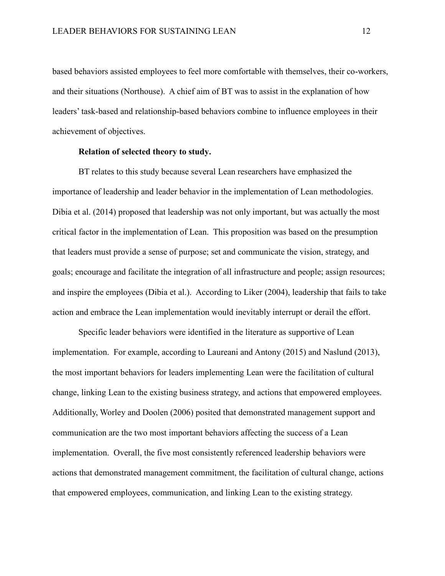based behaviors assisted employees to feel more comfortable with themselves, their co-workers, and their situations (Northouse). A chief aim of BT was to assist in the explanation of how leaders' task-based and relationship-based behaviors combine to influence employees in their achievement of objectives.

## **Relation of selected theory to study.**

BT relates to this study because several Lean researchers have emphasized the importance of leadership and leader behavior in the implementation of Lean methodologies. Dibia et al. (2014) proposed that leadership was not only important, but was actually the most critical factor in the implementation of Lean. This proposition was based on the presumption that leaders must provide a sense of purpose; set and communicate the vision, strategy, and goals; encourage and facilitate the integration of all infrastructure and people; assign resources; and inspire the employees (Dibia et al.). According to Liker (2004), leadership that fails to take action and embrace the Lean implementation would inevitably interrupt or derail the effort.

Specific leader behaviors were identified in the literature as supportive of Lean implementation. For example, according to Laureani and Antony (2015) and Naslund (2013), the most important behaviors for leaders implementing Lean were the facilitation of cultural change, linking Lean to the existing business strategy, and actions that empowered employees. Additionally, Worley and Doolen (2006) posited that demonstrated management support and communication are the two most important behaviors affecting the success of a Lean implementation. Overall, the five most consistently referenced leadership behaviors were actions that demonstrated management commitment, the facilitation of cultural change, actions that empowered employees, communication, and linking Lean to the existing strategy.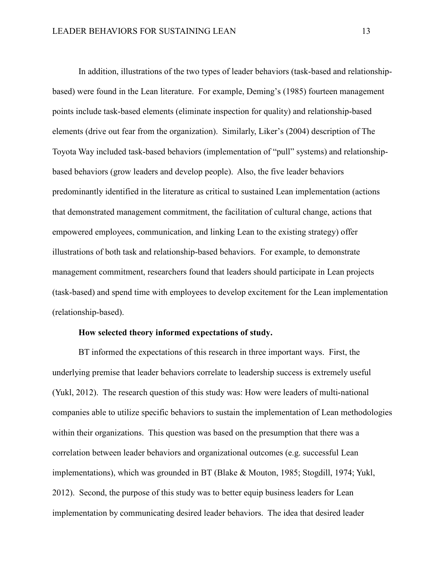In addition, illustrations of the two types of leader behaviors (task-based and relationshipbased) were found in the Lean literature. For example, Deming's (1985) fourteen management points include task-based elements (eliminate inspection for quality) and relationship-based elements (drive out fear from the organization). Similarly, Liker's (2004) description of The Toyota Way included task-based behaviors (implementation of "pull" systems) and relationshipbased behaviors (grow leaders and develop people). Also, the five leader behaviors predominantly identified in the literature as critical to sustained Lean implementation (actions that demonstrated management commitment, the facilitation of cultural change, actions that empowered employees, communication, and linking Lean to the existing strategy) offer illustrations of both task and relationship-based behaviors. For example, to demonstrate management commitment, researchers found that leaders should participate in Lean projects (task-based) and spend time with employees to develop excitement for the Lean implementation (relationship-based).

## **How selected theory informed expectations of study.**

BT informed the expectations of this research in three important ways. First, the underlying premise that leader behaviors correlate to leadership success is extremely useful (Yukl, 2012). The research question of this study was: How were leaders of multi-national companies able to utilize specific behaviors to sustain the implementation of Lean methodologies within their organizations. This question was based on the presumption that there was a correlation between leader behaviors and organizational outcomes (e.g. successful Lean implementations), which was grounded in BT (Blake & Mouton, 1985; Stogdill, 1974; Yukl, 2012). Second, the purpose of this study was to better equip business leaders for Lean implementation by communicating desired leader behaviors. The idea that desired leader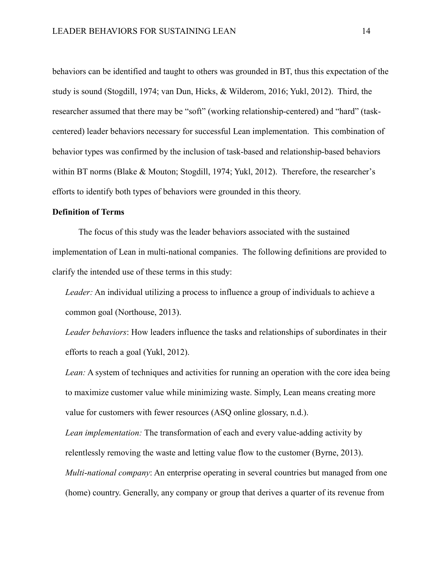behaviors can be identified and taught to others was grounded in BT, thus this expectation of the study is sound (Stogdill, 1974; van Dun, Hicks, & Wilderom, 2016; Yukl, 2012). Third, the researcher assumed that there may be "soft" (working relationship-centered) and "hard" (taskcentered) leader behaviors necessary for successful Lean implementation. This combination of behavior types was confirmed by the inclusion of task-based and relationship-based behaviors within BT norms (Blake & Mouton; Stogdill, 1974; Yukl, 2012). Therefore, the researcher's efforts to identify both types of behaviors were grounded in this theory.

### **Definition of Terms**

The focus of this study was the leader behaviors associated with the sustained implementation of Lean in multi-national companies. The following definitions are provided to clarify the intended use of these terms in this study:

*Leader:* An individual utilizing a process to influence a group of individuals to achieve a common goal (Northouse, 2013).

*Leader behaviors*: How leaders influence the tasks and relationships of subordinates in their efforts to reach a goal (Yukl, 2012).

*Lean:* A system of techniques and activities for running an operation with the core idea being to maximize customer value while minimizing waste. Simply, Lean means creating more value for customers with fewer resources (ASQ online glossary, n.d.).

*Lean implementation:* The transformation of each and every value-adding activity by relentlessly removing the waste and letting value flow to the customer (Byrne, 2013). *Multi*-*national company*: An enterprise operating in several countries but managed from one (home) country. Generally, any company or group that derives a quarter of its revenue from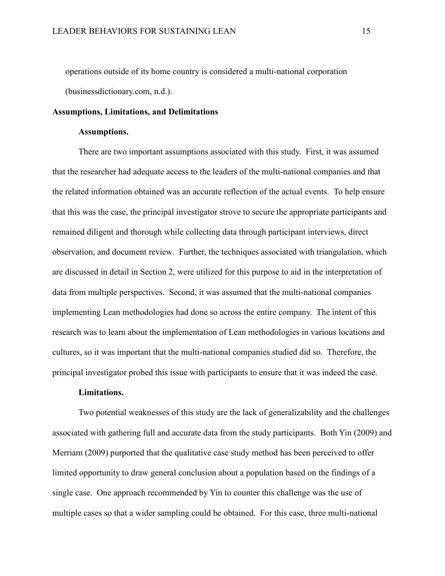operations outside of its home country is considered a multi-national corporation (businessdictionary.com, n.d.).

#### **Assumptions, Limitations, and Delimitations**

## **Assumptions.**

There are two important assumptions associated with this study. First, it was assumed that the researcher had adequate access to the leaders of the multi-national companies and that the related information obtained was an accurate reflection of the actual events. To help ensure that this was the case, the principal investigator strove to secure the appropriate participants and remained diligent and thorough while collecting data through participant interviews, direct observation, and document review. Further, the techniques associated with triangulation, which are discussed in detail in Section 2, were utilized for this purpose to aid in the interpretation of data from multiple perspectives. Second, it was assumed that the multi-national companies implementing Lean methodologies had done so across the entire company. The intent of this research was to learn about the implementation of Lean methodologies in various locations and cultures, so it was important that the multi-national companies studied did so. Therefore, the principal investigator probed this issue with participants to ensure that it was indeed the case.

#### **Limitations.**

Two potential weaknesses of this study are the lack of generalizability and the challenges associated with gathering full and accurate data from the study participants. Both Yin (2009) and Merriam (2009) purported that the qualitative case study method has been perceived to offer limited opportunity to draw general conclusion about a population based on the findings of a single case. One approach recommended by Yin to counter this challenge was the use of multiple cases so that a wider sampling could be obtained. For this case, three multi-national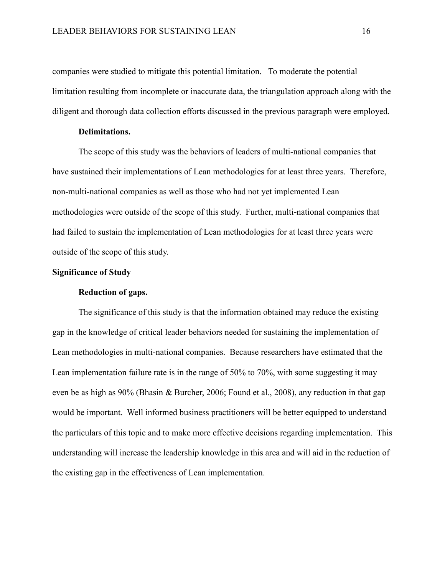companies were studied to mitigate this potential limitation. To moderate the potential limitation resulting from incomplete or inaccurate data, the triangulation approach along with the diligent and thorough data collection efforts discussed in the previous paragraph were employed.

### **Delimitations.**

The scope of this study was the behaviors of leaders of multi-national companies that have sustained their implementations of Lean methodologies for at least three years. Therefore, non-multi-national companies as well as those who had not yet implemented Lean methodologies were outside of the scope of this study. Further, multi-national companies that had failed to sustain the implementation of Lean methodologies for at least three years were outside of the scope of this study.

# **Significance of Study**

### **Reduction of gaps.**

The significance of this study is that the information obtained may reduce the existing gap in the knowledge of critical leader behaviors needed for sustaining the implementation of Lean methodologies in multi-national companies. Because researchers have estimated that the Lean implementation failure rate is in the range of 50% to 70%, with some suggesting it may even be as high as 90% (Bhasin & Burcher, 2006; Found et al., 2008), any reduction in that gap would be important. Well informed business practitioners will be better equipped to understand the particulars of this topic and to make more effective decisions regarding implementation. This understanding will increase the leadership knowledge in this area and will aid in the reduction of the existing gap in the effectiveness of Lean implementation.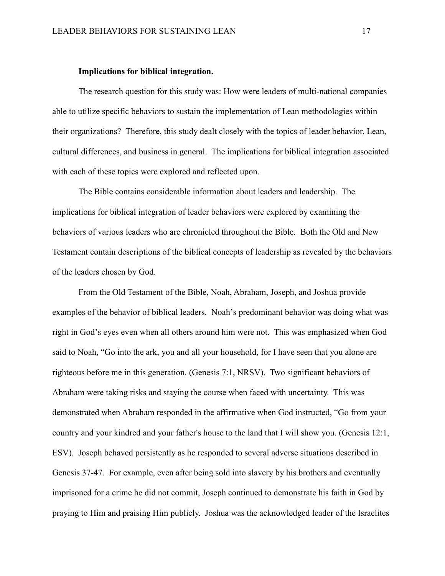#### **Implications for biblical integration.**

The research question for this study was: How were leaders of multi-national companies able to utilize specific behaviors to sustain the implementation of Lean methodologies within their organizations? Therefore, this study dealt closely with the topics of leader behavior, Lean, cultural differences, and business in general. The implications for biblical integration associated with each of these topics were explored and reflected upon.

The Bible contains considerable information about leaders and leadership. The implications for biblical integration of leader behaviors were explored by examining the behaviors of various leaders who are chronicled throughout the Bible. Both the Old and New Testament contain descriptions of the biblical concepts of leadership as revealed by the behaviors of the leaders chosen by God.

From the Old Testament of the Bible, Noah, Abraham, Joseph, and Joshua provide examples of the behavior of biblical leaders. Noah's predominant behavior was doing what was right in God's eyes even when all others around him were not. This was emphasized when God said to Noah, "Go into the ark, you and all your household, for I have seen that you alone are righteous before me in this generation. (Genesis 7:1, NRSV). Two significant behaviors of Abraham were taking risks and staying the course when faced with uncertainty. This was demonstrated when Abraham responded in the affirmative when God instructed, "Go from your country and your kindred and your father's house to the land that I will show you. (Genesis 12:1, ESV). Joseph behaved persistently as he responded to several adverse situations described in Genesis 37-47. For example, even after being sold into slavery by his brothers and eventually imprisoned for a crime he did not commit, Joseph continued to demonstrate his faith in God by praying to Him and praising Him publicly. Joshua was the acknowledged leader of the Israelites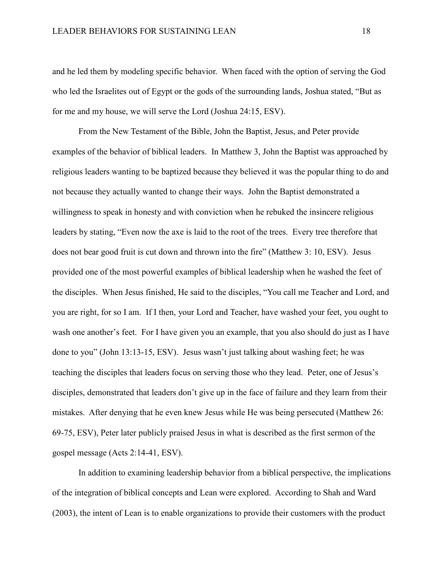and he led them by modeling specific behavior. When faced with the option of serving the God who led the Israelites out of Egypt or the gods of the surrounding lands, Joshua stated, "But as for me and my house, we will serve the Lord (Joshua 24:15, ESV).

From the New Testament of the Bible, John the Baptist, Jesus, and Peter provide examples of the behavior of biblical leaders. In Matthew 3, John the Baptist was approached by religious leaders wanting to be baptized because they believed it was the popular thing to do and not because they actually wanted to change their ways. John the Baptist demonstrated a willingness to speak in honesty and with conviction when he rebuked the insincere religious leaders by stating, "Even now the axe is laid to the root of the trees. Every tree therefore that does not bear good fruit is cut down and thrown into the fire" (Matthew 3: 10, ESV). Jesus provided one of the most powerful examples of biblical leadership when he washed the feet of the disciples. When Jesus finished, He said to the disciples, "You call me Teacher and Lord, and you are right, for so I am. If I then, your Lord and Teacher, have washed your feet, you ought to wash one another's feet. For I have given you an example, that you also should do just as I have done to you" (John 13:13-15, ESV). Jesus wasn't just talking about washing feet; he was teaching the disciples that leaders focus on serving those who they lead. Peter, one of Jesus's disciples, demonstrated that leaders don't give up in the face of failure and they learn from their mistakes. After denying that he even knew Jesus while He was being persecuted (Matthew 26: 69-75, ESV), Peter later publicly praised Jesus in what is described as the first sermon of the gospel message (Acts 2:14-41, ESV).

In addition to examining leadership behavior from a biblical perspective, the implications of the integration of biblical concepts and Lean were explored. According to Shah and Ward (2003), the intent of Lean is to enable organizations to provide their customers with the product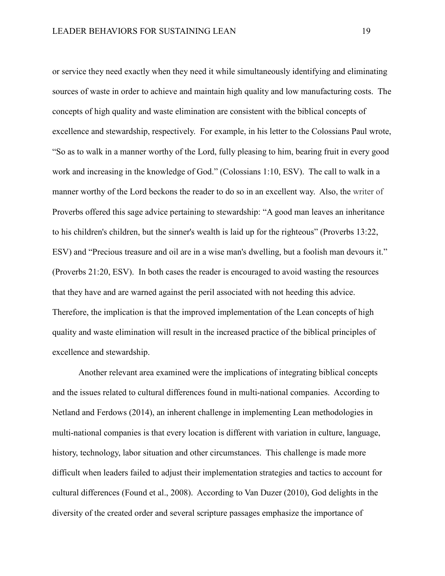or service they need exactly when they need it while simultaneously identifying and eliminating sources of waste in order to achieve and maintain high quality and low manufacturing costs. The concepts of high quality and waste elimination are consistent with the biblical concepts of excellence and stewardship, respectively. For example, in his letter to the Colossians Paul wrote, "So as to walk in a manner worthy of the Lord, fully pleasing to him, bearing fruit in every good work and increasing in the knowledge of God." (Colossians 1:10, ESV). The call to walk in a manner worthy of the Lord beckons the reader to do so in an excellent way. Also, the writer of Proverbs offered this sage advice pertaining to stewardship: "A good man leaves an inheritance to his children's children, but the sinner's wealth is laid up for the righteous" (Proverbs 13:22, ESV) and "Precious treasure and oil are in a wise man's dwelling, but a foolish man devours it." (Proverbs 21:20, ESV). In both cases the reader is encouraged to avoid wasting the resources that they have and are warned against the peril associated with not heeding this advice. Therefore, the implication is that the improved implementation of the Lean concepts of high quality and waste elimination will result in the increased practice of the biblical principles of excellence and stewardship.

Another relevant area examined were the implications of integrating biblical concepts and the issues related to cultural differences found in multi-national companies. According to Netland and Ferdows (2014), an inherent challenge in implementing Lean methodologies in multi-national companies is that every location is different with variation in culture, language, history, technology, labor situation and other circumstances. This challenge is made more difficult when leaders failed to adjust their implementation strategies and tactics to account for cultural differences (Found et al., 2008). According to Van Duzer (2010), God delights in the diversity of the created order and several scripture passages emphasize the importance of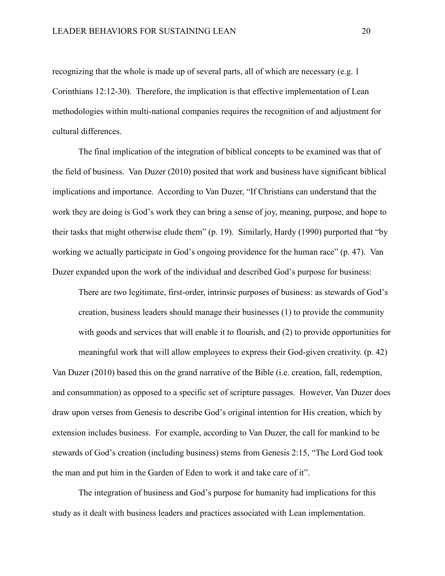recognizing that the whole is made up of several parts, all of which are necessary (e.g. 1 Corinthians 12:12-30). Therefore, the implication is that effective implementation of Lean methodologies within multi-national companies requires the recognition of and adjustment for cultural differences.

The final implication of the integration of biblical concepts to be examined was that of the field of business. Van Duzer (2010) posited that work and business have significant biblical implications and importance. According to Van Duzer, "If Christians can understand that the work they are doing is God's work they can bring a sense of joy, meaning, purpose, and hope to their tasks that might otherwise elude them" (p. 19). Similarly, Hardy (1990) purported that "by working we actually participate in God's ongoing providence for the human race" (p. 47). Van Duzer expanded upon the work of the individual and described God's purpose for business:

There are two legitimate, first-order, intrinsic purposes of business: as stewards of God's creation, business leaders should manage their businesses (1) to provide the community with goods and services that will enable it to flourish, and (2) to provide opportunities for

meaningful work that will allow employees to express their God-given creativity. (p. 42)

Van Duzer (2010) based this on the grand narrative of the Bible (i.e. creation, fall, redemption, and consummation) as opposed to a specific set of scripture passages. However, Van Duzer does draw upon verses from Genesis to describe God's original intention for His creation, which by extension includes business. For example, according to Van Duzer, the call for mankind to be stewards of God's creation (including business) stems from Genesis 2:15, "The Lord God took the man and put him in the Garden of Eden to work it and take care of it".

The integration of business and God's purpose for humanity had implications for this study as it dealt with business leaders and practices associated with Lean implementation.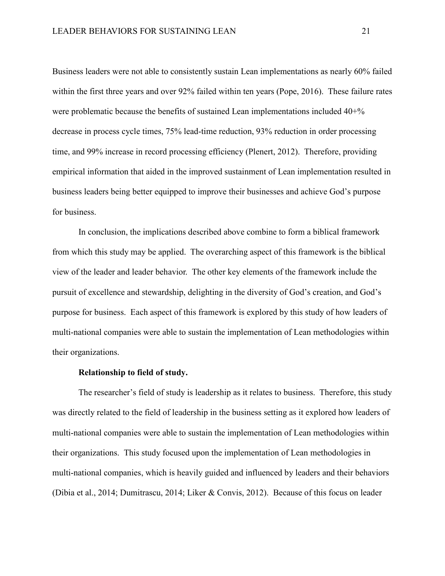Business leaders were not able to consistently sustain Lean implementations as nearly 60% failed within the first three years and over 92% failed within ten years (Pope, 2016). These failure rates were problematic because the benefits of sustained Lean implementations included 40+% decrease in process cycle times, 75% lead-time reduction, 93% reduction in order processing time, and 99% increase in record processing efficiency (Plenert, 2012). Therefore, providing empirical information that aided in the improved sustainment of Lean implementation resulted in business leaders being better equipped to improve their businesses and achieve God's purpose for business.

In conclusion, the implications described above combine to form a biblical framework from which this study may be applied. The overarching aspect of this framework is the biblical view of the leader and leader behavior. The other key elements of the framework include the pursuit of excellence and stewardship, delighting in the diversity of God's creation, and God's purpose for business. Each aspect of this framework is explored by this study of how leaders of multi-national companies were able to sustain the implementation of Lean methodologies within their organizations.

#### **Relationship to field of study.**

The researcher's field of study is leadership as it relates to business. Therefore, this study was directly related to the field of leadership in the business setting as it explored how leaders of multi-national companies were able to sustain the implementation of Lean methodologies within their organizations. This study focused upon the implementation of Lean methodologies in multi-national companies, which is heavily guided and influenced by leaders and their behaviors (Dibia et al., 2014; Dumitrascu, 2014; Liker & Convis, 2012). Because of this focus on leader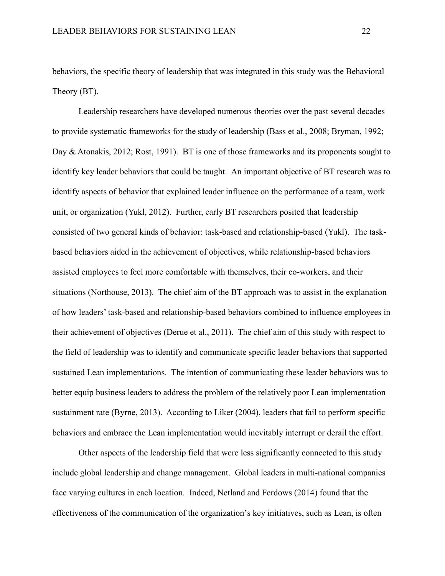behaviors, the specific theory of leadership that was integrated in this study was the Behavioral Theory (BT).

Leadership researchers have developed numerous theories over the past several decades to provide systematic frameworks for the study of leadership (Bass et al., 2008; Bryman, 1992; Day & Atonakis, 2012; Rost, 1991). BT is one of those frameworks and its proponents sought to identify key leader behaviors that could be taught. An important objective of BT research was to identify aspects of behavior that explained leader influence on the performance of a team, work unit, or organization (Yukl, 2012). Further, early BT researchers posited that leadership consisted of two general kinds of behavior: task-based and relationship-based (Yukl). The taskbased behaviors aided in the achievement of objectives, while relationship-based behaviors assisted employees to feel more comfortable with themselves, their co-workers, and their situations (Northouse, 2013). The chief aim of the BT approach was to assist in the explanation of how leaders' task-based and relationship-based behaviors combined to influence employees in their achievement of objectives (Derue et al., 2011). The chief aim of this study with respect to the field of leadership was to identify and communicate specific leader behaviors that supported sustained Lean implementations. The intention of communicating these leader behaviors was to better equip business leaders to address the problem of the relatively poor Lean implementation sustainment rate (Byrne, 2013). According to Liker (2004), leaders that fail to perform specific behaviors and embrace the Lean implementation would inevitably interrupt or derail the effort.

Other aspects of the leadership field that were less significantly connected to this study include global leadership and change management. Global leaders in multi-national companies face varying cultures in each location. Indeed, Netland and Ferdows (2014) found that the effectiveness of the communication of the organization's key initiatives, such as Lean, is often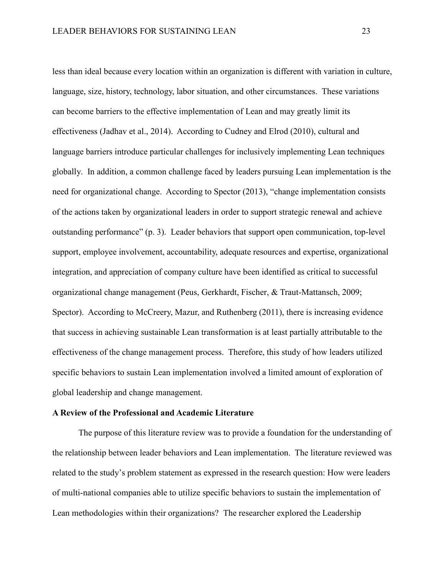less than ideal because every location within an organization is different with variation in culture, language, size, history, technology, labor situation, and other circumstances. These variations can become barriers to the effective implementation of Lean and may greatly limit its effectiveness (Jadhav et al., 2014). According to Cudney and Elrod (2010), cultural and language barriers introduce particular challenges for inclusively implementing Lean techniques globally. In addition, a common challenge faced by leaders pursuing Lean implementation is the need for organizational change. According to Spector (2013), "change implementation consists of the actions taken by organizational leaders in order to support strategic renewal and achieve outstanding performance" (p. 3). Leader behaviors that support open communication, top-level support, employee involvement, accountability, adequate resources and expertise, organizational integration, and appreciation of company culture have been identified as critical to successful organizational change management (Peus, Gerkhardt, Fischer, & Traut-Mattansch, 2009; Spector). According to McCreery, Mazur, and Ruthenberg (2011), there is increasing evidence that success in achieving sustainable Lean transformation is at least partially attributable to the effectiveness of the change management process. Therefore, this study of how leaders utilized specific behaviors to sustain Lean implementation involved a limited amount of exploration of global leadership and change management.

#### **A Review of the Professional and Academic Literature**

The purpose of this literature review was to provide a foundation for the understanding of the relationship between leader behaviors and Lean implementation. The literature reviewed was related to the study's problem statement as expressed in the research question: How were leaders of multi-national companies able to utilize specific behaviors to sustain the implementation of Lean methodologies within their organizations? The researcher explored the Leadership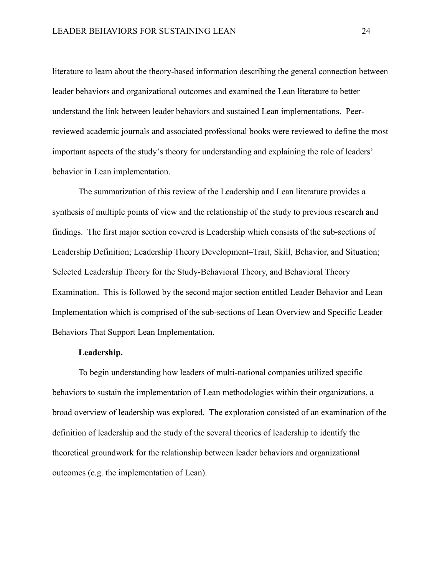literature to learn about the theory-based information describing the general connection between leader behaviors and organizational outcomes and examined the Lean literature to better understand the link between leader behaviors and sustained Lean implementations. Peerreviewed academic journals and associated professional books were reviewed to define the most important aspects of the study's theory for understanding and explaining the role of leaders' behavior in Lean implementation.

The summarization of this review of the Leadership and Lean literature provides a synthesis of multiple points of view and the relationship of the study to previous research and findings. The first major section covered is Leadership which consists of the sub-sections of Leadership Definition; Leadership Theory Development–Trait, Skill, Behavior, and Situation; Selected Leadership Theory for the Study-Behavioral Theory, and Behavioral Theory Examination. This is followed by the second major section entitled Leader Behavior and Lean Implementation which is comprised of the sub-sections of Lean Overview and Specific Leader Behaviors That Support Lean Implementation.

# **Leadership.**

To begin understanding how leaders of multi-national companies utilized specific behaviors to sustain the implementation of Lean methodologies within their organizations, a broad overview of leadership was explored. The exploration consisted of an examination of the definition of leadership and the study of the several theories of leadership to identify the theoretical groundwork for the relationship between leader behaviors and organizational outcomes (e.g. the implementation of Lean).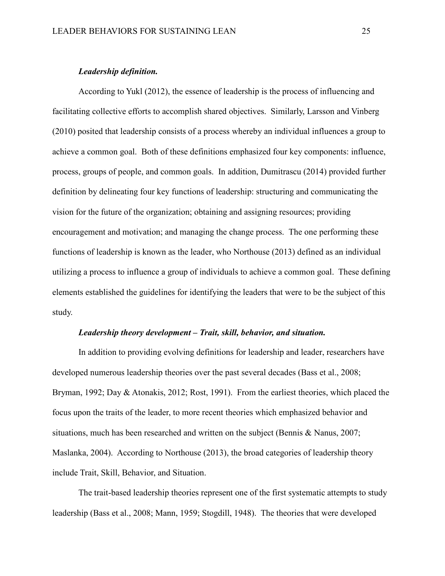#### *Leadership definition.*

According to Yukl (2012), the essence of leadership is the process of influencing and facilitating collective efforts to accomplish shared objectives. Similarly, Larsson and Vinberg (2010) posited that leadership consists of a process whereby an individual influences a group to achieve a common goal. Both of these definitions emphasized four key components: influence, process, groups of people, and common goals. In addition, Dumitrascu (2014) provided further definition by delineating four key functions of leadership: structuring and communicating the vision for the future of the organization; obtaining and assigning resources; providing encouragement and motivation; and managing the change process. The one performing these functions of leadership is known as the leader, who Northouse (2013) defined as an individual utilizing a process to influence a group of individuals to achieve a common goal. These defining elements established the guidelines for identifying the leaders that were to be the subject of this study.

#### *Leadership theory development – Trait, skill, behavior, and situation.*

In addition to providing evolving definitions for leadership and leader, researchers have developed numerous leadership theories over the past several decades (Bass et al., 2008; Bryman, 1992; Day & Atonakis, 2012; Rost, 1991). From the earliest theories, which placed the focus upon the traits of the leader, to more recent theories which emphasized behavior and situations, much has been researched and written on the subject (Bennis & Nanus, 2007; Maslanka, 2004). According to Northouse (2013), the broad categories of leadership theory include Trait, Skill, Behavior, and Situation.

The trait-based leadership theories represent one of the first systematic attempts to study leadership (Bass et al., 2008; Mann, 1959; Stogdill, 1948). The theories that were developed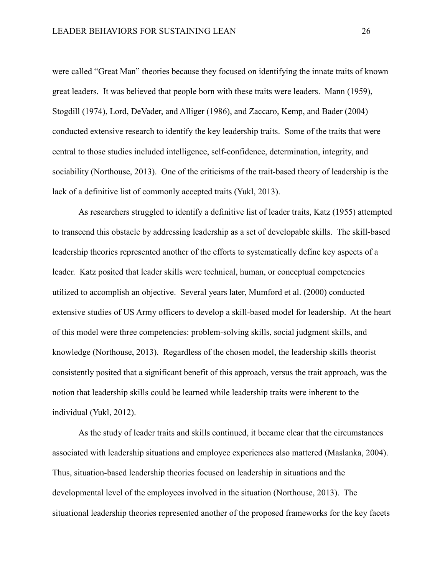were called "Great Man" theories because they focused on identifying the innate traits of known great leaders. It was believed that people born with these traits were leaders. Mann (1959), Stogdill (1974), Lord, DeVader, and Alliger (1986), and Zaccaro, Kemp, and Bader (2004) conducted extensive research to identify the key leadership traits. Some of the traits that were central to those studies included intelligence, self-confidence, determination, integrity, and sociability (Northouse, 2013). One of the criticisms of the trait-based theory of leadership is the lack of a definitive list of commonly accepted traits (Yukl, 2013).

As researchers struggled to identify a definitive list of leader traits, Katz (1955) attempted to transcend this obstacle by addressing leadership as a set of developable skills. The skill-based leadership theories represented another of the efforts to systematically define key aspects of a leader. Katz posited that leader skills were technical, human, or conceptual competencies utilized to accomplish an objective. Several years later, Mumford et al. (2000) conducted extensive studies of US Army officers to develop a skill-based model for leadership. At the heart of this model were three competencies: problem-solving skills, social judgment skills, and knowledge (Northouse, 2013). Regardless of the chosen model, the leadership skills theorist consistently posited that a significant benefit of this approach, versus the trait approach, was the notion that leadership skills could be learned while leadership traits were inherent to the individual (Yukl, 2012).

As the study of leader traits and skills continued, it became clear that the circumstances associated with leadership situations and employee experiences also mattered (Maslanka, 2004). Thus, situation-based leadership theories focused on leadership in situations and the developmental level of the employees involved in the situation (Northouse, 2013). The situational leadership theories represented another of the proposed frameworks for the key facets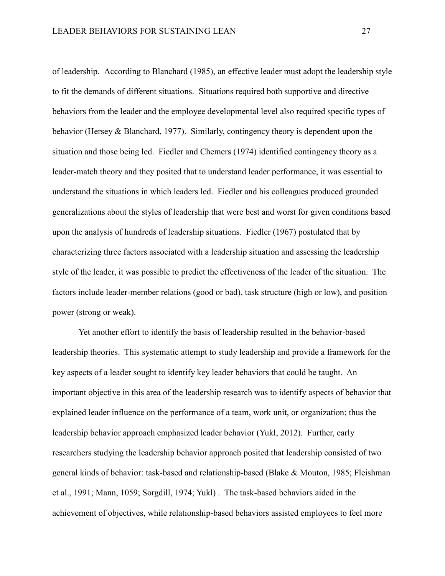of leadership. According to Blanchard (1985), an effective leader must adopt the leadership style to fit the demands of different situations. Situations required both supportive and directive behaviors from the leader and the employee developmental level also required specific types of behavior (Hersey & Blanchard, 1977). Similarly, contingency theory is dependent upon the situation and those being led. Fiedler and Chemers (1974) identified contingency theory as a leader-match theory and they posited that to understand leader performance, it was essential to understand the situations in which leaders led. Fiedler and his colleagues produced grounded generalizations about the styles of leadership that were best and worst for given conditions based upon the analysis of hundreds of leadership situations. Fiedler (1967) postulated that by characterizing three factors associated with a leadership situation and assessing the leadership style of the leader, it was possible to predict the effectiveness of the leader of the situation. The factors include leader-member relations (good or bad), task structure (high or low), and position power (strong or weak).

Yet another effort to identify the basis of leadership resulted in the behavior-based leadership theories. This systematic attempt to study leadership and provide a framework for the key aspects of a leader sought to identify key leader behaviors that could be taught. An important objective in this area of the leadership research was to identify aspects of behavior that explained leader influence on the performance of a team, work unit, or organization; thus the leadership behavior approach emphasized leader behavior (Yukl, 2012). Further, early researchers studying the leadership behavior approach posited that leadership consisted of two general kinds of behavior: task-based and relationship-based (Blake & Mouton, 1985; Fleishman et al., 1991; Mann, 1059; Sorgdill, 1974; Yukl) . The task-based behaviors aided in the achievement of objectives, while relationship-based behaviors assisted employees to feel more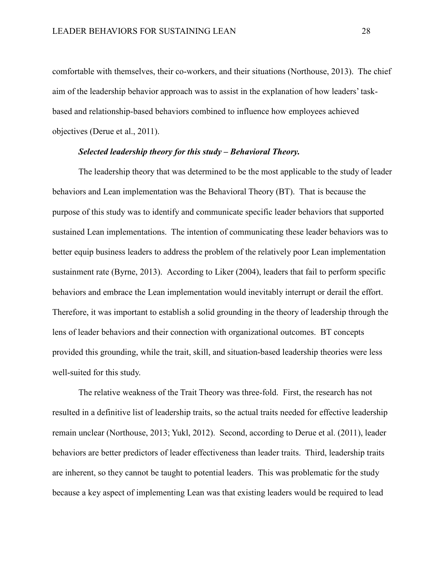comfortable with themselves, their co-workers, and their situations (Northouse, 2013). The chief aim of the leadership behavior approach was to assist in the explanation of how leaders' taskbased and relationship-based behaviors combined to influence how employees achieved objectives (Derue et al., 2011).

# *Selected leadership theory for this study – Behavioral Theory.*

The leadership theory that was determined to be the most applicable to the study of leader behaviors and Lean implementation was the Behavioral Theory (BT). That is because the purpose of this study was to identify and communicate specific leader behaviors that supported sustained Lean implementations. The intention of communicating these leader behaviors was to better equip business leaders to address the problem of the relatively poor Lean implementation sustainment rate (Byrne, 2013). According to Liker (2004), leaders that fail to perform specific behaviors and embrace the Lean implementation would inevitably interrupt or derail the effort. Therefore, it was important to establish a solid grounding in the theory of leadership through the lens of leader behaviors and their connection with organizational outcomes. BT concepts provided this grounding, while the trait, skill, and situation-based leadership theories were less well-suited for this study.

The relative weakness of the Trait Theory was three-fold. First, the research has not resulted in a definitive list of leadership traits, so the actual traits needed for effective leadership remain unclear (Northouse, 2013; Yukl, 2012). Second, according to Derue et al. (2011), leader behaviors are better predictors of leader effectiveness than leader traits. Third, leadership traits are inherent, so they cannot be taught to potential leaders. This was problematic for the study because a key aspect of implementing Lean was that existing leaders would be required to lead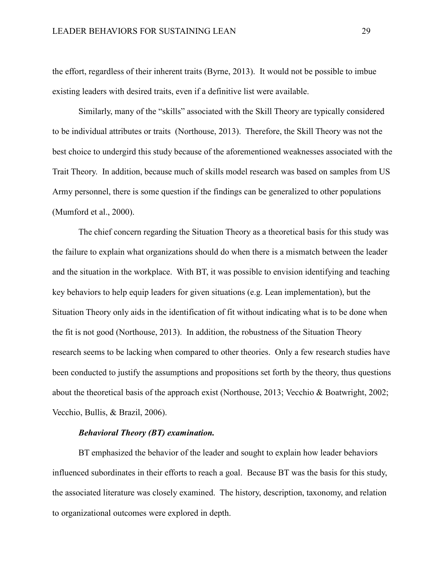the effort, regardless of their inherent traits (Byrne, 2013). It would not be possible to imbue existing leaders with desired traits, even if a definitive list were available.

Similarly, many of the "skills" associated with the Skill Theory are typically considered to be individual attributes or traits (Northouse, 2013). Therefore, the Skill Theory was not the best choice to undergird this study because of the aforementioned weaknesses associated with the Trait Theory. In addition, because much of skills model research was based on samples from US Army personnel, there is some question if the findings can be generalized to other populations (Mumford et al., 2000).

The chief concern regarding the Situation Theory as a theoretical basis for this study was the failure to explain what organizations should do when there is a mismatch between the leader and the situation in the workplace. With BT, it was possible to envision identifying and teaching key behaviors to help equip leaders for given situations (e.g. Lean implementation), but the Situation Theory only aids in the identification of fit without indicating what is to be done when the fit is not good (Northouse, 2013). In addition, the robustness of the Situation Theory research seems to be lacking when compared to other theories. Only a few research studies have been conducted to justify the assumptions and propositions set forth by the theory, thus questions about the theoretical basis of the approach exist (Northouse, 2013; Vecchio & Boatwright, 2002; Vecchio, Bullis, & Brazil, 2006).

# *Behavioral Theory (BT) examination.*

BT emphasized the behavior of the leader and sought to explain how leader behaviors influenced subordinates in their efforts to reach a goal. Because BT was the basis for this study, the associated literature was closely examined. The history, description, taxonomy, and relation to organizational outcomes were explored in depth.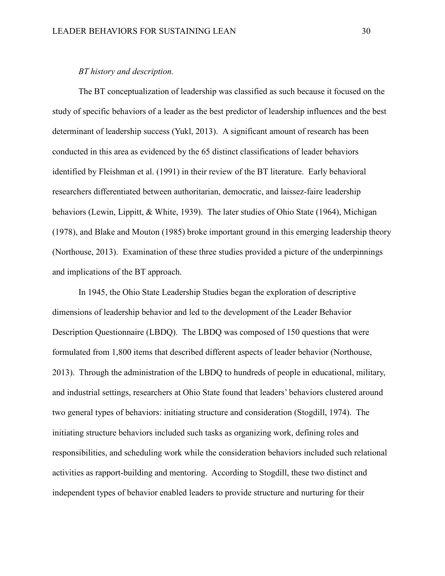#### *BT history and description.*

The BT conceptualization of leadership was classified as such because it focused on the study of specific behaviors of a leader as the best predictor of leadership influences and the best determinant of leadership success (Yukl, 2013). A significant amount of research has been conducted in this area as evidenced by the 65 distinct classifications of leader behaviors identified by Fleishman et al. (1991) in their review of the BT literature. Early behavioral researchers differentiated between authoritarian, democratic, and laissez-faire leadership behaviors (Lewin, Lippitt, & White, 1939). The later studies of Ohio State (1964), Michigan (1978), and Blake and Mouton (1985) broke important ground in this emerging leadership theory (Northouse, 2013). Examination of these three studies provided a picture of the underpinnings and implications of the BT approach.

In 1945, the Ohio State Leadership Studies began the exploration of descriptive dimensions of leadership behavior and led to the development of the Leader Behavior Description Questionnaire (LBDQ). The LBDQ was composed of 150 questions that were formulated from 1,800 items that described different aspects of leader behavior (Northouse, 2013). Through the administration of the LBDQ to hundreds of people in educational, military, and industrial settings, researchers at Ohio State found that leaders' behaviors clustered around two general types of behaviors: initiating structure and consideration (Stogdill, 1974). The initiating structure behaviors included such tasks as organizing work, defining roles and responsibilities, and scheduling work while the consideration behaviors included such relational activities as rapport-building and mentoring. According to Stogdill, these two distinct and independent types of behavior enabled leaders to provide structure and nurturing for their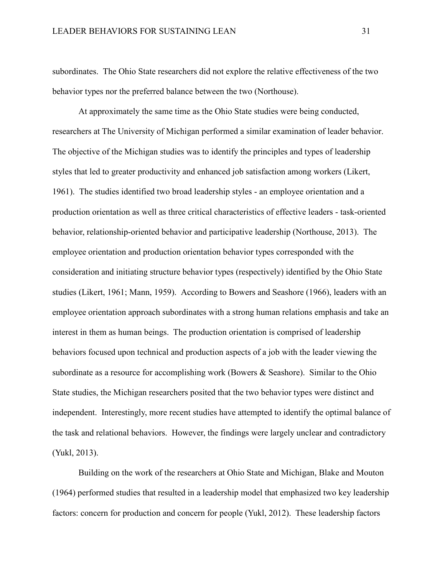subordinates. The Ohio State researchers did not explore the relative effectiveness of the two behavior types nor the preferred balance between the two (Northouse).

At approximately the same time as the Ohio State studies were being conducted, researchers at The University of Michigan performed a similar examination of leader behavior. The objective of the Michigan studies was to identify the principles and types of leadership styles that led to greater productivity and enhanced job satisfaction among workers (Likert, 1961). The studies identified two broad leadership styles - an employee orientation and a production orientation as well as three critical characteristics of effective leaders - task-oriented behavior, relationship-oriented behavior and participative leadership (Northouse, 2013). The employee orientation and production orientation behavior types corresponded with the consideration and initiating structure behavior types (respectively) identified by the Ohio State studies (Likert, 1961; Mann, 1959). According to Bowers and Seashore (1966), leaders with an employee orientation approach subordinates with a strong human relations emphasis and take an interest in them as human beings. The production orientation is comprised of leadership behaviors focused upon technical and production aspects of a job with the leader viewing the subordinate as a resource for accomplishing work (Bowers & Seashore). Similar to the Ohio State studies, the Michigan researchers posited that the two behavior types were distinct and independent. Interestingly, more recent studies have attempted to identify the optimal balance of the task and relational behaviors. However, the findings were largely unclear and contradictory (Yukl, 2013).

Building on the work of the researchers at Ohio State and Michigan, Blake and Mouton (1964) performed studies that resulted in a leadership model that emphasized two key leadership factors: concern for production and concern for people (Yukl, 2012). These leadership factors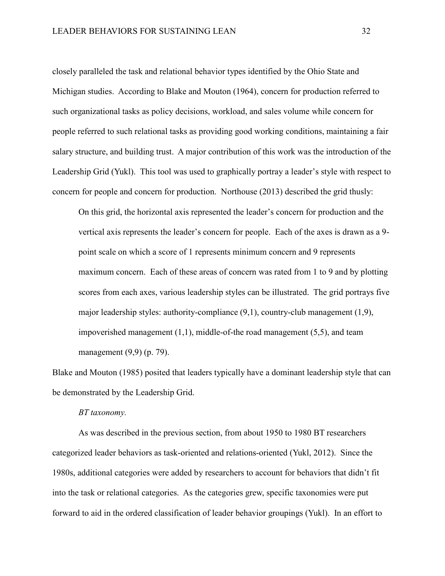closely paralleled the task and relational behavior types identified by the Ohio State and Michigan studies. According to Blake and Mouton (1964), concern for production referred to such organizational tasks as policy decisions, workload, and sales volume while concern for people referred to such relational tasks as providing good working conditions, maintaining a fair salary structure, and building trust. A major contribution of this work was the introduction of the Leadership Grid (Yukl). This tool was used to graphically portray a leader's style with respect to concern for people and concern for production. Northouse (2013) described the grid thusly:

On this grid, the horizontal axis represented the leader's concern for production and the vertical axis represents the leader's concern for people. Each of the axes is drawn as a 9 point scale on which a score of 1 represents minimum concern and 9 represents maximum concern. Each of these areas of concern was rated from 1 to 9 and by plotting scores from each axes, various leadership styles can be illustrated. The grid portrays five major leadership styles: authority-compliance (9,1), country-club management (1,9), impoverished management (1,1), middle-of-the road management (5,5), and team management (9,9) (p. 79).

Blake and Mouton (1985) posited that leaders typically have a dominant leadership style that can be demonstrated by the Leadership Grid.

#### *BT taxonomy.*

As was described in the previous section, from about 1950 to 1980 BT researchers categorized leader behaviors as task-oriented and relations-oriented (Yukl, 2012). Since the 1980s, additional categories were added by researchers to account for behaviors that didn't fit into the task or relational categories. As the categories grew, specific taxonomies were put forward to aid in the ordered classification of leader behavior groupings (Yukl). In an effort to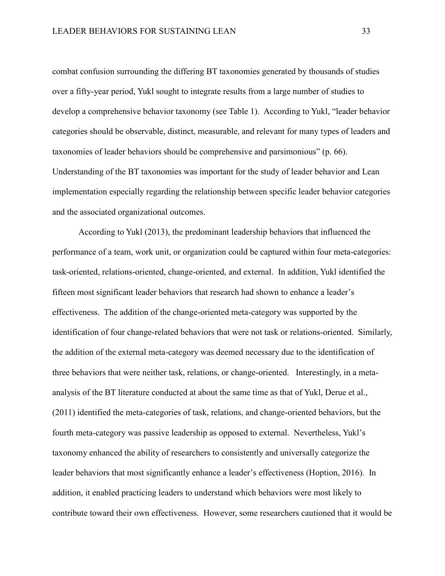combat confusion surrounding the differing BT taxonomies generated by thousands of studies over a fifty-year period, Yukl sought to integrate results from a large number of studies to develop a comprehensive behavior taxonomy (see Table 1). According to Yukl, "leader behavior categories should be observable, distinct, measurable, and relevant for many types of leaders and taxonomies of leader behaviors should be comprehensive and parsimonious" (p. 66). Understanding of the BT taxonomies was important for the study of leader behavior and Lean implementation especially regarding the relationship between specific leader behavior categories and the associated organizational outcomes.

According to Yukl (2013), the predominant leadership behaviors that influenced the performance of a team, work unit, or organization could be captured within four meta-categories: task-oriented, relations-oriented, change-oriented, and external. In addition, Yukl identified the fifteen most significant leader behaviors that research had shown to enhance a leader's effectiveness. The addition of the change-oriented meta-category was supported by the identification of four change-related behaviors that were not task or relations-oriented. Similarly, the addition of the external meta-category was deemed necessary due to the identification of three behaviors that were neither task, relations, or change-oriented. Interestingly, in a metaanalysis of the BT literature conducted at about the same time as that of Yukl, Derue et al., (2011) identified the meta-categories of task, relations, and change-oriented behaviors, but the fourth meta-category was passive leadership as opposed to external. Nevertheless, Yukl's taxonomy enhanced the ability of researchers to consistently and universally categorize the leader behaviors that most significantly enhance a leader's effectiveness (Hoption, 2016). In addition, it enabled practicing leaders to understand which behaviors were most likely to contribute toward their own effectiveness. However, some researchers cautioned that it would be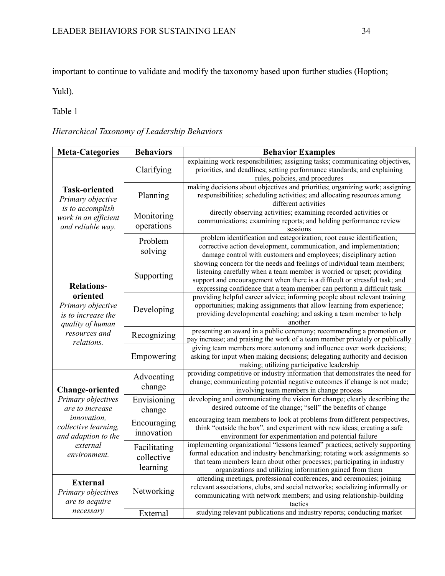important to continue to validate and modify the taxonomy based upon further studies (Hoption;

Yukl).

Table 1

# *Hierarchical Taxonomy of Leadership Behaviors*

| <b>Meta-Categories</b>                                                                                                                                           | <b>Behaviors</b>                       | <b>Behavior Examples</b>                                                                                                                                                                                                                                                                               |
|------------------------------------------------------------------------------------------------------------------------------------------------------------------|----------------------------------------|--------------------------------------------------------------------------------------------------------------------------------------------------------------------------------------------------------------------------------------------------------------------------------------------------------|
| <b>Task-oriented</b><br>Primary objective<br>is to accomplish<br>work in an efficient<br>and reliable way.                                                       | Clarifying                             | explaining work responsibilities; assigning tasks; communicating objectives,<br>priorities, and deadlines; setting performance standards; and explaining<br>rules, policies, and procedures                                                                                                            |
|                                                                                                                                                                  | Planning                               | making decisions about objectives and priorities; organizing work; assigning<br>responsibilities; scheduling activities; and allocating resources among<br>different activities                                                                                                                        |
|                                                                                                                                                                  | Monitoring<br>operations               | directly observing activities; examining recorded activities or<br>communications; examining reports; and holding performance review<br>sessions                                                                                                                                                       |
|                                                                                                                                                                  | Problem<br>solving                     | problem identification and categorization; root cause identification;<br>corrective action development, communication, and implementation;<br>damage control with customers and employees; disciplinary action                                                                                         |
| <b>Relations-</b><br>oriented<br>Primary objective<br>is to increase the<br>quality of human<br>resources and<br>relations.                                      | Supporting                             | showing concern for the needs and feelings of individual team members;<br>listening carefully when a team member is worried or upset; providing<br>support and encouragement when there is a difficult or stressful task; and<br>expressing confidence that a team member can perform a difficult task |
|                                                                                                                                                                  | Developing                             | providing helpful career advice; informing people about relevant training<br>opportunities; making assignments that allow learning from experience;<br>providing developmental coaching; and asking a team member to help<br>another                                                                   |
|                                                                                                                                                                  | Recognizing                            | presenting an award in a public ceremony; recommending a promotion or<br>pay increase; and praising the work of a team member privately or publically                                                                                                                                                  |
|                                                                                                                                                                  | Empowering                             | giving team members more autonomy and influence over work decisions;<br>asking for input when making decisions; delegating authority and decision<br>making; utilizing participative leadership                                                                                                        |
| <b>Change-oriented</b><br>Primary objectives<br>are to increase<br><i>innovation.</i><br>collective learning,<br>and adaption to the<br>external<br>environment. | Advocating<br>change                   | providing competitive or industry information that demonstrates the need for<br>change; communicating potential negative outcomes if change is not made;<br>involving team members in change process                                                                                                   |
|                                                                                                                                                                  | Envisioning<br>change                  | developing and communicating the vision for change; clearly describing the<br>desired outcome of the change; "sell" the benefits of change                                                                                                                                                             |
|                                                                                                                                                                  | Encouraging<br>innovation              | encouraging team members to look at problems from different perspectives,<br>think "outside the box", and experiment with new ideas; creating a safe<br>environment for experimentation and potential failure                                                                                          |
|                                                                                                                                                                  | Facilitating<br>collective<br>learning | implementing organizational "lessons learned" practices; actively supporting<br>formal education and industry benchmarking; rotating work assignments so<br>that team members learn about other processes; participating in industry<br>organizations and utilizing information gained from them       |
| <b>External</b><br>Primary objectives<br>are to acquire                                                                                                          | Networking                             | attending meetings, professional conferences, and ceremonies; joining<br>relevant associations, clubs, and social networks; socializing informally or<br>communicating with network members; and using relationship-building<br>tactics                                                                |
| necessary                                                                                                                                                        | External                               | studying relevant publications and industry reports; conducting market                                                                                                                                                                                                                                 |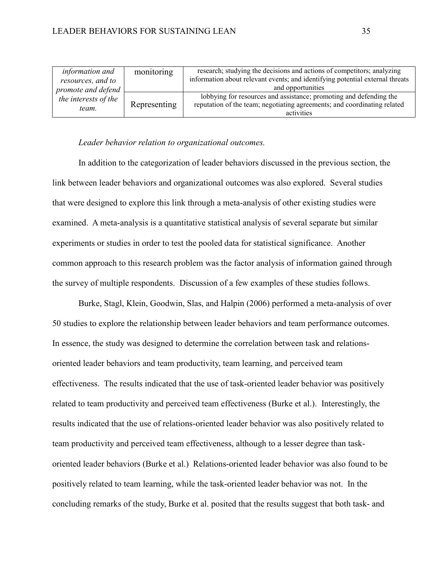| <i>information and</i>                                                   | monitoring   | research; studying the decisions and actions of competitors; analyzing        |
|--------------------------------------------------------------------------|--------------|-------------------------------------------------------------------------------|
| resources, and to<br>promote and defend<br>the interests of the<br>team. |              | information about relevant events; and identifying potential external threats |
|                                                                          |              | and opportunities                                                             |
|                                                                          | Representing | lobbying for resources and assistance; promoting and defending the            |
|                                                                          |              | reputation of the team; negotiating agreements; and coordinating related      |
|                                                                          |              | activities                                                                    |

#### *Leader behavior relation to organizational outcomes.*

In addition to the categorization of leader behaviors discussed in the previous section, the link between leader behaviors and organizational outcomes was also explored. Several studies that were designed to explore this link through a meta-analysis of other existing studies were examined. A meta-analysis is a quantitative statistical analysis of several separate but similar experiments or studies in order to test the pooled data for statistical significance. Another common approach to this research problem was the factor analysis of information gained through the survey of multiple respondents. Discussion of a few examples of these studies follows.

Burke, Stagl, Klein, Goodwin, Slas, and Halpin (2006) performed a meta-analysis of over 50 studies to explore the relationship between leader behaviors and team performance outcomes. In essence, the study was designed to determine the correlation between task and relationsoriented leader behaviors and team productivity, team learning, and perceived team effectiveness. The results indicated that the use of task-oriented leader behavior was positively related to team productivity and perceived team effectiveness (Burke et al.). Interestingly, the results indicated that the use of relations-oriented leader behavior was also positively related to team productivity and perceived team effectiveness, although to a lesser degree than taskoriented leader behaviors (Burke et al.) Relations-oriented leader behavior was also found to be positively related to team learning, while the task-oriented leader behavior was not. In the concluding remarks of the study, Burke et al. posited that the results suggest that both task- and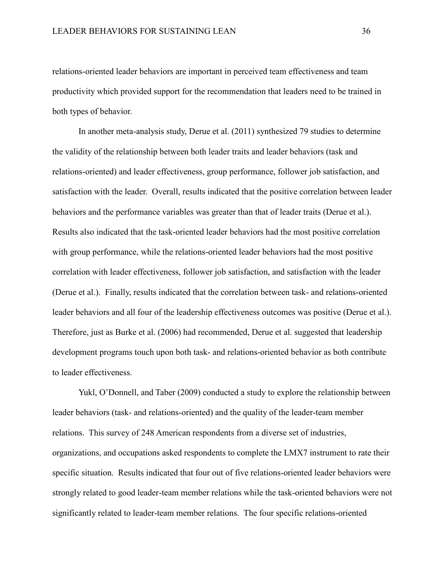relations-oriented leader behaviors are important in perceived team effectiveness and team productivity which provided support for the recommendation that leaders need to be trained in both types of behavior.

In another meta-analysis study, Derue et al. (2011) synthesized 79 studies to determine the validity of the relationship between both leader traits and leader behaviors (task and relations-oriented) and leader effectiveness, group performance, follower job satisfaction, and satisfaction with the leader. Overall, results indicated that the positive correlation between leader behaviors and the performance variables was greater than that of leader traits (Derue et al.). Results also indicated that the task-oriented leader behaviors had the most positive correlation with group performance, while the relations-oriented leader behaviors had the most positive correlation with leader effectiveness, follower job satisfaction, and satisfaction with the leader (Derue et al.). Finally, results indicated that the correlation between task- and relations-oriented leader behaviors and all four of the leadership effectiveness outcomes was positive (Derue et al.). Therefore, just as Burke et al. (2006) had recommended, Derue et al. suggested that leadership development programs touch upon both task- and relations-oriented behavior as both contribute to leader effectiveness.

Yukl, O'Donnell, and Taber (2009) conducted a study to explore the relationship between leader behaviors (task- and relations-oriented) and the quality of the leader-team member relations. This survey of 248 American respondents from a diverse set of industries, organizations, and occupations asked respondents to complete the LMX7 instrument to rate their specific situation. Results indicated that four out of five relations-oriented leader behaviors were strongly related to good leader-team member relations while the task-oriented behaviors were not significantly related to leader-team member relations. The four specific relations-oriented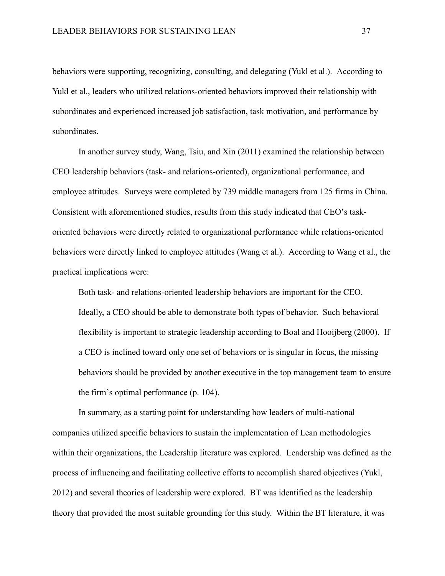behaviors were supporting, recognizing, consulting, and delegating (Yukl et al.). According to Yukl et al., leaders who utilized relations-oriented behaviors improved their relationship with subordinates and experienced increased job satisfaction, task motivation, and performance by subordinates.

In another survey study, Wang, Tsiu, and Xin (2011) examined the relationship between CEO leadership behaviors (task- and relations-oriented), organizational performance, and employee attitudes. Surveys were completed by 739 middle managers from 125 firms in China. Consistent with aforementioned studies, results from this study indicated that CEO's taskoriented behaviors were directly related to organizational performance while relations-oriented behaviors were directly linked to employee attitudes (Wang et al.). According to Wang et al., the practical implications were:

Both task- and relations-oriented leadership behaviors are important for the CEO. Ideally, a CEO should be able to demonstrate both types of behavior. Such behavioral flexibility is important to strategic leadership according to Boal and Hooijberg (2000). If a CEO is inclined toward only one set of behaviors or is singular in focus, the missing behaviors should be provided by another executive in the top management team to ensure the firm's optimal performance (p. 104).

In summary, as a starting point for understanding how leaders of multi-national companies utilized specific behaviors to sustain the implementation of Lean methodologies within their organizations, the Leadership literature was explored. Leadership was defined as the process of influencing and facilitating collective efforts to accomplish shared objectives (Yukl, 2012) and several theories of leadership were explored. BT was identified as the leadership theory that provided the most suitable grounding for this study. Within the BT literature, it was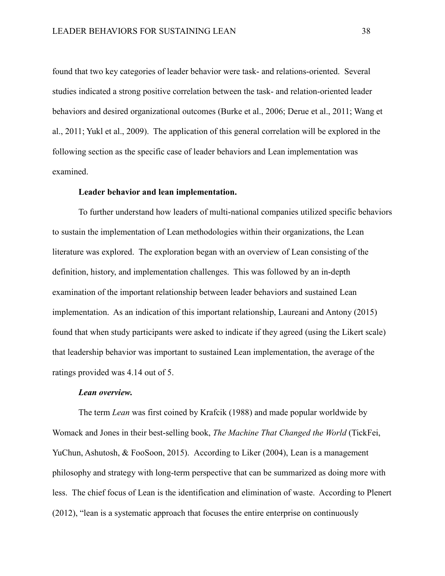found that two key categories of leader behavior were task- and relations-oriented. Several studies indicated a strong positive correlation between the task- and relation-oriented leader behaviors and desired organizational outcomes (Burke et al., 2006; Derue et al., 2011; Wang et al., 2011; Yukl et al., 2009). The application of this general correlation will be explored in the following section as the specific case of leader behaviors and Lean implementation was examined.

#### **Leader behavior and lean implementation.**

To further understand how leaders of multi-national companies utilized specific behaviors to sustain the implementation of Lean methodologies within their organizations, the Lean literature was explored. The exploration began with an overview of Lean consisting of the definition, history, and implementation challenges. This was followed by an in-depth examination of the important relationship between leader behaviors and sustained Lean implementation. As an indication of this important relationship, Laureani and Antony (2015) found that when study participants were asked to indicate if they agreed (using the Likert scale) that leadership behavior was important to sustained Lean implementation, the average of the ratings provided was 4.14 out of 5.

## *Lean overview.*

The term *Lean* was first coined by Krafcik (1988) and made popular worldwide by Womack and Jones in their best-selling book, *The Machine That Changed the World* (TickFei, YuChun, Ashutosh, & FooSoon, 2015). According to Liker (2004), Lean is a management philosophy and strategy with long-term perspective that can be summarized as doing more with less. The chief focus of Lean is the identification and elimination of waste. According to Plenert (2012), "lean is a systematic approach that focuses the entire enterprise on continuously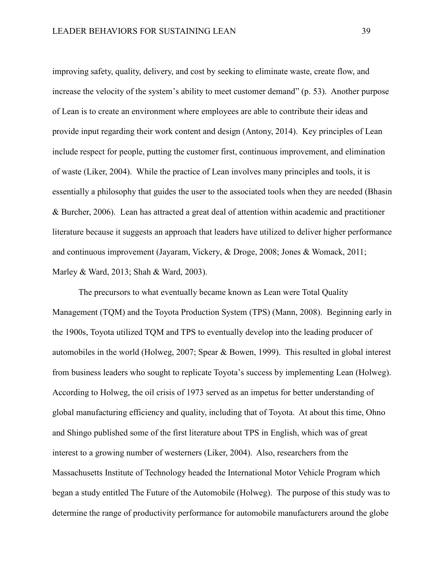improving safety, quality, delivery, and cost by seeking to eliminate waste, create flow, and increase the velocity of the system's ability to meet customer demand" (p. 53). Another purpose of Lean is to create an environment where employees are able to contribute their ideas and provide input regarding their work content and design (Antony, 2014). Key principles of Lean include respect for people, putting the customer first, continuous improvement, and elimination of waste (Liker, 2004). While the practice of Lean involves many principles and tools, it is essentially a philosophy that guides the user to the associated tools when they are needed (Bhasin & Burcher, 2006). Lean has attracted a great deal of attention within academic and practitioner literature because it suggests an approach that leaders have utilized to deliver higher performance and continuous improvement (Jayaram, Vickery, & Droge, 2008; Jones & Womack, 2011; Marley & Ward, 2013; Shah & Ward, 2003).

The precursors to what eventually became known as Lean were Total Quality Management (TQM) and the Toyota Production System (TPS) (Mann, 2008). Beginning early in the 1900s, Toyota utilized TQM and TPS to eventually develop into the leading producer of automobiles in the world (Holweg, 2007; Spear & Bowen, 1999). This resulted in global interest from business leaders who sought to replicate Toyota's success by implementing Lean (Holweg). According to Holweg, the oil crisis of 1973 served as an impetus for better understanding of global manufacturing efficiency and quality, including that of Toyota. At about this time, Ohno and Shingo published some of the first literature about TPS in English, which was of great interest to a growing number of westerners (Liker, 2004). Also, researchers from the Massachusetts Institute of Technology headed the International Motor Vehicle Program which began a study entitled The Future of the Automobile (Holweg). The purpose of this study was to determine the range of productivity performance for automobile manufacturers around the globe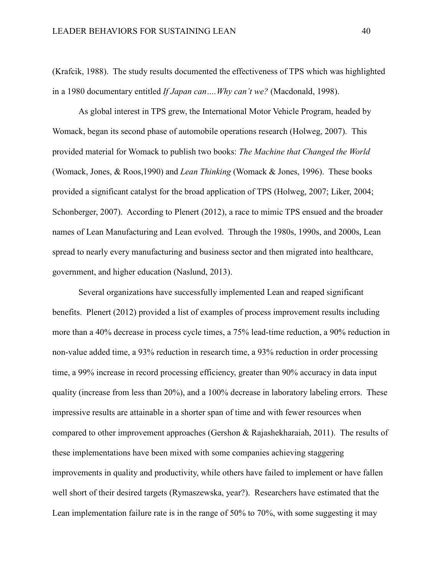(Krafcik, 1988). The study results documented the effectiveness of TPS which was highlighted in a 1980 documentary entitled *If Japan can….Why can't we?* (Macdonald, 1998).

As global interest in TPS grew, the International Motor Vehicle Program, headed by Womack, began its second phase of automobile operations research (Holweg, 2007). This provided material for Womack to publish two books: *The Machine that Changed the World* (Womack, Jones, & Roos,1990) and *Lean Thinking* (Womack & Jones, 1996). These books provided a significant catalyst for the broad application of TPS (Holweg, 2007; Liker, 2004; Schonberger, 2007). According to Plenert (2012), a race to mimic TPS ensued and the broader names of Lean Manufacturing and Lean evolved. Through the 1980s, 1990s, and 2000s, Lean spread to nearly every manufacturing and business sector and then migrated into healthcare, government, and higher education (Naslund, 2013).

Several organizations have successfully implemented Lean and reaped significant benefits. Plenert (2012) provided a list of examples of process improvement results including more than a 40% decrease in process cycle times, a 75% lead-time reduction, a 90% reduction in non-value added time, a 93% reduction in research time, a 93% reduction in order processing time, a 99% increase in record processing efficiency, greater than 90% accuracy in data input quality (increase from less than 20%), and a 100% decrease in laboratory labeling errors. These impressive results are attainable in a shorter span of time and with fewer resources when compared to other improvement approaches (Gershon & Rajashekharaiah, 2011). The results of these implementations have been mixed with some companies achieving staggering improvements in quality and productivity, while others have failed to implement or have fallen well short of their desired targets (Rymaszewska, year?). Researchers have estimated that the Lean implementation failure rate is in the range of 50% to 70%, with some suggesting it may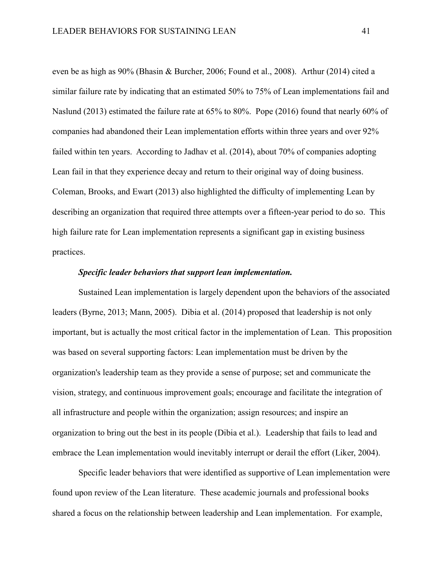even be as high as 90% (Bhasin & Burcher, 2006; Found et al., 2008). Arthur (2014) cited a similar failure rate by indicating that an estimated 50% to 75% of Lean implementations fail and Naslund (2013) estimated the failure rate at 65% to 80%. Pope (2016) found that nearly 60% of companies had abandoned their Lean implementation efforts within three years and over 92% failed within ten years. According to Jadhav et al. (2014), about 70% of companies adopting Lean fail in that they experience decay and return to their original way of doing business. Coleman, Brooks, and Ewart (2013) also highlighted the difficulty of implementing Lean by describing an organization that required three attempts over a fifteen-year period to do so. This high failure rate for Lean implementation represents a significant gap in existing business practices.

# *Specific leader behaviors that support lean implementation.*

Sustained Lean implementation is largely dependent upon the behaviors of the associated leaders (Byrne, 2013; Mann, 2005). Dibia et al. (2014) proposed that leadership is not only important, but is actually the most critical factor in the implementation of Lean. This proposition was based on several supporting factors: Lean implementation must be driven by the organization's leadership team as they provide a sense of purpose; set and communicate the vision, strategy, and continuous improvement goals; encourage and facilitate the integration of all infrastructure and people within the organization; assign resources; and inspire an organization to bring out the best in its people (Dibia et al.). Leadership that fails to lead and embrace the Lean implementation would inevitably interrupt or derail the effort (Liker, 2004).

Specific leader behaviors that were identified as supportive of Lean implementation were found upon review of the Lean literature. These academic journals and professional books shared a focus on the relationship between leadership and Lean implementation. For example,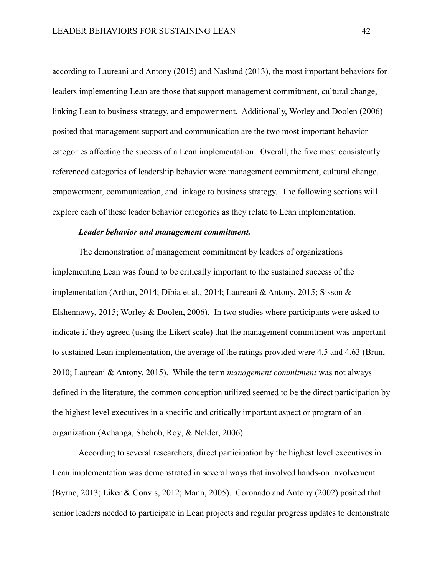according to Laureani and Antony (2015) and Naslund (2013), the most important behaviors for leaders implementing Lean are those that support management commitment, cultural change, linking Lean to business strategy, and empowerment. Additionally, Worley and Doolen (2006) posited that management support and communication are the two most important behavior categories affecting the success of a Lean implementation. Overall, the five most consistently referenced categories of leadership behavior were management commitment, cultural change, empowerment, communication, and linkage to business strategy. The following sections will explore each of these leader behavior categories as they relate to Lean implementation.

# *Leader behavior and management commitment.*

The demonstration of management commitment by leaders of organizations implementing Lean was found to be critically important to the sustained success of the implementation (Arthur, 2014; Dibia et al., 2014; Laureani & Antony, 2015; Sisson & Elshennawy, 2015; Worley & Doolen, 2006). In two studies where participants were asked to indicate if they agreed (using the Likert scale) that the management commitment was important to sustained Lean implementation, the average of the ratings provided were 4.5 and 4.63 (Brun, 2010; Laureani & Antony, 2015). While the term *management commitment* was not always defined in the literature, the common conception utilized seemed to be the direct participation by the highest level executives in a specific and critically important aspect or program of an organization (Achanga, Shehob, Roy, & Nelder, 2006).

According to several researchers, direct participation by the highest level executives in Lean implementation was demonstrated in several ways that involved hands-on involvement (Byrne, 2013; Liker & Convis, 2012; Mann, 2005). Coronado and Antony (2002) posited that senior leaders needed to participate in Lean projects and regular progress updates to demonstrate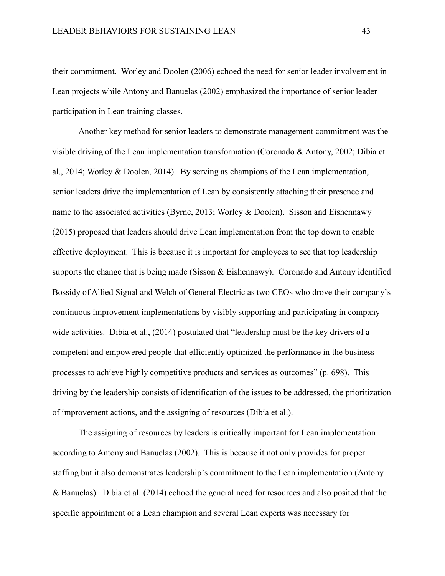their commitment. Worley and Doolen (2006) echoed the need for senior leader involvement in Lean projects while Antony and Banuelas (2002) emphasized the importance of senior leader participation in Lean training classes.

Another key method for senior leaders to demonstrate management commitment was the visible driving of the Lean implementation transformation (Coronado & Antony, 2002; Dibia et al., 2014; Worley & Doolen, 2014). By serving as champions of the Lean implementation, senior leaders drive the implementation of Lean by consistently attaching their presence and name to the associated activities (Byrne, 2013; Worley & Doolen). Sisson and Eishennawy (2015) proposed that leaders should drive Lean implementation from the top down to enable effective deployment. This is because it is important for employees to see that top leadership supports the change that is being made (Sisson & Eishennawy). Coronado and Antony identified Bossidy of Allied Signal and Welch of General Electric as two CEOs who drove their company's continuous improvement implementations by visibly supporting and participating in companywide activities. Dibia et al., (2014) postulated that "leadership must be the key drivers of a competent and empowered people that efficiently optimized the performance in the business processes to achieve highly competitive products and services as outcomes" (p. 698). This driving by the leadership consists of identification of the issues to be addressed, the prioritization of improvement actions, and the assigning of resources (Dibia et al.).

The assigning of resources by leaders is critically important for Lean implementation according to Antony and Banuelas (2002). This is because it not only provides for proper staffing but it also demonstrates leadership's commitment to the Lean implementation (Antony & Banuelas). Dibia et al. (2014) echoed the general need for resources and also posited that the specific appointment of a Lean champion and several Lean experts was necessary for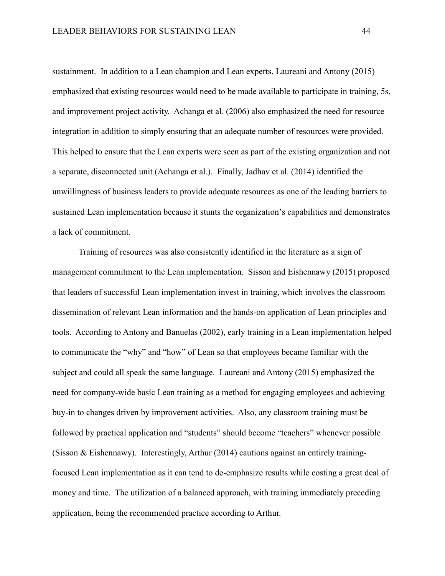sustainment. In addition to a Lean champion and Lean experts, Laureani and Antony (2015) emphasized that existing resources would need to be made available to participate in training, 5s, and improvement project activity. Achanga et al. (2006) also emphasized the need for resource integration in addition to simply ensuring that an adequate number of resources were provided. This helped to ensure that the Lean experts were seen as part of the existing organization and not a separate, disconnected unit (Achanga et al.). Finally, Jadhav et al. (2014) identified the unwillingness of business leaders to provide adequate resources as one of the leading barriers to sustained Lean implementation because it stunts the organization's capabilities and demonstrates a lack of commitment.

Training of resources was also consistently identified in the literature as a sign of management commitment to the Lean implementation. Sisson and Eishennawy (2015) proposed that leaders of successful Lean implementation invest in training, which involves the classroom dissemination of relevant Lean information and the hands-on application of Lean principles and tools. According to Antony and Banuelas (2002), early training in a Lean implementation helped to communicate the "why" and "how" of Lean so that employees became familiar with the subject and could all speak the same language. Laureani and Antony (2015) emphasized the need for company-wide basic Lean training as a method for engaging employees and achieving buy-in to changes driven by improvement activities. Also, any classroom training must be followed by practical application and "students" should become "teachers" whenever possible (Sisson & Eishennawy). Interestingly, Arthur  $(2014)$  cautions against an entirely trainingfocused Lean implementation as it can tend to de-emphasize results while costing a great deal of money and time. The utilization of a balanced approach, with training immediately preceding application, being the recommended practice according to Arthur.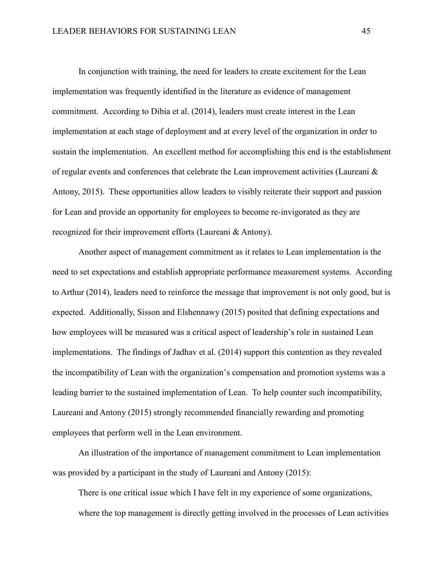In conjunction with training, the need for leaders to create excitement for the Lean implementation was frequently identified in the literature as evidence of management commitment. According to Dibia et al. (2014), leaders must create interest in the Lean implementation at each stage of deployment and at every level of the organization in order to sustain the implementation. An excellent method for accomplishing this end is the establishment of regular events and conferences that celebrate the Lean improvement activities (Laureani & Antony, 2015). These opportunities allow leaders to visibly reiterate their support and passion for Lean and provide an opportunity for employees to become re-invigorated as they are recognized for their improvement efforts (Laureani & Antony).

Another aspect of management commitment as it relates to Lean implementation is the need to set expectations and establish appropriate performance measurement systems. According to Arthur (2014), leaders need to reinforce the message that improvement is not only good, but is expected. Additionally, Sisson and Elshennawy (2015) posited that defining expectations and how employees will be measured was a critical aspect of leadership's role in sustained Lean implementations. The findings of Jadhav et al. (2014) support this contention as they revealed the incompatibility of Lean with the organization's compensation and promotion systems was a leading barrier to the sustained implementation of Lean. To help counter such incompatibility, Laureani and Antony (2015) strongly recommended financially rewarding and promoting employees that perform well in the Lean environment.

An illustration of the importance of management commitment to Lean implementation was provided by a participant in the study of Laureani and Antony (2015):

There is one critical issue which I have felt in my experience of some organizations, where the top management is directly getting involved in the processes of Lean activities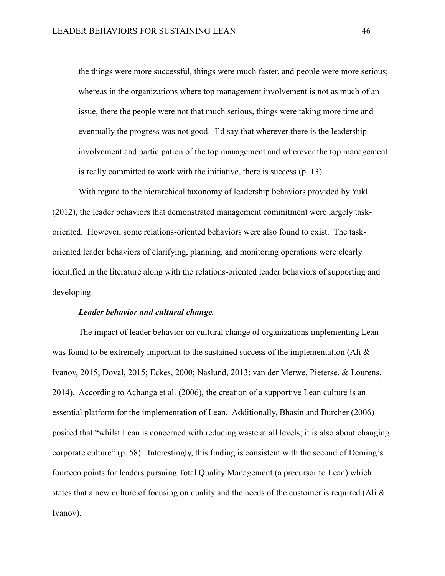the things were more successful, things were much faster, and people were more serious; whereas in the organizations where top management involvement is not as much of an issue, there the people were not that much serious, things were taking more time and eventually the progress was not good. I'd say that wherever there is the leadership involvement and participation of the top management and wherever the top management is really committed to work with the initiative, there is success (p. 13).

With regard to the hierarchical taxonomy of leadership behaviors provided by Yukl (2012), the leader behaviors that demonstrated management commitment were largely taskoriented. However, some relations-oriented behaviors were also found to exist. The taskoriented leader behaviors of clarifying, planning, and monitoring operations were clearly identified in the literature along with the relations-oriented leader behaviors of supporting and developing.

## *Leader behavior and cultural change.*

The impact of leader behavior on cultural change of organizations implementing Lean was found to be extremely important to the sustained success of the implementation (Ali  $\&$ Ivanov, 2015; Doval, 2015; Eckes, 2000; Naslund, 2013; van der Merwe, Pieterse, & Lourens, 2014). According to Achanga et al. (2006), the creation of a supportive Lean culture is an essential platform for the implementation of Lean. Additionally, Bhasin and Burcher (2006) posited that "whilst Lean is concerned with reducing waste at all levels; it is also about changing corporate culture" (p. 58). Interestingly, this finding is consistent with the second of Deming's fourteen points for leaders pursuing Total Quality Management (a precursor to Lean) which states that a new culture of focusing on quality and the needs of the customer is required (Ali & Ivanov).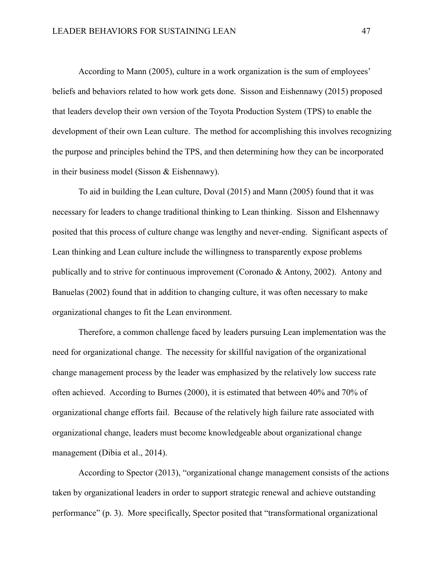According to Mann (2005), culture in a work organization is the sum of employees' beliefs and behaviors related to how work gets done. Sisson and Eishennawy (2015) proposed that leaders develop their own version of the Toyota Production System (TPS) to enable the development of their own Lean culture. The method for accomplishing this involves recognizing the purpose and principles behind the TPS, and then determining how they can be incorporated in their business model (Sisson & Eishennawy).

To aid in building the Lean culture, Doval (2015) and Mann (2005) found that it was necessary for leaders to change traditional thinking to Lean thinking. Sisson and Elshennawy posited that this process of culture change was lengthy and never-ending. Significant aspects of Lean thinking and Lean culture include the willingness to transparently expose problems publically and to strive for continuous improvement (Coronado & Antony, 2002). Antony and Banuelas (2002) found that in addition to changing culture, it was often necessary to make organizational changes to fit the Lean environment.

Therefore, a common challenge faced by leaders pursuing Lean implementation was the need for organizational change. The necessity for skillful navigation of the organizational change management process by the leader was emphasized by the relatively low success rate often achieved. According to Burnes (2000), it is estimated that between 40% and 70% of organizational change efforts fail. Because of the relatively high failure rate associated with organizational change, leaders must become knowledgeable about organizational change management (Dibia et al., 2014).

According to Spector (2013), "organizational change management consists of the actions taken by organizational leaders in order to support strategic renewal and achieve outstanding performance" (p. 3). More specifically, Spector posited that "transformational organizational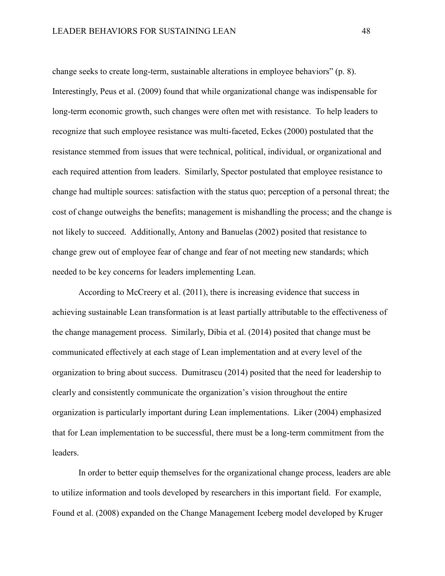change seeks to create long-term, sustainable alterations in employee behaviors" (p. 8). Interestingly, Peus et al. (2009) found that while organizational change was indispensable for long-term economic growth, such changes were often met with resistance. To help leaders to recognize that such employee resistance was multi-faceted, Eckes (2000) postulated that the resistance stemmed from issues that were technical, political, individual, or organizational and each required attention from leaders. Similarly, Spector postulated that employee resistance to change had multiple sources: satisfaction with the status quo; perception of a personal threat; the cost of change outweighs the benefits; management is mishandling the process; and the change is not likely to succeed. Additionally, Antony and Banuelas (2002) posited that resistance to change grew out of employee fear of change and fear of not meeting new standards; which needed to be key concerns for leaders implementing Lean.

According to McCreery et al. (2011), there is increasing evidence that success in achieving sustainable Lean transformation is at least partially attributable to the effectiveness of the change management process. Similarly, Dibia et al. (2014) posited that change must be communicated effectively at each stage of Lean implementation and at every level of the organization to bring about success. Dumitrascu (2014) posited that the need for leadership to clearly and consistently communicate the organization's vision throughout the entire organization is particularly important during Lean implementations. Liker (2004) emphasized that for Lean implementation to be successful, there must be a long-term commitment from the leaders.

In order to better equip themselves for the organizational change process, leaders are able to utilize information and tools developed by researchers in this important field. For example, Found et al. (2008) expanded on the Change Management Iceberg model developed by Kruger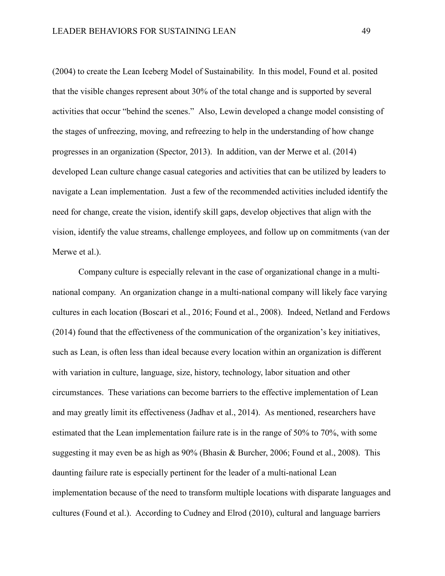(2004) to create the Lean Iceberg Model of Sustainability. In this model, Found et al. posited that the visible changes represent about 30% of the total change and is supported by several activities that occur "behind the scenes." Also, Lewin developed a change model consisting of the stages of unfreezing, moving, and refreezing to help in the understanding of how change progresses in an organization (Spector, 2013). In addition, van der Merwe et al. (2014) developed Lean culture change casual categories and activities that can be utilized by leaders to navigate a Lean implementation. Just a few of the recommended activities included identify the need for change, create the vision, identify skill gaps, develop objectives that align with the vision, identify the value streams, challenge employees, and follow up on commitments (van der Merwe et al.).

Company culture is especially relevant in the case of organizational change in a multinational company. An organization change in a multi-national company will likely face varying cultures in each location (Boscari et al., 2016; Found et al., 2008). Indeed, Netland and Ferdows (2014) found that the effectiveness of the communication of the organization's key initiatives, such as Lean, is often less than ideal because every location within an organization is different with variation in culture, language, size, history, technology, labor situation and other circumstances. These variations can become barriers to the effective implementation of Lean and may greatly limit its effectiveness (Jadhav et al., 2014). As mentioned, researchers have estimated that the Lean implementation failure rate is in the range of 50% to 70%, with some suggesting it may even be as high as 90% (Bhasin & Burcher, 2006; Found et al., 2008). This daunting failure rate is especially pertinent for the leader of a multi-national Lean implementation because of the need to transform multiple locations with disparate languages and cultures (Found et al.). According to Cudney and Elrod (2010), cultural and language barriers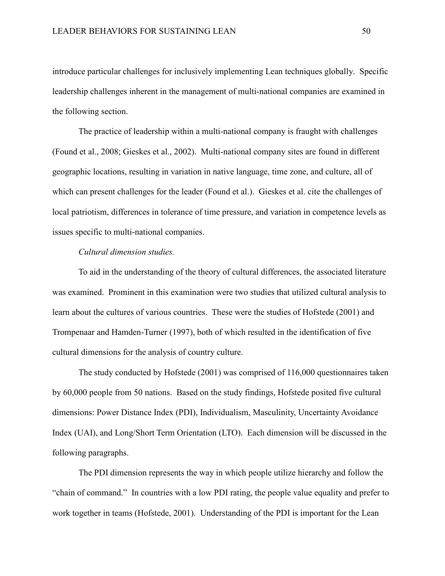introduce particular challenges for inclusively implementing Lean techniques globally. Specific leadership challenges inherent in the management of multi-national companies are examined in the following section.

The practice of leadership within a multi-national company is fraught with challenges (Found et al., 2008; Gieskes et al., 2002). Multi-national company sites are found in different geographic locations, resulting in variation in native language, time zone, and culture, all of which can present challenges for the leader (Found et al.). Gieskes et al. cite the challenges of local patriotism, differences in tolerance of time pressure, and variation in competence levels as issues specific to multi-national companies.

#### *Cultural dimension studies.*

To aid in the understanding of the theory of cultural differences, the associated literature was examined. Prominent in this examination were two studies that utilized cultural analysis to learn about the cultures of various countries. These were the studies of Hofstede (2001) and Trompenaar and Hamden-Turner (1997), both of which resulted in the identification of five cultural dimensions for the analysis of country culture.

The study conducted by Hofstede (2001) was comprised of 116,000 questionnaires taken by 60,000 people from 50 nations. Based on the study findings, Hofstede posited five cultural dimensions: Power Distance Index (PDI), Individualism, Masculinity, Uncertainty Avoidance Index (UAI), and Long/Short Term Orientation (LTO). Each dimension will be discussed in the following paragraphs.

The PDI dimension represents the way in which people utilize hierarchy and follow the "chain of command." In countries with a low PDI rating, the people value equality and prefer to work together in teams (Hofstede, 2001). Understanding of the PDI is important for the Lean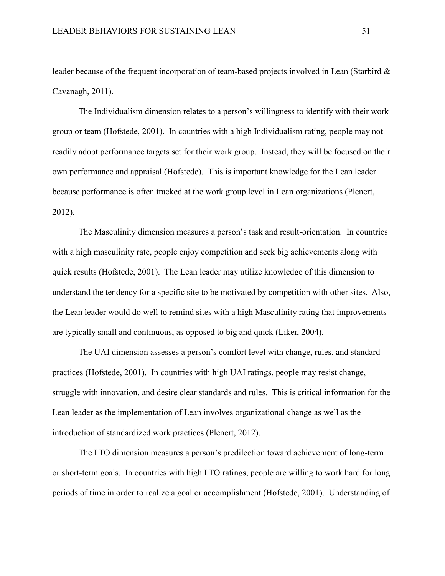leader because of the frequent incorporation of team-based projects involved in Lean (Starbird & Cavanagh, 2011).

The Individualism dimension relates to a person's willingness to identify with their work group or team (Hofstede, 2001). In countries with a high Individualism rating, people may not readily adopt performance targets set for their work group. Instead, they will be focused on their own performance and appraisal (Hofstede). This is important knowledge for the Lean leader because performance is often tracked at the work group level in Lean organizations (Plenert, 2012).

The Masculinity dimension measures a person's task and result-orientation. In countries with a high masculinity rate, people enjoy competition and seek big achievements along with quick results (Hofstede, 2001). The Lean leader may utilize knowledge of this dimension to understand the tendency for a specific site to be motivated by competition with other sites. Also, the Lean leader would do well to remind sites with a high Masculinity rating that improvements are typically small and continuous, as opposed to big and quick (Liker, 2004).

The UAI dimension assesses a person's comfort level with change, rules, and standard practices (Hofstede, 2001). In countries with high UAI ratings, people may resist change, struggle with innovation, and desire clear standards and rules. This is critical information for the Lean leader as the implementation of Lean involves organizational change as well as the introduction of standardized work practices (Plenert, 2012).

The LTO dimension measures a person's predilection toward achievement of long-term or short-term goals. In countries with high LTO ratings, people are willing to work hard for long periods of time in order to realize a goal or accomplishment (Hofstede, 2001). Understanding of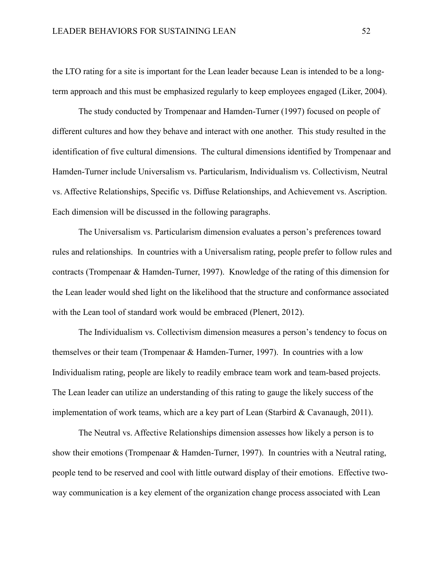the LTO rating for a site is important for the Lean leader because Lean is intended to be a longterm approach and this must be emphasized regularly to keep employees engaged (Liker, 2004).

The study conducted by Trompenaar and Hamden-Turner (1997) focused on people of different cultures and how they behave and interact with one another. This study resulted in the identification of five cultural dimensions. The cultural dimensions identified by Trompenaar and Hamden-Turner include Universalism vs. Particularism, Individualism vs. Collectivism, Neutral vs. Affective Relationships, Specific vs. Diffuse Relationships, and Achievement vs. Ascription. Each dimension will be discussed in the following paragraphs.

The Universalism vs. Particularism dimension evaluates a person's preferences toward rules and relationships. In countries with a Universalism rating, people prefer to follow rules and contracts (Trompenaar & Hamden-Turner, 1997). Knowledge of the rating of this dimension for the Lean leader would shed light on the likelihood that the structure and conformance associated with the Lean tool of standard work would be embraced (Plenert, 2012).

The Individualism vs. Collectivism dimension measures a person's tendency to focus on themselves or their team (Trompenaar & Hamden-Turner, 1997). In countries with a low Individualism rating, people are likely to readily embrace team work and team-based projects. The Lean leader can utilize an understanding of this rating to gauge the likely success of the implementation of work teams, which are a key part of Lean (Starbird  $&$  Cavanaugh, 2011).

The Neutral vs. Affective Relationships dimension assesses how likely a person is to show their emotions (Trompenaar & Hamden-Turner, 1997). In countries with a Neutral rating, people tend to be reserved and cool with little outward display of their emotions. Effective twoway communication is a key element of the organization change process associated with Lean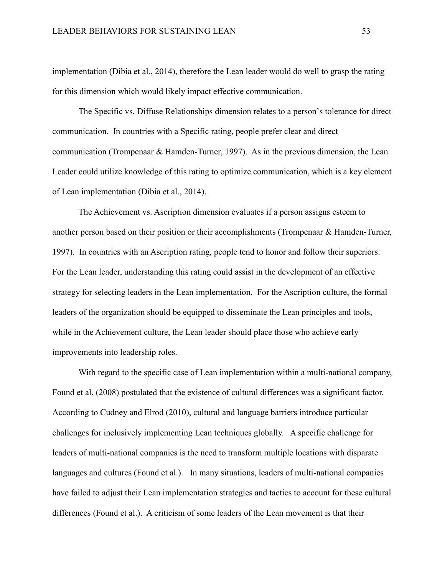implementation (Dibia et al., 2014), therefore the Lean leader would do well to grasp the rating for this dimension which would likely impact effective communication.

The Specific vs. Diffuse Relationships dimension relates to a person's tolerance for direct communication. In countries with a Specific rating, people prefer clear and direct communication (Trompenaar & Hamden-Turner, 1997). As in the previous dimension, the Lean Leader could utilize knowledge of this rating to optimize communication, which is a key element of Lean implementation (Dibia et al., 2014).

The Achievement vs. Ascription dimension evaluates if a person assigns esteem to another person based on their position or their accomplishments (Trompenaar & Hamden-Turner, 1997). In countries with an Ascription rating, people tend to honor and follow their superiors. For the Lean leader, understanding this rating could assist in the development of an effective strategy for selecting leaders in the Lean implementation. For the Ascription culture, the formal leaders of the organization should be equipped to disseminate the Lean principles and tools, while in the Achievement culture, the Lean leader should place those who achieve early improvements into leadership roles.

With regard to the specific case of Lean implementation within a multi-national company, Found et al. (2008) postulated that the existence of cultural differences was a significant factor. According to Cudney and Elrod (2010), cultural and language barriers introduce particular challenges for inclusively implementing Lean techniques globally. A specific challenge for leaders of multi-national companies is the need to transform multiple locations with disparate languages and cultures (Found et al.). In many situations, leaders of multi-national companies have failed to adjust their Lean implementation strategies and tactics to account for these cultural differences (Found et al.). A criticism of some leaders of the Lean movement is that their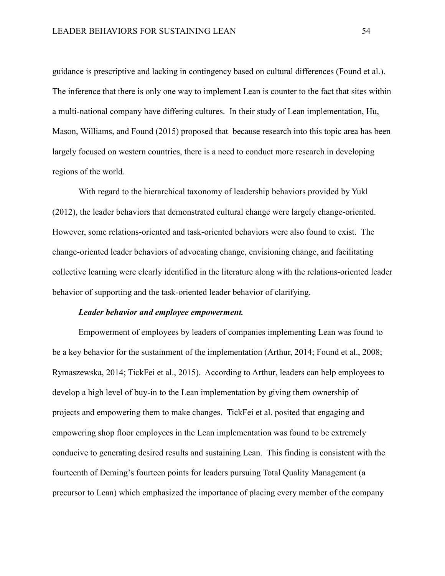guidance is prescriptive and lacking in contingency based on cultural differences (Found et al.). The inference that there is only one way to implement Lean is counter to the fact that sites within a multi-national company have differing cultures. In their study of Lean implementation, Hu, Mason, Williams, and Found (2015) proposed that because research into this topic area has been largely focused on western countries, there is a need to conduct more research in developing regions of the world.

With regard to the hierarchical taxonomy of leadership behaviors provided by Yukl (2012), the leader behaviors that demonstrated cultural change were largely change-oriented. However, some relations-oriented and task-oriented behaviors were also found to exist. The change-oriented leader behaviors of advocating change, envisioning change, and facilitating collective learning were clearly identified in the literature along with the relations-oriented leader behavior of supporting and the task-oriented leader behavior of clarifying.

## *Leader behavior and employee empowerment.*

Empowerment of employees by leaders of companies implementing Lean was found to be a key behavior for the sustainment of the implementation (Arthur, 2014; Found et al., 2008; Rymaszewska, 2014; TickFei et al., 2015). According to Arthur, leaders can help employees to develop a high level of buy-in to the Lean implementation by giving them ownership of projects and empowering them to make changes. TickFei et al. posited that engaging and empowering shop floor employees in the Lean implementation was found to be extremely conducive to generating desired results and sustaining Lean. This finding is consistent with the fourteenth of Deming's fourteen points for leaders pursuing Total Quality Management (a precursor to Lean) which emphasized the importance of placing every member of the company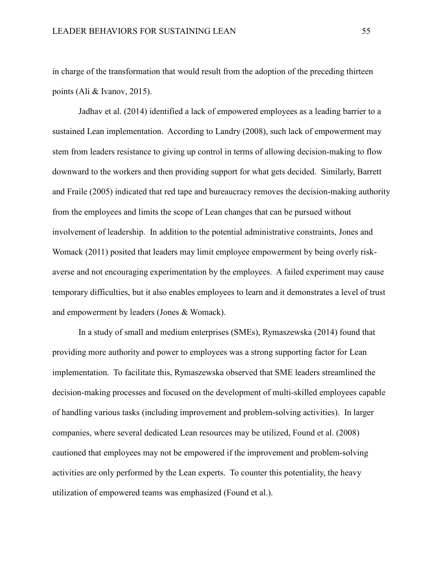in charge of the transformation that would result from the adoption of the preceding thirteen points (Ali & Ivanov, 2015).

Jadhav et al. (2014) identified a lack of empowered employees as a leading barrier to a sustained Lean implementation. According to Landry (2008), such lack of empowerment may stem from leaders resistance to giving up control in terms of allowing decision-making to flow downward to the workers and then providing support for what gets decided. Similarly, Barrett and Fraile (2005) indicated that red tape and bureaucracy removes the decision-making authority from the employees and limits the scope of Lean changes that can be pursued without involvement of leadership. In addition to the potential administrative constraints, Jones and Womack (2011) posited that leaders may limit employee empowerment by being overly riskaverse and not encouraging experimentation by the employees. A failed experiment may cause temporary difficulties, but it also enables employees to learn and it demonstrates a level of trust and empowerment by leaders (Jones & Womack).

In a study of small and medium enterprises (SMEs), Rymaszewska (2014) found that providing more authority and power to employees was a strong supporting factor for Lean implementation. To facilitate this, Rymaszewska observed that SME leaders streamlined the decision-making processes and focused on the development of multi-skilled employees capable of handling various tasks (including improvement and problem-solving activities). In larger companies, where several dedicated Lean resources may be utilized, Found et al. (2008) cautioned that employees may not be empowered if the improvement and problem-solving activities are only performed by the Lean experts. To counter this potentiality, the heavy utilization of empowered teams was emphasized (Found et al.).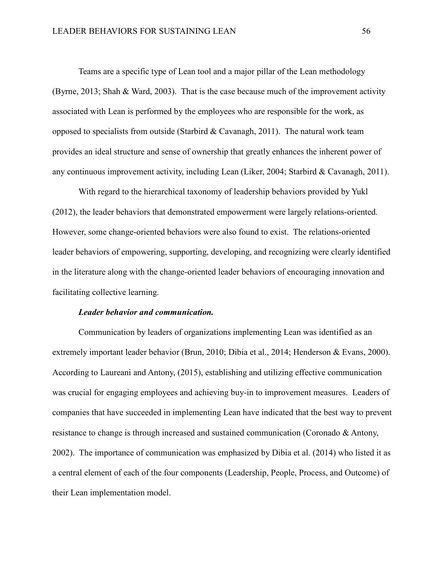Teams are a specific type of Lean tool and a major pillar of the Lean methodology (Byrne, 2013; Shah & Ward, 2003). That is the case because much of the improvement activity associated with Lean is performed by the employees who are responsible for the work, as opposed to specialists from outside (Starbird & Cavanagh, 2011). The natural work team provides an ideal structure and sense of ownership that greatly enhances the inherent power of any continuous improvement activity, including Lean (Liker, 2004; Starbird & Cavanagh, 2011).

With regard to the hierarchical taxonomy of leadership behaviors provided by Yukl (2012), the leader behaviors that demonstrated empowerment were largely relations-oriented. However, some change-oriented behaviors were also found to exist. The relations-oriented leader behaviors of empowering, supporting, developing, and recognizing were clearly identified in the literature along with the change-oriented leader behaviors of encouraging innovation and facilitating collective learning.

# *Leader behavior and communication.*

Communication by leaders of organizations implementing Lean was identified as an extremely important leader behavior (Brun, 2010; Dibia et al., 2014; Henderson & Evans, 2000). According to Laureani and Antony, (2015), establishing and utilizing effective communication was crucial for engaging employees and achieving buy-in to improvement measures. Leaders of companies that have succeeded in implementing Lean have indicated that the best way to prevent resistance to change is through increased and sustained communication (Coronado & Antony, 2002). The importance of communication was emphasized by Dibia et al. (2014) who listed it as a central element of each of the four components (Leadership, People, Process, and Outcome) of their Lean implementation model.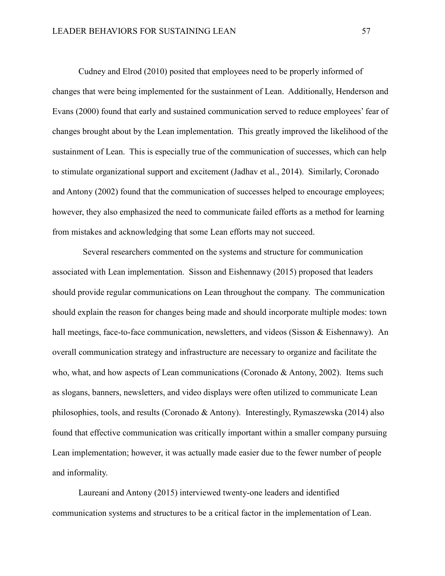Cudney and Elrod (2010) posited that employees need to be properly informed of changes that were being implemented for the sustainment of Lean. Additionally, Henderson and Evans (2000) found that early and sustained communication served to reduce employees' fear of changes brought about by the Lean implementation. This greatly improved the likelihood of the sustainment of Lean. This is especially true of the communication of successes, which can help to stimulate organizational support and excitement (Jadhav et al., 2014). Similarly, Coronado and Antony (2002) found that the communication of successes helped to encourage employees; however, they also emphasized the need to communicate failed efforts as a method for learning from mistakes and acknowledging that some Lean efforts may not succeed.

 Several researchers commented on the systems and structure for communication associated with Lean implementation. Sisson and Eishennawy (2015) proposed that leaders should provide regular communications on Lean throughout the company. The communication should explain the reason for changes being made and should incorporate multiple modes: town hall meetings, face-to-face communication, newsletters, and videos (Sisson & Eishennawy). An overall communication strategy and infrastructure are necessary to organize and facilitate the who, what, and how aspects of Lean communications (Coronado & Antony, 2002). Items such as slogans, banners, newsletters, and video displays were often utilized to communicate Lean philosophies, tools, and results (Coronado & Antony). Interestingly, Rymaszewska (2014) also found that effective communication was critically important within a smaller company pursuing Lean implementation; however, it was actually made easier due to the fewer number of people and informality.

Laureani and Antony (2015) interviewed twenty-one leaders and identified communication systems and structures to be a critical factor in the implementation of Lean.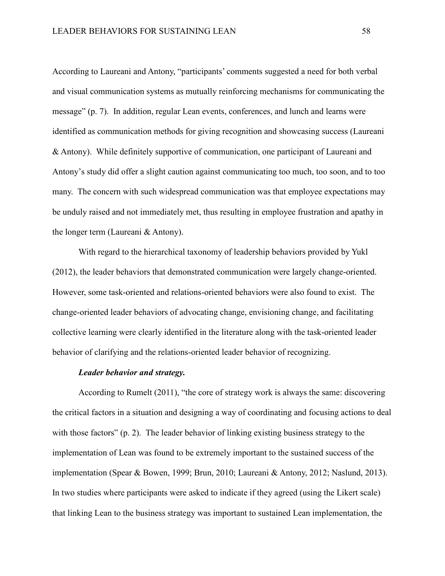According to Laureani and Antony, "participants' comments suggested a need for both verbal and visual communication systems as mutually reinforcing mechanisms for communicating the message" (p. 7). In addition, regular Lean events, conferences, and lunch and learns were identified as communication methods for giving recognition and showcasing success (Laureani & Antony). While definitely supportive of communication, one participant of Laureani and Antony's study did offer a slight caution against communicating too much, too soon, and to too many. The concern with such widespread communication was that employee expectations may be unduly raised and not immediately met, thus resulting in employee frustration and apathy in the longer term (Laureani & Antony).

With regard to the hierarchical taxonomy of leadership behaviors provided by Yukl (2012), the leader behaviors that demonstrated communication were largely change-oriented. However, some task-oriented and relations-oriented behaviors were also found to exist. The change-oriented leader behaviors of advocating change, envisioning change, and facilitating collective learning were clearly identified in the literature along with the task-oriented leader behavior of clarifying and the relations-oriented leader behavior of recognizing.

#### *Leader behavior and strategy.*

According to Rumelt (2011), "the core of strategy work is always the same: discovering the critical factors in a situation and designing a way of coordinating and focusing actions to deal with those factors" (p. 2). The leader behavior of linking existing business strategy to the implementation of Lean was found to be extremely important to the sustained success of the implementation (Spear & Bowen, 1999; Brun, 2010; Laureani & Antony, 2012; Naslund, 2013). In two studies where participants were asked to indicate if they agreed (using the Likert scale) that linking Lean to the business strategy was important to sustained Lean implementation, the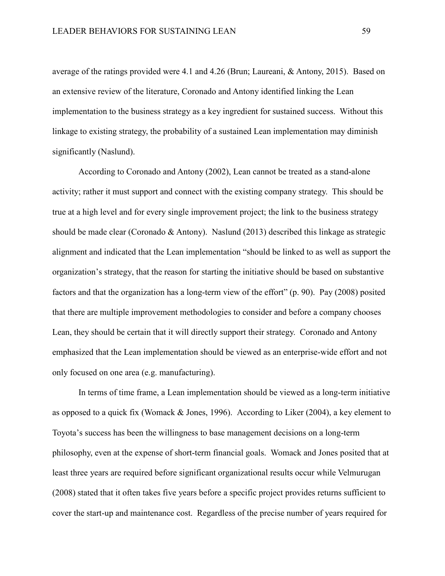average of the ratings provided were 4.1 and 4.26 (Brun; Laureani, & Antony, 2015). Based on an extensive review of the literature, Coronado and Antony identified linking the Lean implementation to the business strategy as a key ingredient for sustained success. Without this linkage to existing strategy, the probability of a sustained Lean implementation may diminish significantly (Naslund).

According to Coronado and Antony (2002), Lean cannot be treated as a stand-alone activity; rather it must support and connect with the existing company strategy. This should be true at a high level and for every single improvement project; the link to the business strategy should be made clear (Coronado & Antony). Naslund (2013) described this linkage as strategic alignment and indicated that the Lean implementation "should be linked to as well as support the organization's strategy, that the reason for starting the initiative should be based on substantive factors and that the organization has a long-term view of the effort" (p. 90). Pay (2008) posited that there are multiple improvement methodologies to consider and before a company chooses Lean, they should be certain that it will directly support their strategy. Coronado and Antony emphasized that the Lean implementation should be viewed as an enterprise-wide effort and not only focused on one area (e.g. manufacturing).

In terms of time frame, a Lean implementation should be viewed as a long-term initiative as opposed to a quick fix (Womack & Jones, 1996). According to Liker (2004), a key element to Toyota's success has been the willingness to base management decisions on a long-term philosophy, even at the expense of short-term financial goals. Womack and Jones posited that at least three years are required before significant organizational results occur while Velmurugan (2008) stated that it often takes five years before a specific project provides returns sufficient to cover the start-up and maintenance cost. Regardless of the precise number of years required for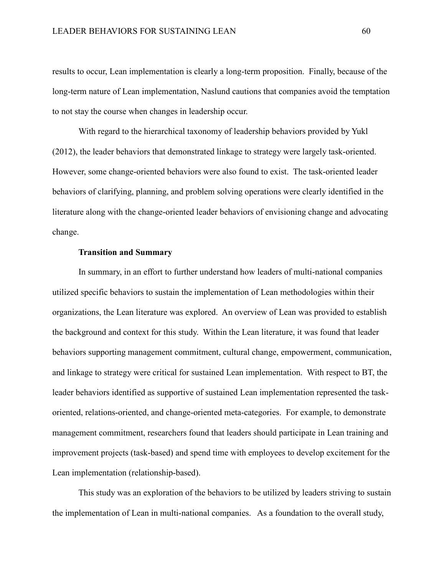results to occur, Lean implementation is clearly a long-term proposition. Finally, because of the long-term nature of Lean implementation, Naslund cautions that companies avoid the temptation to not stay the course when changes in leadership occur.

With regard to the hierarchical taxonomy of leadership behaviors provided by Yukl (2012), the leader behaviors that demonstrated linkage to strategy were largely task-oriented. However, some change-oriented behaviors were also found to exist. The task-oriented leader behaviors of clarifying, planning, and problem solving operations were clearly identified in the literature along with the change-oriented leader behaviors of envisioning change and advocating change.

# **Transition and Summary**

In summary, in an effort to further understand how leaders of multi-national companies utilized specific behaviors to sustain the implementation of Lean methodologies within their organizations, the Lean literature was explored. An overview of Lean was provided to establish the background and context for this study. Within the Lean literature, it was found that leader behaviors supporting management commitment, cultural change, empowerment, communication, and linkage to strategy were critical for sustained Lean implementation. With respect to BT, the leader behaviors identified as supportive of sustained Lean implementation represented the taskoriented, relations-oriented, and change-oriented meta-categories. For example, to demonstrate management commitment, researchers found that leaders should participate in Lean training and improvement projects (task-based) and spend time with employees to develop excitement for the Lean implementation (relationship-based).

This study was an exploration of the behaviors to be utilized by leaders striving to sustain the implementation of Lean in multi-national companies. As a foundation to the overall study,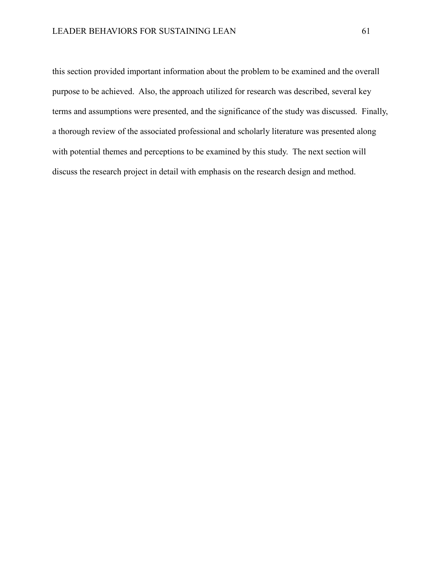this section provided important information about the problem to be examined and the overall purpose to be achieved. Also, the approach utilized for research was described, several key terms and assumptions were presented, and the significance of the study was discussed. Finally, a thorough review of the associated professional and scholarly literature was presented along with potential themes and perceptions to be examined by this study. The next section will discuss the research project in detail with emphasis on the research design and method.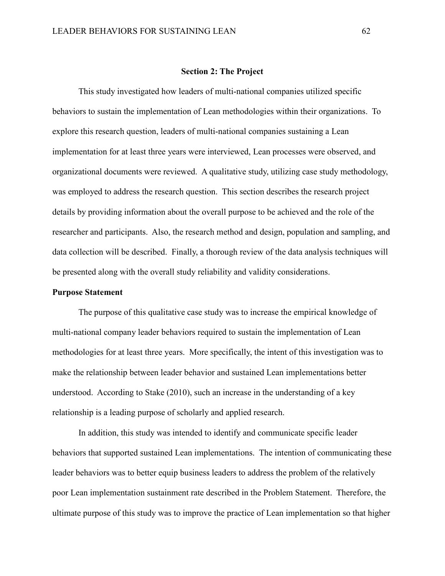#### **Section 2: The Project**

This study investigated how leaders of multi-national companies utilized specific behaviors to sustain the implementation of Lean methodologies within their organizations. To explore this research question, leaders of multi-national companies sustaining a Lean implementation for at least three years were interviewed, Lean processes were observed, and organizational documents were reviewed. A qualitative study, utilizing case study methodology, was employed to address the research question. This section describes the research project details by providing information about the overall purpose to be achieved and the role of the researcher and participants. Also, the research method and design, population and sampling, and data collection will be described. Finally, a thorough review of the data analysis techniques will be presented along with the overall study reliability and validity considerations.

## **Purpose Statement**

The purpose of this qualitative case study was to increase the empirical knowledge of multi-national company leader behaviors required to sustain the implementation of Lean methodologies for at least three years. More specifically, the intent of this investigation was to make the relationship between leader behavior and sustained Lean implementations better understood. According to Stake (2010), such an increase in the understanding of a key relationship is a leading purpose of scholarly and applied research.

In addition, this study was intended to identify and communicate specific leader behaviors that supported sustained Lean implementations. The intention of communicating these leader behaviors was to better equip business leaders to address the problem of the relatively poor Lean implementation sustainment rate described in the Problem Statement. Therefore, the ultimate purpose of this study was to improve the practice of Lean implementation so that higher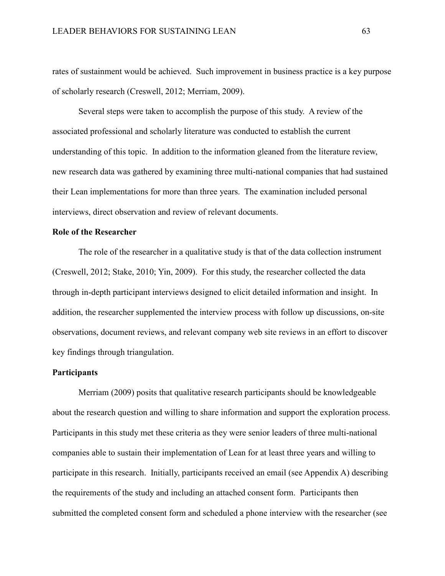rates of sustainment would be achieved. Such improvement in business practice is a key purpose of scholarly research (Creswell, 2012; Merriam, 2009).

Several steps were taken to accomplish the purpose of this study. A review of the associated professional and scholarly literature was conducted to establish the current understanding of this topic. In addition to the information gleaned from the literature review, new research data was gathered by examining three multi-national companies that had sustained their Lean implementations for more than three years. The examination included personal interviews, direct observation and review of relevant documents.

# **Role of the Researcher**

The role of the researcher in a qualitative study is that of the data collection instrument (Creswell, 2012; Stake, 2010; Yin, 2009). For this study, the researcher collected the data through in-depth participant interviews designed to elicit detailed information and insight. In addition, the researcher supplemented the interview process with follow up discussions, on-site observations, document reviews, and relevant company web site reviews in an effort to discover key findings through triangulation.

## **Participants**

Merriam (2009) posits that qualitative research participants should be knowledgeable about the research question and willing to share information and support the exploration process. Participants in this study met these criteria as they were senior leaders of three multi-national companies able to sustain their implementation of Lean for at least three years and willing to participate in this research. Initially, participants received an email (see Appendix A) describing the requirements of the study and including an attached consent form. Participants then submitted the completed consent form and scheduled a phone interview with the researcher (see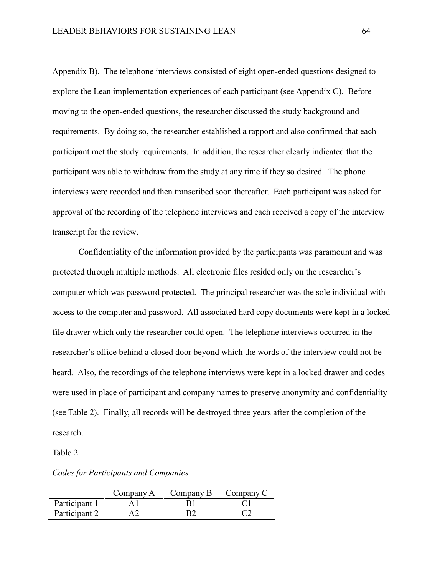Appendix B). The telephone interviews consisted of eight open-ended questions designed to explore the Lean implementation experiences of each participant (see Appendix C). Before moving to the open-ended questions, the researcher discussed the study background and requirements. By doing so, the researcher established a rapport and also confirmed that each participant met the study requirements. In addition, the researcher clearly indicated that the participant was able to withdraw from the study at any time if they so desired. The phone interviews were recorded and then transcribed soon thereafter. Each participant was asked for approval of the recording of the telephone interviews and each received a copy of the interview transcript for the review.

Confidentiality of the information provided by the participants was paramount and was protected through multiple methods. All electronic files resided only on the researcher's computer which was password protected. The principal researcher was the sole individual with access to the computer and password. All associated hard copy documents were kept in a locked file drawer which only the researcher could open. The telephone interviews occurred in the researcher's office behind a closed door beyond which the words of the interview could not be heard. Also, the recordings of the telephone interviews were kept in a locked drawer and codes were used in place of participant and company names to preserve anonymity and confidentiality (see Table 2). Finally, all records will be destroyed three years after the completion of the research.

Table 2

|               | Company A | Company B | Company C |
|---------------|-----------|-----------|-----------|
| Participant 1 |           |           |           |
| Participant 2 |           |           |           |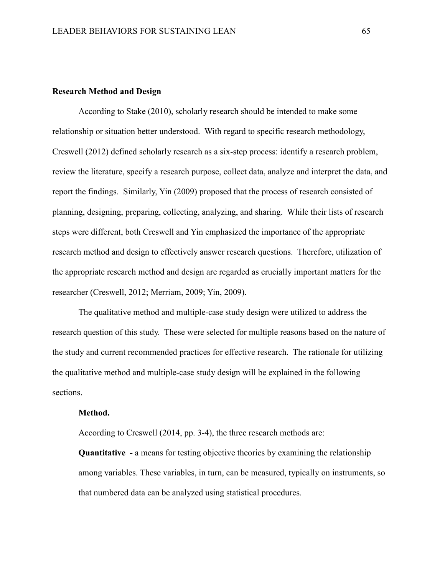#### **Research Method and Design**

According to Stake (2010), scholarly research should be intended to make some relationship or situation better understood. With regard to specific research methodology, Creswell (2012) defined scholarly research as a six-step process: identify a research problem, review the literature, specify a research purpose, collect data, analyze and interpret the data, and report the findings. Similarly, Yin (2009) proposed that the process of research consisted of planning, designing, preparing, collecting, analyzing, and sharing. While their lists of research steps were different, both Creswell and Yin emphasized the importance of the appropriate research method and design to effectively answer research questions. Therefore, utilization of the appropriate research method and design are regarded as crucially important matters for the researcher (Creswell, 2012; Merriam, 2009; Yin, 2009).

The qualitative method and multiple-case study design were utilized to address the research question of this study. These were selected for multiple reasons based on the nature of the study and current recommended practices for effective research. The rationale for utilizing the qualitative method and multiple-case study design will be explained in the following sections.

#### **Method.**

According to Creswell (2014, pp. 3-4), the three research methods are:

**Quantitative - a means for testing objective theories by examining the relationship** among variables. These variables, in turn, can be measured, typically on instruments, so that numbered data can be analyzed using statistical procedures.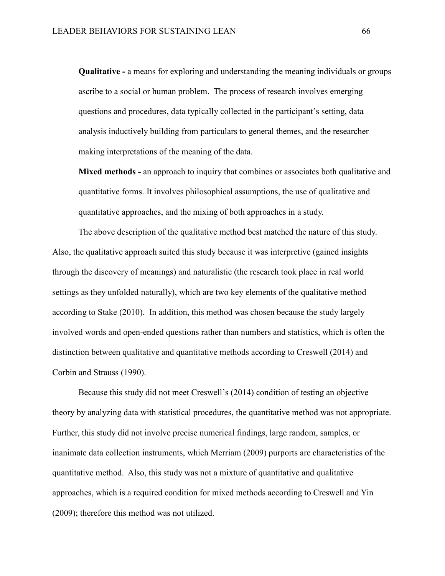**Qualitative -** a means for exploring and understanding the meaning individuals or groups ascribe to a social or human problem. The process of research involves emerging questions and procedures, data typically collected in the participant's setting, data analysis inductively building from particulars to general themes, and the researcher making interpretations of the meaning of the data.

**Mixed methods -** an approach to inquiry that combines or associates both qualitative and quantitative forms. It involves philosophical assumptions, the use of qualitative and quantitative approaches, and the mixing of both approaches in a study.

The above description of the qualitative method best matched the nature of this study. Also, the qualitative approach suited this study because it was interpretive (gained insights through the discovery of meanings) and naturalistic (the research took place in real world settings as they unfolded naturally), which are two key elements of the qualitative method according to Stake (2010). In addition, this method was chosen because the study largely involved words and open-ended questions rather than numbers and statistics, which is often the distinction between qualitative and quantitative methods according to Creswell (2014) and Corbin and Strauss (1990).

Because this study did not meet Creswell's (2014) condition of testing an objective theory by analyzing data with statistical procedures, the quantitative method was not appropriate. Further, this study did not involve precise numerical findings, large random, samples, or inanimate data collection instruments, which Merriam (2009) purports are characteristics of the quantitative method. Also, this study was not a mixture of quantitative and qualitative approaches, which is a required condition for mixed methods according to Creswell and Yin (2009); therefore this method was not utilized.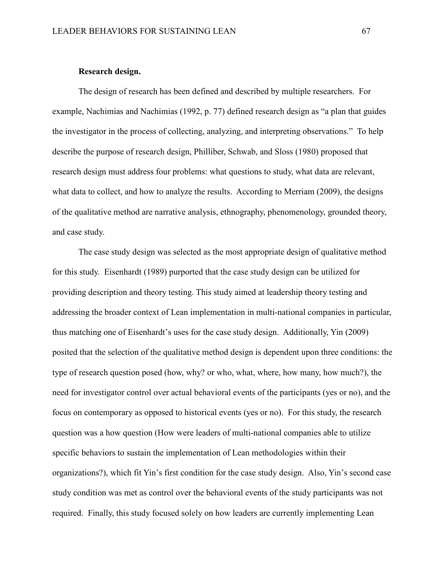#### **Research design.**

The design of research has been defined and described by multiple researchers. For example, Nachimias and Nachimias (1992, p. 77) defined research design as "a plan that guides the investigator in the process of collecting, analyzing, and interpreting observations." To help describe the purpose of research design, Philliber, Schwab, and Sloss (1980) proposed that research design must address four problems: what questions to study, what data are relevant, what data to collect, and how to analyze the results. According to Merriam (2009), the designs of the qualitative method are narrative analysis, ethnography, phenomenology, grounded theory, and case study.

The case study design was selected as the most appropriate design of qualitative method for this study. Eisenhardt (1989) purported that the case study design can be utilized for providing description and theory testing. This study aimed at leadership theory testing and addressing the broader context of Lean implementation in multi-national companies in particular, thus matching one of Eisenhardt's uses for the case study design. Additionally, Yin (2009) posited that the selection of the qualitative method design is dependent upon three conditions: the type of research question posed (how, why? or who, what, where, how many, how much?), the need for investigator control over actual behavioral events of the participants (yes or no), and the focus on contemporary as opposed to historical events (yes or no). For this study, the research question was a how question (How were leaders of multi-national companies able to utilize specific behaviors to sustain the implementation of Lean methodologies within their organizations?), which fit Yin's first condition for the case study design. Also, Yin's second case study condition was met as control over the behavioral events of the study participants was not required. Finally, this study focused solely on how leaders are currently implementing Lean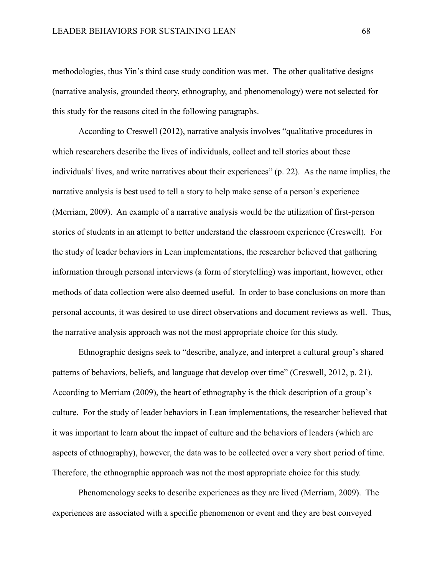methodologies, thus Yin's third case study condition was met. The other qualitative designs (narrative analysis, grounded theory, ethnography, and phenomenology) were not selected for this study for the reasons cited in the following paragraphs.

According to Creswell (2012), narrative analysis involves "qualitative procedures in which researchers describe the lives of individuals, collect and tell stories about these individuals' lives, and write narratives about their experiences" (p. 22). As the name implies, the narrative analysis is best used to tell a story to help make sense of a person's experience (Merriam, 2009). An example of a narrative analysis would be the utilization of first-person stories of students in an attempt to better understand the classroom experience (Creswell). For the study of leader behaviors in Lean implementations, the researcher believed that gathering information through personal interviews (a form of storytelling) was important, however, other methods of data collection were also deemed useful. In order to base conclusions on more than personal accounts, it was desired to use direct observations and document reviews as well. Thus, the narrative analysis approach was not the most appropriate choice for this study.

Ethnographic designs seek to "describe, analyze, and interpret a cultural group's shared patterns of behaviors, beliefs, and language that develop over time" (Creswell, 2012, p. 21). According to Merriam (2009), the heart of ethnography is the thick description of a group's culture. For the study of leader behaviors in Lean implementations, the researcher believed that it was important to learn about the impact of culture and the behaviors of leaders (which are aspects of ethnography), however, the data was to be collected over a very short period of time. Therefore, the ethnographic approach was not the most appropriate choice for this study.

Phenomenology seeks to describe experiences as they are lived (Merriam, 2009). The experiences are associated with a specific phenomenon or event and they are best conveyed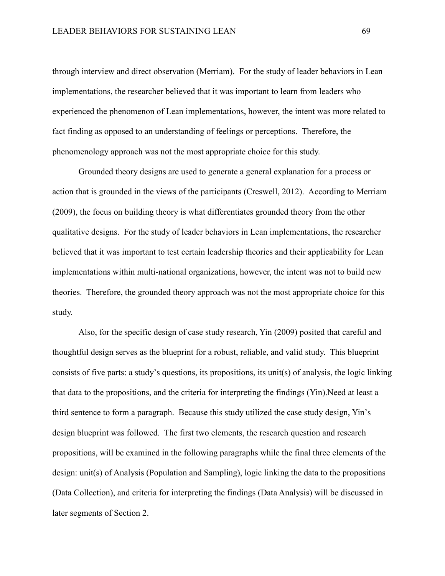through interview and direct observation (Merriam). For the study of leader behaviors in Lean implementations, the researcher believed that it was important to learn from leaders who experienced the phenomenon of Lean implementations, however, the intent was more related to fact finding as opposed to an understanding of feelings or perceptions. Therefore, the phenomenology approach was not the most appropriate choice for this study.

Grounded theory designs are used to generate a general explanation for a process or action that is grounded in the views of the participants (Creswell, 2012). According to Merriam (2009), the focus on building theory is what differentiates grounded theory from the other qualitative designs. For the study of leader behaviors in Lean implementations, the researcher believed that it was important to test certain leadership theories and their applicability for Lean implementations within multi-national organizations, however, the intent was not to build new theories. Therefore, the grounded theory approach was not the most appropriate choice for this study.

Also, for the specific design of case study research, Yin (2009) posited that careful and thoughtful design serves as the blueprint for a robust, reliable, and valid study. This blueprint consists of five parts: a study's questions, its propositions, its unit(s) of analysis, the logic linking that data to the propositions, and the criteria for interpreting the findings (Yin).Need at least a third sentence to form a paragraph. Because this study utilized the case study design, Yin's design blueprint was followed. The first two elements, the research question and research propositions, will be examined in the following paragraphs while the final three elements of the design: unit(s) of Analysis (Population and Sampling), logic linking the data to the propositions (Data Collection), and criteria for interpreting the findings (Data Analysis) will be discussed in later segments of Section 2.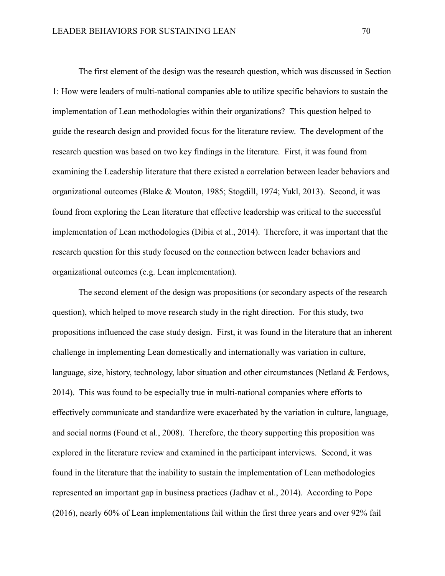The first element of the design was the research question, which was discussed in Section 1: How were leaders of multi-national companies able to utilize specific behaviors to sustain the implementation of Lean methodologies within their organizations? This question helped to guide the research design and provided focus for the literature review. The development of the research question was based on two key findings in the literature. First, it was found from examining the Leadership literature that there existed a correlation between leader behaviors and organizational outcomes (Blake & Mouton, 1985; Stogdill, 1974; Yukl, 2013). Second, it was found from exploring the Lean literature that effective leadership was critical to the successful implementation of Lean methodologies (Dibia et al., 2014). Therefore, it was important that the research question for this study focused on the connection between leader behaviors and organizational outcomes (e.g. Lean implementation).

The second element of the design was propositions (or secondary aspects of the research question), which helped to move research study in the right direction. For this study, two propositions influenced the case study design. First, it was found in the literature that an inherent challenge in implementing Lean domestically and internationally was variation in culture, language, size, history, technology, labor situation and other circumstances (Netland & Ferdows, 2014). This was found to be especially true in multi-national companies where efforts to effectively communicate and standardize were exacerbated by the variation in culture, language, and social norms (Found et al., 2008). Therefore, the theory supporting this proposition was explored in the literature review and examined in the participant interviews. Second, it was found in the literature that the inability to sustain the implementation of Lean methodologies represented an important gap in business practices (Jadhav et al., 2014). According to Pope (2016), nearly 60% of Lean implementations fail within the first three years and over 92% fail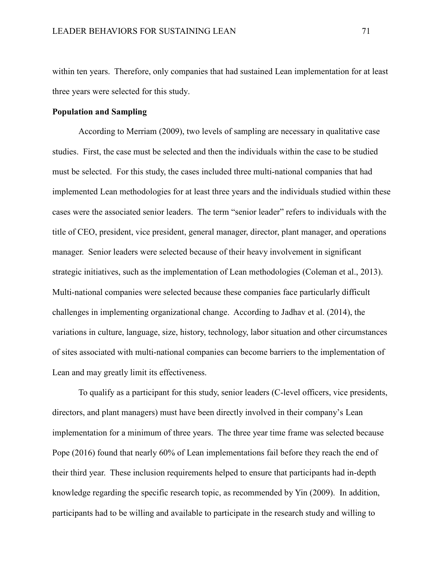within ten years. Therefore, only companies that had sustained Lean implementation for at least three years were selected for this study.

#### **Population and Sampling**

According to Merriam (2009), two levels of sampling are necessary in qualitative case studies. First, the case must be selected and then the individuals within the case to be studied must be selected. For this study, the cases included three multi-national companies that had implemented Lean methodologies for at least three years and the individuals studied within these cases were the associated senior leaders. The term "senior leader" refers to individuals with the title of CEO, president, vice president, general manager, director, plant manager, and operations manager. Senior leaders were selected because of their heavy involvement in significant strategic initiatives, such as the implementation of Lean methodologies (Coleman et al., 2013). Multi-national companies were selected because these companies face particularly difficult challenges in implementing organizational change. According to Jadhav et al. (2014), the variations in culture, language, size, history, technology, labor situation and other circumstances of sites associated with multi-national companies can become barriers to the implementation of Lean and may greatly limit its effectiveness.

To qualify as a participant for this study, senior leaders (C-level officers, vice presidents, directors, and plant managers) must have been directly involved in their company's Lean implementation for a minimum of three years. The three year time frame was selected because Pope (2016) found that nearly 60% of Lean implementations fail before they reach the end of their third year. These inclusion requirements helped to ensure that participants had in-depth knowledge regarding the specific research topic, as recommended by Yin (2009). In addition, participants had to be willing and available to participate in the research study and willing to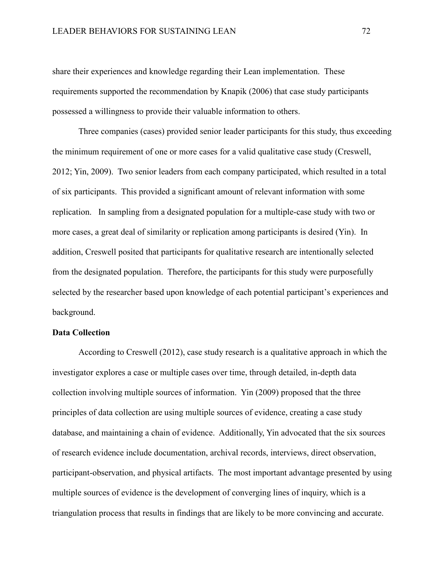share their experiences and knowledge regarding their Lean implementation. These requirements supported the recommendation by Knapik (2006) that case study participants possessed a willingness to provide their valuable information to others.

Three companies (cases) provided senior leader participants for this study, thus exceeding the minimum requirement of one or more cases for a valid qualitative case study (Creswell, 2012; Yin, 2009). Two senior leaders from each company participated, which resulted in a total of six participants. This provided a significant amount of relevant information with some replication. In sampling from a designated population for a multiple-case study with two or more cases, a great deal of similarity or replication among participants is desired (Yin). In addition, Creswell posited that participants for qualitative research are intentionally selected from the designated population. Therefore, the participants for this study were purposefully selected by the researcher based upon knowledge of each potential participant's experiences and background.

### **Data Collection**

According to Creswell (2012), case study research is a qualitative approach in which the investigator explores a case or multiple cases over time, through detailed, in-depth data collection involving multiple sources of information. Yin (2009) proposed that the three principles of data collection are using multiple sources of evidence, creating a case study database, and maintaining a chain of evidence. Additionally, Yin advocated that the six sources of research evidence include documentation, archival records, interviews, direct observation, participant-observation, and physical artifacts. The most important advantage presented by using multiple sources of evidence is the development of converging lines of inquiry, which is a triangulation process that results in findings that are likely to be more convincing and accurate.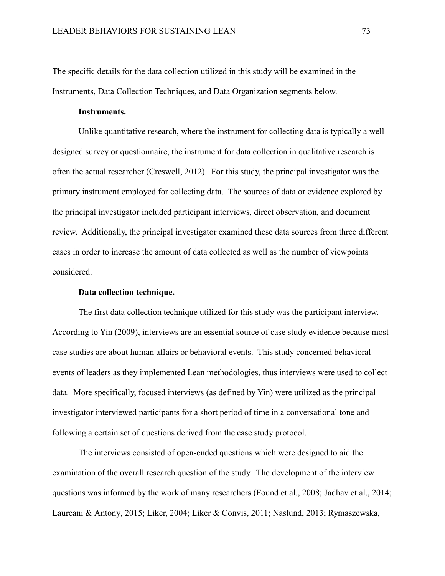The specific details for the data collection utilized in this study will be examined in the Instruments, Data Collection Techniques, and Data Organization segments below.

### **Instruments.**

Unlike quantitative research, where the instrument for collecting data is typically a welldesigned survey or questionnaire, the instrument for data collection in qualitative research is often the actual researcher (Creswell, 2012). For this study, the principal investigator was the primary instrument employed for collecting data. The sources of data or evidence explored by the principal investigator included participant interviews, direct observation, and document review. Additionally, the principal investigator examined these data sources from three different cases in order to increase the amount of data collected as well as the number of viewpoints considered.

# **Data collection technique.**

The first data collection technique utilized for this study was the participant interview. According to Yin (2009), interviews are an essential source of case study evidence because most case studies are about human affairs or behavioral events. This study concerned behavioral events of leaders as they implemented Lean methodologies, thus interviews were used to collect data. More specifically, focused interviews (as defined by Yin) were utilized as the principal investigator interviewed participants for a short period of time in a conversational tone and following a certain set of questions derived from the case study protocol.

The interviews consisted of open-ended questions which were designed to aid the examination of the overall research question of the study. The development of the interview questions was informed by the work of many researchers (Found et al., 2008; Jadhav et al., 2014; Laureani & Antony, 2015; Liker, 2004; Liker & Convis, 2011; Naslund, 2013; Rymaszewska,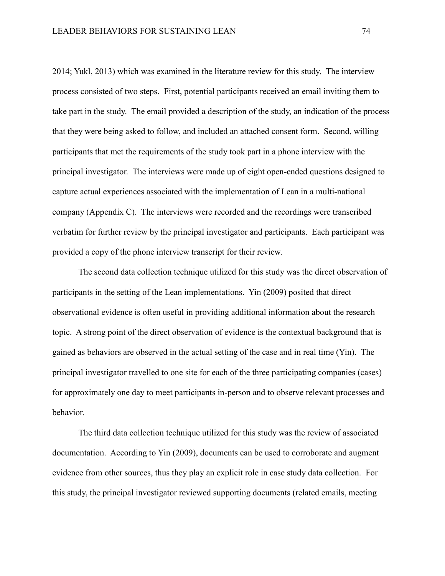2014; Yukl, 2013) which was examined in the literature review for this study. The interview process consisted of two steps. First, potential participants received an email inviting them to take part in the study. The email provided a description of the study, an indication of the process that they were being asked to follow, and included an attached consent form. Second, willing participants that met the requirements of the study took part in a phone interview with the principal investigator. The interviews were made up of eight open-ended questions designed to capture actual experiences associated with the implementation of Lean in a multi-national company (Appendix C). The interviews were recorded and the recordings were transcribed verbatim for further review by the principal investigator and participants. Each participant was provided a copy of the phone interview transcript for their review.

The second data collection technique utilized for this study was the direct observation of participants in the setting of the Lean implementations. Yin (2009) posited that direct observational evidence is often useful in providing additional information about the research topic. A strong point of the direct observation of evidence is the contextual background that is gained as behaviors are observed in the actual setting of the case and in real time (Yin). The principal investigator travelled to one site for each of the three participating companies (cases) for approximately one day to meet participants in-person and to observe relevant processes and behavior.

The third data collection technique utilized for this study was the review of associated documentation. According to Yin (2009), documents can be used to corroborate and augment evidence from other sources, thus they play an explicit role in case study data collection. For this study, the principal investigator reviewed supporting documents (related emails, meeting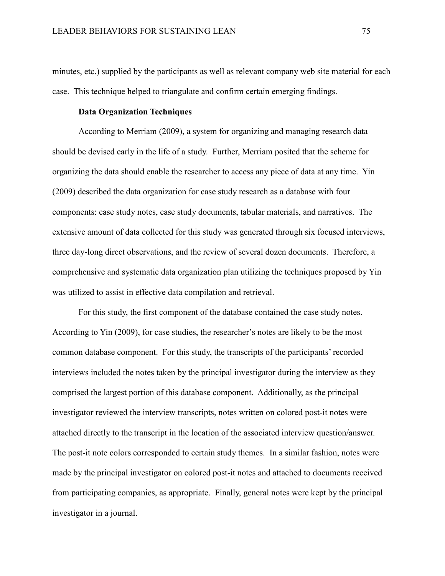minutes, etc.) supplied by the participants as well as relevant company web site material for each case. This technique helped to triangulate and confirm certain emerging findings.

## **Data Organization Techniques**

According to Merriam (2009), a system for organizing and managing research data should be devised early in the life of a study. Further, Merriam posited that the scheme for organizing the data should enable the researcher to access any piece of data at any time. Yin (2009) described the data organization for case study research as a database with four components: case study notes, case study documents, tabular materials, and narratives. The extensive amount of data collected for this study was generated through six focused interviews, three day-long direct observations, and the review of several dozen documents. Therefore, a comprehensive and systematic data organization plan utilizing the techniques proposed by Yin was utilized to assist in effective data compilation and retrieval.

For this study, the first component of the database contained the case study notes. According to Yin (2009), for case studies, the researcher's notes are likely to be the most common database component. For this study, the transcripts of the participants' recorded interviews included the notes taken by the principal investigator during the interview as they comprised the largest portion of this database component. Additionally, as the principal investigator reviewed the interview transcripts, notes written on colored post-it notes were attached directly to the transcript in the location of the associated interview question/answer. The post-it note colors corresponded to certain study themes. In a similar fashion, notes were made by the principal investigator on colored post-it notes and attached to documents received from participating companies, as appropriate. Finally, general notes were kept by the principal investigator in a journal.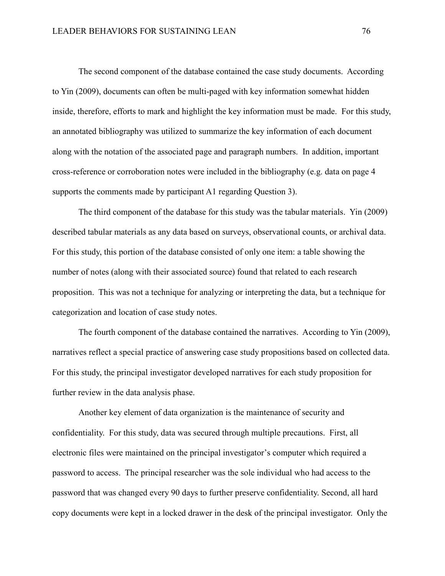The second component of the database contained the case study documents. According to Yin (2009), documents can often be multi-paged with key information somewhat hidden inside, therefore, efforts to mark and highlight the key information must be made. For this study, an annotated bibliography was utilized to summarize the key information of each document along with the notation of the associated page and paragraph numbers. In addition, important cross-reference or corroboration notes were included in the bibliography (e.g. data on page 4 supports the comments made by participant A1 regarding Question 3).

The third component of the database for this study was the tabular materials. Yin (2009) described tabular materials as any data based on surveys, observational counts, or archival data. For this study, this portion of the database consisted of only one item: a table showing the number of notes (along with their associated source) found that related to each research proposition. This was not a technique for analyzing or interpreting the data, but a technique for categorization and location of case study notes.

The fourth component of the database contained the narratives. According to Yin (2009), narratives reflect a special practice of answering case study propositions based on collected data. For this study, the principal investigator developed narratives for each study proposition for further review in the data analysis phase.

Another key element of data organization is the maintenance of security and confidentiality. For this study, data was secured through multiple precautions. First, all electronic files were maintained on the principal investigator's computer which required a password to access. The principal researcher was the sole individual who had access to the password that was changed every 90 days to further preserve confidentiality. Second, all hard copy documents were kept in a locked drawer in the desk of the principal investigator. Only the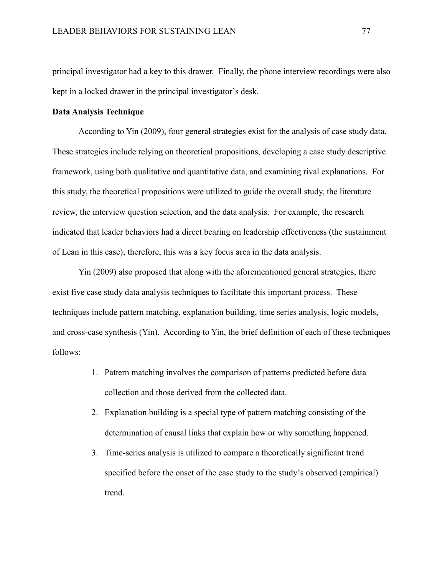principal investigator had a key to this drawer. Finally, the phone interview recordings were also kept in a locked drawer in the principal investigator's desk.

#### **Data Analysis Technique**

According to Yin (2009), four general strategies exist for the analysis of case study data. These strategies include relying on theoretical propositions, developing a case study descriptive framework, using both qualitative and quantitative data, and examining rival explanations. For this study, the theoretical propositions were utilized to guide the overall study, the literature review, the interview question selection, and the data analysis. For example, the research indicated that leader behaviors had a direct bearing on leadership effectiveness (the sustainment of Lean in this case); therefore, this was a key focus area in the data analysis.

Yin (2009) also proposed that along with the aforementioned general strategies, there exist five case study data analysis techniques to facilitate this important process. These techniques include pattern matching, explanation building, time series analysis, logic models, and cross-case synthesis (Yin). According to Yin, the brief definition of each of these techniques follows:

- 1. Pattern matching involves the comparison of patterns predicted before data collection and those derived from the collected data.
- 2. Explanation building is a special type of pattern matching consisting of the determination of causal links that explain how or why something happened.
- 3. Time-series analysis is utilized to compare a theoretically significant trend specified before the onset of the case study to the study's observed (empirical) trend.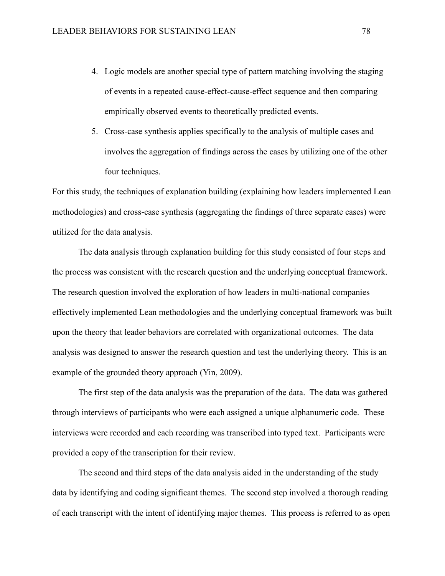- 4. Logic models are another special type of pattern matching involving the staging of events in a repeated cause-effect-cause-effect sequence and then comparing empirically observed events to theoretically predicted events.
- 5. Cross-case synthesis applies specifically to the analysis of multiple cases and involves the aggregation of findings across the cases by utilizing one of the other four techniques.

For this study, the techniques of explanation building (explaining how leaders implemented Lean methodologies) and cross-case synthesis (aggregating the findings of three separate cases) were utilized for the data analysis.

The data analysis through explanation building for this study consisted of four steps and the process was consistent with the research question and the underlying conceptual framework. The research question involved the exploration of how leaders in multi-national companies effectively implemented Lean methodologies and the underlying conceptual framework was built upon the theory that leader behaviors are correlated with organizational outcomes. The data analysis was designed to answer the research question and test the underlying theory. This is an example of the grounded theory approach (Yin, 2009).

The first step of the data analysis was the preparation of the data. The data was gathered through interviews of participants who were each assigned a unique alphanumeric code. These interviews were recorded and each recording was transcribed into typed text. Participants were provided a copy of the transcription for their review.

The second and third steps of the data analysis aided in the understanding of the study data by identifying and coding significant themes. The second step involved a thorough reading of each transcript with the intent of identifying major themes. This process is referred to as open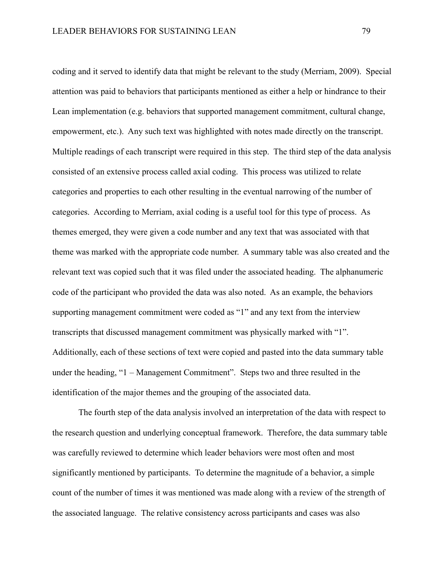coding and it served to identify data that might be relevant to the study (Merriam, 2009). Special attention was paid to behaviors that participants mentioned as either a help or hindrance to their Lean implementation (e.g. behaviors that supported management commitment, cultural change, empowerment, etc.). Any such text was highlighted with notes made directly on the transcript. Multiple readings of each transcript were required in this step. The third step of the data analysis consisted of an extensive process called axial coding. This process was utilized to relate categories and properties to each other resulting in the eventual narrowing of the number of categories. According to Merriam, axial coding is a useful tool for this type of process. As themes emerged, they were given a code number and any text that was associated with that theme was marked with the appropriate code number. A summary table was also created and the relevant text was copied such that it was filed under the associated heading. The alphanumeric code of the participant who provided the data was also noted. As an example, the behaviors supporting management commitment were coded as "1" and any text from the interview transcripts that discussed management commitment was physically marked with "1". Additionally, each of these sections of text were copied and pasted into the data summary table under the heading, "1 – Management Commitment". Steps two and three resulted in the identification of the major themes and the grouping of the associated data.

The fourth step of the data analysis involved an interpretation of the data with respect to the research question and underlying conceptual framework. Therefore, the data summary table was carefully reviewed to determine which leader behaviors were most often and most significantly mentioned by participants. To determine the magnitude of a behavior, a simple count of the number of times it was mentioned was made along with a review of the strength of the associated language. The relative consistency across participants and cases was also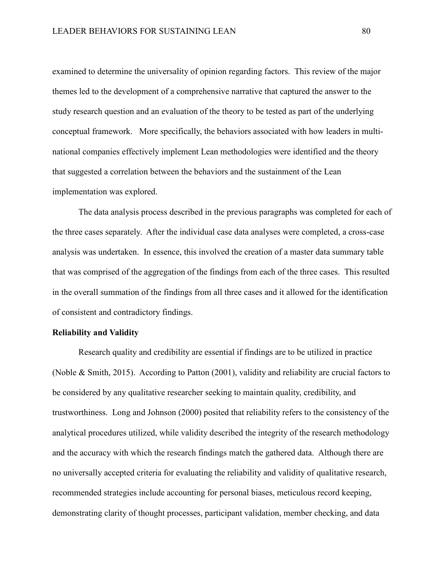examined to determine the universality of opinion regarding factors. This review of the major themes led to the development of a comprehensive narrative that captured the answer to the study research question and an evaluation of the theory to be tested as part of the underlying conceptual framework. More specifically, the behaviors associated with how leaders in multinational companies effectively implement Lean methodologies were identified and the theory that suggested a correlation between the behaviors and the sustainment of the Lean implementation was explored.

The data analysis process described in the previous paragraphs was completed for each of the three cases separately. After the individual case data analyses were completed, a cross-case analysis was undertaken. In essence, this involved the creation of a master data summary table that was comprised of the aggregation of the findings from each of the three cases. This resulted in the overall summation of the findings from all three cases and it allowed for the identification of consistent and contradictory findings.

### **Reliability and Validity**

Research quality and credibility are essential if findings are to be utilized in practice (Noble & Smith, 2015). According to Patton (2001), validity and reliability are crucial factors to be considered by any qualitative researcher seeking to maintain quality, credibility, and trustworthiness. Long and Johnson (2000) posited that reliability refers to the consistency of the analytical procedures utilized, while validity described the integrity of the research methodology and the accuracy with which the research findings match the gathered data. Although there are no universally accepted criteria for evaluating the reliability and validity of qualitative research, recommended strategies include accounting for personal biases, meticulous record keeping, demonstrating clarity of thought processes, participant validation, member checking, and data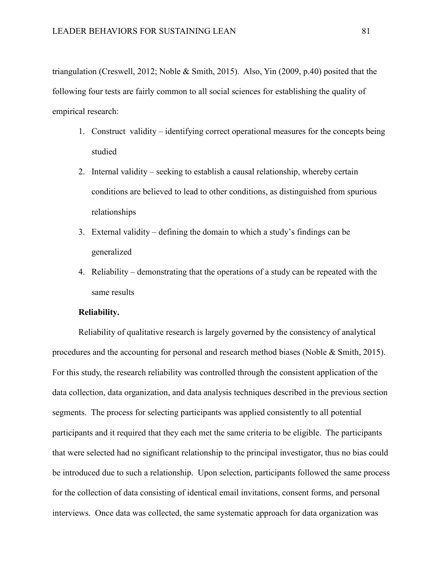triangulation (Creswell, 2012; Noble & Smith, 2015). Also, Yin (2009, p.40) posited that the following four tests are fairly common to all social sciences for establishing the quality of empirical research:

- 1. Construct validity identifying correct operational measures for the concepts being studied
- 2. Internal validity seeking to establish a causal relationship, whereby certain conditions are believed to lead to other conditions, as distinguished from spurious relationships
- 3. External validity defining the domain to which a study's findings can be generalized
- 4. Reliability demonstrating that the operations of a study can be repeated with the same results

# **Reliability.**

Reliability of qualitative research is largely governed by the consistency of analytical procedures and the accounting for personal and research method biases (Noble & Smith, 2015). For this study, the research reliability was controlled through the consistent application of the data collection, data organization, and data analysis techniques described in the previous section segments. The process for selecting participants was applied consistently to all potential participants and it required that they each met the same criteria to be eligible. The participants that were selected had no significant relationship to the principal investigator, thus no bias could be introduced due to such a relationship. Upon selection, participants followed the same process for the collection of data consisting of identical email invitations, consent forms, and personal interviews. Once data was collected, the same systematic approach for data organization was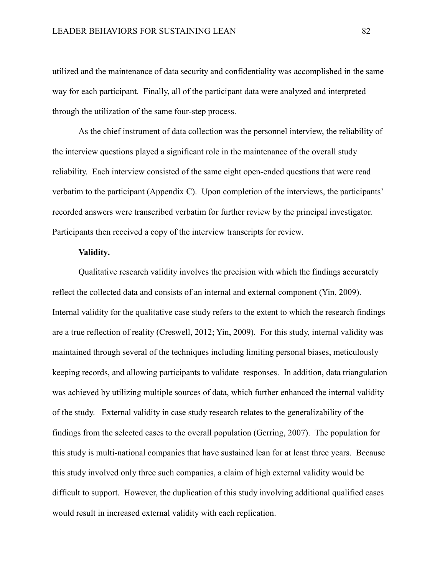utilized and the maintenance of data security and confidentiality was accomplished in the same way for each participant. Finally, all of the participant data were analyzed and interpreted through the utilization of the same four-step process.

As the chief instrument of data collection was the personnel interview, the reliability of the interview questions played a significant role in the maintenance of the overall study reliability. Each interview consisted of the same eight open-ended questions that were read verbatim to the participant (Appendix C). Upon completion of the interviews, the participants' recorded answers were transcribed verbatim for further review by the principal investigator. Participants then received a copy of the interview transcripts for review.

### **Validity.**

Qualitative research validity involves the precision with which the findings accurately reflect the collected data and consists of an internal and external component (Yin, 2009). Internal validity for the qualitative case study refers to the extent to which the research findings are a true reflection of reality (Creswell, 2012; Yin, 2009). For this study, internal validity was maintained through several of the techniques including limiting personal biases, meticulously keeping records, and allowing participants to validate responses. In addition, data triangulation was achieved by utilizing multiple sources of data, which further enhanced the internal validity of the study. External validity in case study research relates to the generalizability of the findings from the selected cases to the overall population (Gerring, 2007). The population for this study is multi-national companies that have sustained lean for at least three years. Because this study involved only three such companies, a claim of high external validity would be difficult to support. However, the duplication of this study involving additional qualified cases would result in increased external validity with each replication.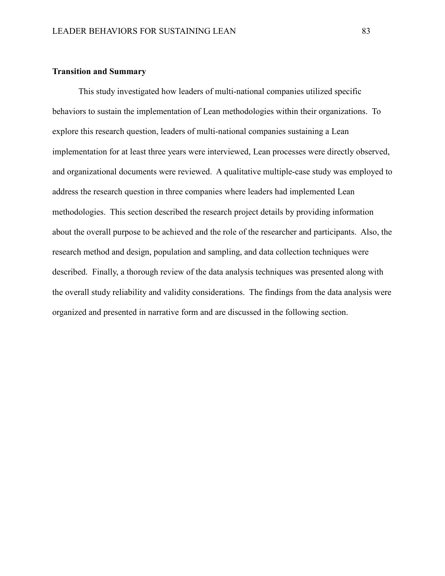#### **Transition and Summary**

This study investigated how leaders of multi-national companies utilized specific behaviors to sustain the implementation of Lean methodologies within their organizations. To explore this research question, leaders of multi-national companies sustaining a Lean implementation for at least three years were interviewed, Lean processes were directly observed, and organizational documents were reviewed. A qualitative multiple-case study was employed to address the research question in three companies where leaders had implemented Lean methodologies. This section described the research project details by providing information about the overall purpose to be achieved and the role of the researcher and participants. Also, the research method and design, population and sampling, and data collection techniques were described. Finally, a thorough review of the data analysis techniques was presented along with the overall study reliability and validity considerations. The findings from the data analysis were organized and presented in narrative form and are discussed in the following section.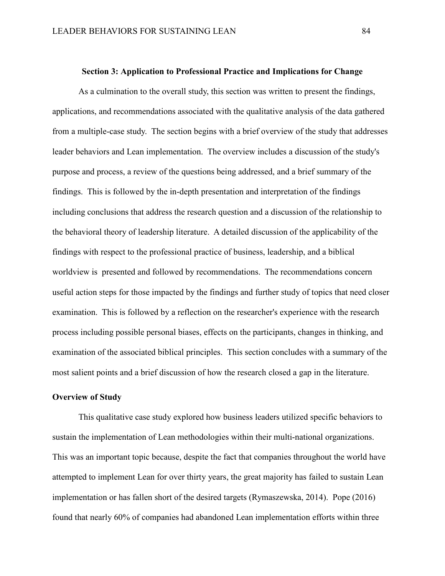#### **Section 3: Application to Professional Practice and Implications for Change**

As a culmination to the overall study, this section was written to present the findings, applications, and recommendations associated with the qualitative analysis of the data gathered from a multiple-case study. The section begins with a brief overview of the study that addresses leader behaviors and Lean implementation. The overview includes a discussion of the study's purpose and process, a review of the questions being addressed, and a brief summary of the findings. This is followed by the in-depth presentation and interpretation of the findings including conclusions that address the research question and a discussion of the relationship to the behavioral theory of leadership literature. A detailed discussion of the applicability of the findings with respect to the professional practice of business, leadership, and a biblical worldview is presented and followed by recommendations. The recommendations concern useful action steps for those impacted by the findings and further study of topics that need closer examination. This is followed by a reflection on the researcher's experience with the research process including possible personal biases, effects on the participants, changes in thinking, and examination of the associated biblical principles. This section concludes with a summary of the most salient points and a brief discussion of how the research closed a gap in the literature.

### **Overview of Study**

This qualitative case study explored how business leaders utilized specific behaviors to sustain the implementation of Lean methodologies within their multi-national organizations. This was an important topic because, despite the fact that companies throughout the world have attempted to implement Lean for over thirty years, the great majority has failed to sustain Lean implementation or has fallen short of the desired targets (Rymaszewska, 2014). Pope (2016) found that nearly 60% of companies had abandoned Lean implementation efforts within three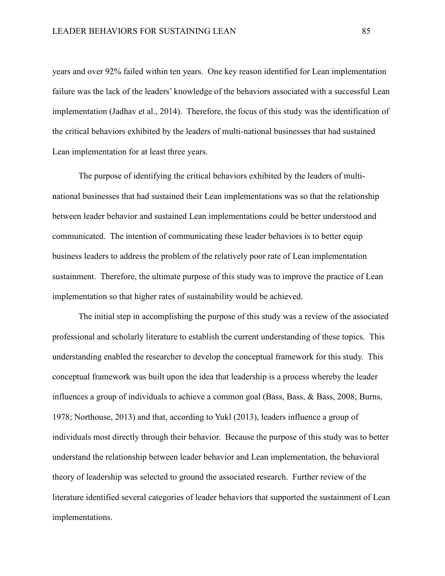years and over 92% failed within ten years. One key reason identified for Lean implementation failure was the lack of the leaders' knowledge of the behaviors associated with a successful Lean implementation (Jadhav et al., 2014). Therefore, the focus of this study was the identification of the critical behaviors exhibited by the leaders of multi-national businesses that had sustained Lean implementation for at least three years.

The purpose of identifying the critical behaviors exhibited by the leaders of multinational businesses that had sustained their Lean implementations was so that the relationship between leader behavior and sustained Lean implementations could be better understood and communicated. The intention of communicating these leader behaviors is to better equip business leaders to address the problem of the relatively poor rate of Lean implementation sustainment. Therefore, the ultimate purpose of this study was to improve the practice of Lean implementation so that higher rates of sustainability would be achieved.

The initial step in accomplishing the purpose of this study was a review of the associated professional and scholarly literature to establish the current understanding of these topics. This understanding enabled the researcher to develop the conceptual framework for this study. This conceptual framework was built upon the idea that leadership is a process whereby the leader influences a group of individuals to achieve a common goal (Bass, Bass, & Bass, 2008; Burns, 1978; Northouse, 2013) and that, according to Yukl (2013), leaders influence a group of individuals most directly through their behavior. Because the purpose of this study was to better understand the relationship between leader behavior and Lean implementation, the behavioral theory of leadership was selected to ground the associated research. Further review of the literature identified several categories of leader behaviors that supported the sustainment of Lean implementations.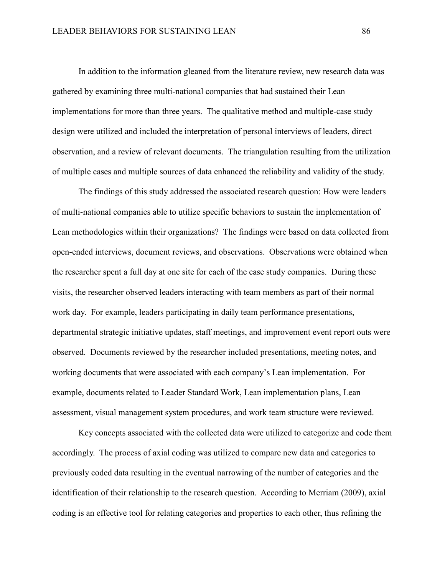In addition to the information gleaned from the literature review, new research data was gathered by examining three multi-national companies that had sustained their Lean implementations for more than three years. The qualitative method and multiple-case study design were utilized and included the interpretation of personal interviews of leaders, direct observation, and a review of relevant documents. The triangulation resulting from the utilization of multiple cases and multiple sources of data enhanced the reliability and validity of the study.

The findings of this study addressed the associated research question: How were leaders of multi-national companies able to utilize specific behaviors to sustain the implementation of Lean methodologies within their organizations? The findings were based on data collected from open-ended interviews, document reviews, and observations. Observations were obtained when the researcher spent a full day at one site for each of the case study companies. During these visits, the researcher observed leaders interacting with team members as part of their normal work day. For example, leaders participating in daily team performance presentations, departmental strategic initiative updates, staff meetings, and improvement event report outs were observed. Documents reviewed by the researcher included presentations, meeting notes, and working documents that were associated with each company's Lean implementation. For example, documents related to Leader Standard Work, Lean implementation plans, Lean assessment, visual management system procedures, and work team structure were reviewed.

Key concepts associated with the collected data were utilized to categorize and code them accordingly. The process of axial coding was utilized to compare new data and categories to previously coded data resulting in the eventual narrowing of the number of categories and the identification of their relationship to the research question. According to Merriam (2009), axial coding is an effective tool for relating categories and properties to each other, thus refining the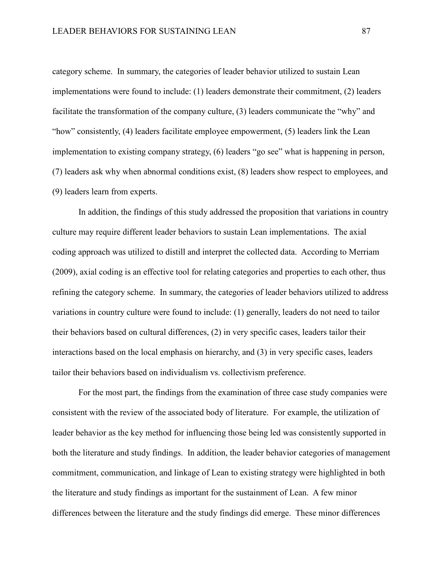category scheme. In summary, the categories of leader behavior utilized to sustain Lean implementations were found to include: (1) leaders demonstrate their commitment, (2) leaders facilitate the transformation of the company culture, (3) leaders communicate the "why" and "how" consistently, (4) leaders facilitate employee empowerment, (5) leaders link the Lean implementation to existing company strategy, (6) leaders "go see" what is happening in person, (7) leaders ask why when abnormal conditions exist, (8) leaders show respect to employees, and (9) leaders learn from experts.

In addition, the findings of this study addressed the proposition that variations in country culture may require different leader behaviors to sustain Lean implementations. The axial coding approach was utilized to distill and interpret the collected data. According to Merriam (2009), axial coding is an effective tool for relating categories and properties to each other, thus refining the category scheme. In summary, the categories of leader behaviors utilized to address variations in country culture were found to include: (1) generally, leaders do not need to tailor their behaviors based on cultural differences, (2) in very specific cases, leaders tailor their interactions based on the local emphasis on hierarchy, and (3) in very specific cases, leaders tailor their behaviors based on individualism vs. collectivism preference.

For the most part, the findings from the examination of three case study companies were consistent with the review of the associated body of literature. For example, the utilization of leader behavior as the key method for influencing those being led was consistently supported in both the literature and study findings. In addition, the leader behavior categories of management commitment, communication, and linkage of Lean to existing strategy were highlighted in both the literature and study findings as important for the sustainment of Lean. A few minor differences between the literature and the study findings did emerge. These minor differences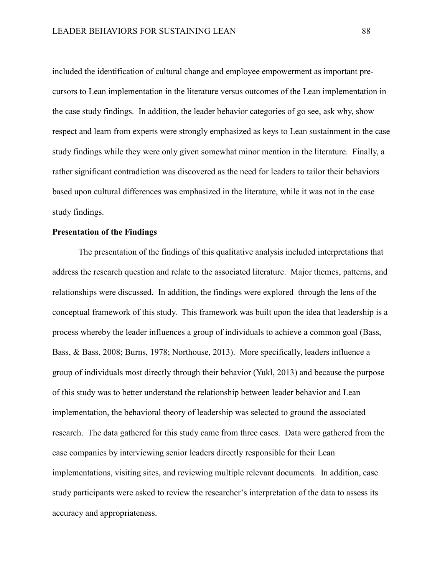included the identification of cultural change and employee empowerment as important precursors to Lean implementation in the literature versus outcomes of the Lean implementation in the case study findings. In addition, the leader behavior categories of go see, ask why, show respect and learn from experts were strongly emphasized as keys to Lean sustainment in the case study findings while they were only given somewhat minor mention in the literature. Finally, a rather significant contradiction was discovered as the need for leaders to tailor their behaviors based upon cultural differences was emphasized in the literature, while it was not in the case study findings.

# **Presentation of the Findings**

The presentation of the findings of this qualitative analysis included interpretations that address the research question and relate to the associated literature. Major themes, patterns, and relationships were discussed. In addition, the findings were explored through the lens of the conceptual framework of this study. This framework was built upon the idea that leadership is a process whereby the leader influences a group of individuals to achieve a common goal (Bass, Bass, & Bass, 2008; Burns, 1978; Northouse, 2013). More specifically, leaders influence a group of individuals most directly through their behavior (Yukl, 2013) and because the purpose of this study was to better understand the relationship between leader behavior and Lean implementation, the behavioral theory of leadership was selected to ground the associated research. The data gathered for this study came from three cases. Data were gathered from the case companies by interviewing senior leaders directly responsible for their Lean implementations, visiting sites, and reviewing multiple relevant documents. In addition, case study participants were asked to review the researcher's interpretation of the data to assess its accuracy and appropriateness.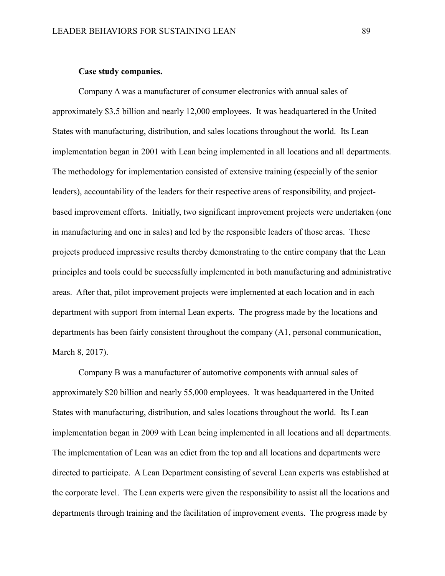#### **Case study companies.**

Company A was a manufacturer of consumer electronics with annual sales of approximately \$3.5 billion and nearly 12,000 employees. It was headquartered in the United States with manufacturing, distribution, and sales locations throughout the world. Its Lean implementation began in 2001 with Lean being implemented in all locations and all departments. The methodology for implementation consisted of extensive training (especially of the senior leaders), accountability of the leaders for their respective areas of responsibility, and projectbased improvement efforts. Initially, two significant improvement projects were undertaken (one in manufacturing and one in sales) and led by the responsible leaders of those areas. These projects produced impressive results thereby demonstrating to the entire company that the Lean principles and tools could be successfully implemented in both manufacturing and administrative areas. After that, pilot improvement projects were implemented at each location and in each department with support from internal Lean experts. The progress made by the locations and departments has been fairly consistent throughout the company (A1, personal communication, March 8, 2017).

Company B was a manufacturer of automotive components with annual sales of approximately \$20 billion and nearly 55,000 employees. It was headquartered in the United States with manufacturing, distribution, and sales locations throughout the world. Its Lean implementation began in 2009 with Lean being implemented in all locations and all departments. The implementation of Lean was an edict from the top and all locations and departments were directed to participate. A Lean Department consisting of several Lean experts was established at the corporate level. The Lean experts were given the responsibility to assist all the locations and departments through training and the facilitation of improvement events. The progress made by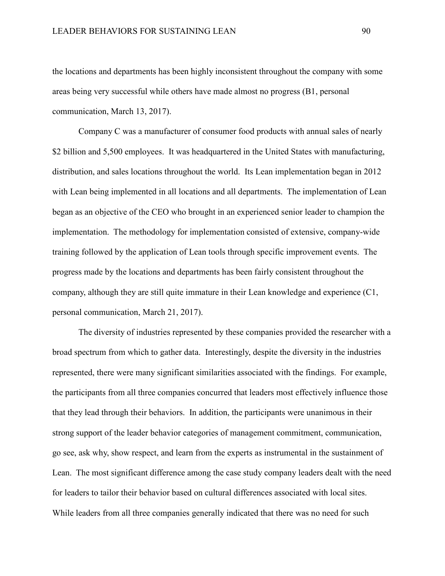the locations and departments has been highly inconsistent throughout the company with some areas being very successful while others have made almost no progress (B1, personal communication, March 13, 2017).

Company C was a manufacturer of consumer food products with annual sales of nearly \$2 billion and 5,500 employees. It was headquartered in the United States with manufacturing, distribution, and sales locations throughout the world. Its Lean implementation began in 2012 with Lean being implemented in all locations and all departments. The implementation of Lean began as an objective of the CEO who brought in an experienced senior leader to champion the implementation. The methodology for implementation consisted of extensive, company-wide training followed by the application of Lean tools through specific improvement events. The progress made by the locations and departments has been fairly consistent throughout the company, although they are still quite immature in their Lean knowledge and experience (C1, personal communication, March 21, 2017).

The diversity of industries represented by these companies provided the researcher with a broad spectrum from which to gather data. Interestingly, despite the diversity in the industries represented, there were many significant similarities associated with the findings. For example, the participants from all three companies concurred that leaders most effectively influence those that they lead through their behaviors. In addition, the participants were unanimous in their strong support of the leader behavior categories of management commitment, communication, go see, ask why, show respect, and learn from the experts as instrumental in the sustainment of Lean. The most significant difference among the case study company leaders dealt with the need for leaders to tailor their behavior based on cultural differences associated with local sites. While leaders from all three companies generally indicated that there was no need for such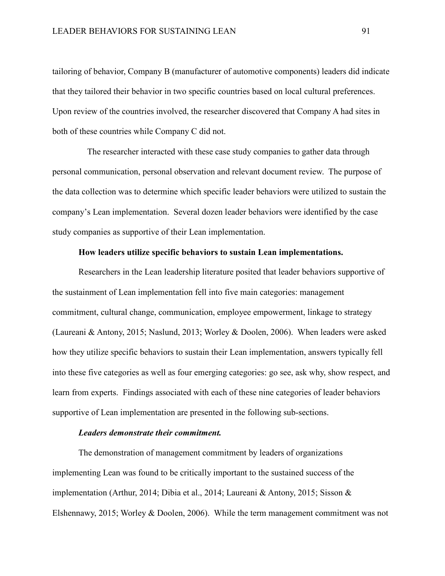tailoring of behavior, Company B (manufacturer of automotive components) leaders did indicate that they tailored their behavior in two specific countries based on local cultural preferences. Upon review of the countries involved, the researcher discovered that Company A had sites in both of these countries while Company C did not.

 The researcher interacted with these case study companies to gather data through personal communication, personal observation and relevant document review. The purpose of the data collection was to determine which specific leader behaviors were utilized to sustain the company's Lean implementation. Several dozen leader behaviors were identified by the case study companies as supportive of their Lean implementation.

### **How leaders utilize specific behaviors to sustain Lean implementations.**

Researchers in the Lean leadership literature posited that leader behaviors supportive of the sustainment of Lean implementation fell into five main categories: management commitment, cultural change, communication, employee empowerment, linkage to strategy (Laureani & Antony, 2015; Naslund, 2013; Worley & Doolen, 2006). When leaders were asked how they utilize specific behaviors to sustain their Lean implementation, answers typically fell into these five categories as well as four emerging categories: go see, ask why, show respect, and learn from experts. Findings associated with each of these nine categories of leader behaviors supportive of Lean implementation are presented in the following sub-sections.

### *Leaders demonstrate their commitment.*

The demonstration of management commitment by leaders of organizations implementing Lean was found to be critically important to the sustained success of the implementation (Arthur, 2014; Dibia et al., 2014; Laureani & Antony, 2015; Sisson & Elshennawy, 2015; Worley & Doolen, 2006). While the term management commitment was not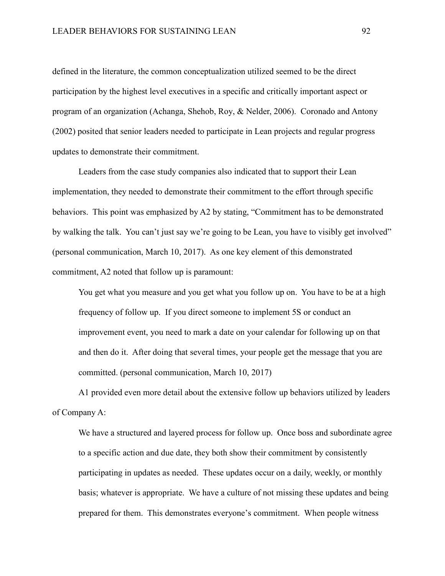defined in the literature, the common conceptualization utilized seemed to be the direct participation by the highest level executives in a specific and critically important aspect or program of an organization (Achanga, Shehob, Roy, & Nelder, 2006). Coronado and Antony (2002) posited that senior leaders needed to participate in Lean projects and regular progress updates to demonstrate their commitment.

Leaders from the case study companies also indicated that to support their Lean implementation, they needed to demonstrate their commitment to the effort through specific behaviors. This point was emphasized by A2 by stating, "Commitment has to be demonstrated by walking the talk. You can't just say we're going to be Lean, you have to visibly get involved" (personal communication, March 10, 2017). As one key element of this demonstrated commitment, A2 noted that follow up is paramount:

You get what you measure and you get what you follow up on. You have to be at a high frequency of follow up. If you direct someone to implement 5S or conduct an improvement event, you need to mark a date on your calendar for following up on that and then do it. After doing that several times, your people get the message that you are committed. (personal communication, March 10, 2017)

A1 provided even more detail about the extensive follow up behaviors utilized by leaders of Company A:

We have a structured and layered process for follow up. Once boss and subordinate agree to a specific action and due date, they both show their commitment by consistently participating in updates as needed. These updates occur on a daily, weekly, or monthly basis; whatever is appropriate. We have a culture of not missing these updates and being prepared for them. This demonstrates everyone's commitment. When people witness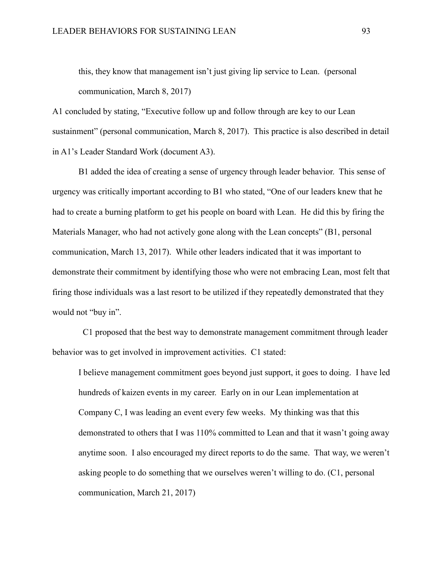this, they know that management isn't just giving lip service to Lean. (personal communication, March 8, 2017)

A1 concluded by stating, "Executive follow up and follow through are key to our Lean sustainment" (personal communication, March 8, 2017). This practice is also described in detail in A1's Leader Standard Work (document A3).

B1 added the idea of creating a sense of urgency through leader behavior. This sense of urgency was critically important according to B1 who stated, "One of our leaders knew that he had to create a burning platform to get his people on board with Lean. He did this by firing the Materials Manager, who had not actively gone along with the Lean concepts" (B1, personal communication, March 13, 2017). While other leaders indicated that it was important to demonstrate their commitment by identifying those who were not embracing Lean, most felt that firing those individuals was a last resort to be utilized if they repeatedly demonstrated that they would not "buy in".

 C1 proposed that the best way to demonstrate management commitment through leader behavior was to get involved in improvement activities. C1 stated:

I believe management commitment goes beyond just support, it goes to doing. I have led hundreds of kaizen events in my career. Early on in our Lean implementation at Company C, I was leading an event every few weeks. My thinking was that this demonstrated to others that I was 110% committed to Lean and that it wasn't going away anytime soon. I also encouraged my direct reports to do the same. That way, we weren't asking people to do something that we ourselves weren't willing to do. (C1, personal communication, March 21, 2017)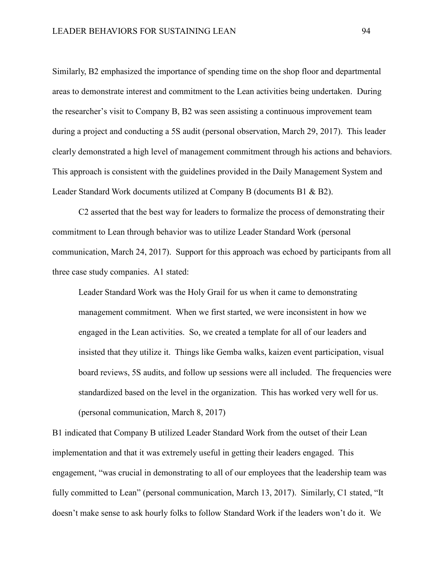Similarly, B2 emphasized the importance of spending time on the shop floor and departmental areas to demonstrate interest and commitment to the Lean activities being undertaken. During the researcher's visit to Company B, B2 was seen assisting a continuous improvement team during a project and conducting a 5S audit (personal observation, March 29, 2017). This leader clearly demonstrated a high level of management commitment through his actions and behaviors. This approach is consistent with the guidelines provided in the Daily Management System and Leader Standard Work documents utilized at Company B (documents B1 & B2).

C2 asserted that the best way for leaders to formalize the process of demonstrating their commitment to Lean through behavior was to utilize Leader Standard Work (personal communication, March 24, 2017). Support for this approach was echoed by participants from all three case study companies. A1 stated:

Leader Standard Work was the Holy Grail for us when it came to demonstrating management commitment. When we first started, we were inconsistent in how we engaged in the Lean activities. So, we created a template for all of our leaders and insisted that they utilize it. Things like Gemba walks, kaizen event participation, visual board reviews, 5S audits, and follow up sessions were all included. The frequencies were standardized based on the level in the organization. This has worked very well for us. (personal communication, March 8, 2017)

B1 indicated that Company B utilized Leader Standard Work from the outset of their Lean implementation and that it was extremely useful in getting their leaders engaged. This engagement, "was crucial in demonstrating to all of our employees that the leadership team was fully committed to Lean" (personal communication, March 13, 2017). Similarly, C1 stated, "It doesn't make sense to ask hourly folks to follow Standard Work if the leaders won't do it. We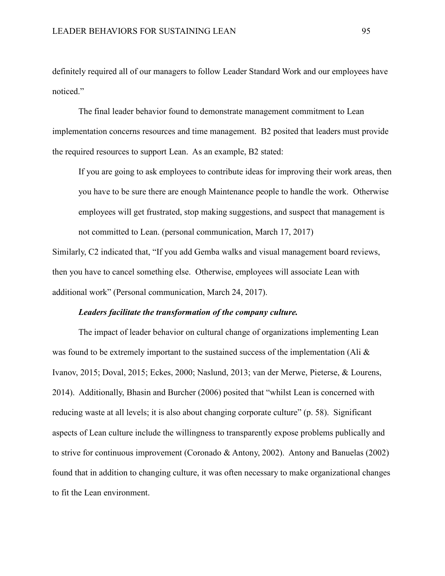definitely required all of our managers to follow Leader Standard Work and our employees have noticed."

The final leader behavior found to demonstrate management commitment to Lean implementation concerns resources and time management. B2 posited that leaders must provide the required resources to support Lean. As an example, B2 stated:

If you are going to ask employees to contribute ideas for improving their work areas, then you have to be sure there are enough Maintenance people to handle the work. Otherwise employees will get frustrated, stop making suggestions, and suspect that management is not committed to Lean. (personal communication, March 17, 2017)

Similarly, C2 indicated that, "If you add Gemba walks and visual management board reviews, then you have to cancel something else. Otherwise, employees will associate Lean with additional work" (Personal communication, March 24, 2017).

### *Leaders facilitate the transformation of the company culture.*

The impact of leader behavior on cultural change of organizations implementing Lean was found to be extremely important to the sustained success of the implementation (Ali  $\&$ Ivanov, 2015; Doval, 2015; Eckes, 2000; Naslund, 2013; van der Merwe, Pieterse, & Lourens, 2014). Additionally, Bhasin and Burcher (2006) posited that "whilst Lean is concerned with reducing waste at all levels; it is also about changing corporate culture" (p. 58). Significant aspects of Lean culture include the willingness to transparently expose problems publically and to strive for continuous improvement (Coronado & Antony, 2002). Antony and Banuelas (2002) found that in addition to changing culture, it was often necessary to make organizational changes to fit the Lean environment.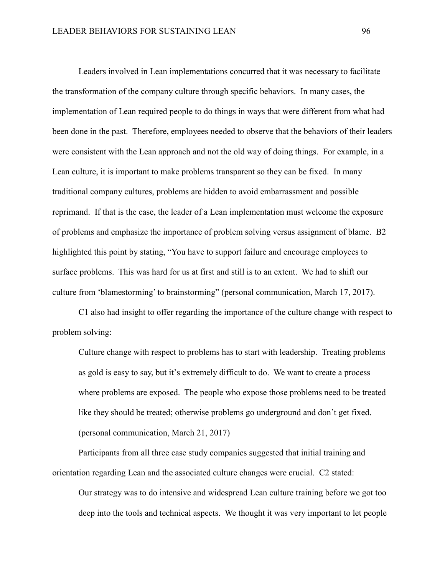Leaders involved in Lean implementations concurred that it was necessary to facilitate the transformation of the company culture through specific behaviors. In many cases, the implementation of Lean required people to do things in ways that were different from what had been done in the past. Therefore, employees needed to observe that the behaviors of their leaders were consistent with the Lean approach and not the old way of doing things. For example, in a Lean culture, it is important to make problems transparent so they can be fixed. In many traditional company cultures, problems are hidden to avoid embarrassment and possible reprimand. If that is the case, the leader of a Lean implementation must welcome the exposure of problems and emphasize the importance of problem solving versus assignment of blame. B2 highlighted this point by stating, "You have to support failure and encourage employees to surface problems. This was hard for us at first and still is to an extent. We had to shift our culture from 'blamestorming' to brainstorming" (personal communication, March 17, 2017).

C1 also had insight to offer regarding the importance of the culture change with respect to problem solving:

Culture change with respect to problems has to start with leadership. Treating problems as gold is easy to say, but it's extremely difficult to do. We want to create a process where problems are exposed. The people who expose those problems need to be treated like they should be treated; otherwise problems go underground and don't get fixed. (personal communication, March 21, 2017)

Participants from all three case study companies suggested that initial training and orientation regarding Lean and the associated culture changes were crucial. C2 stated:

Our strategy was to do intensive and widespread Lean culture training before we got too deep into the tools and technical aspects. We thought it was very important to let people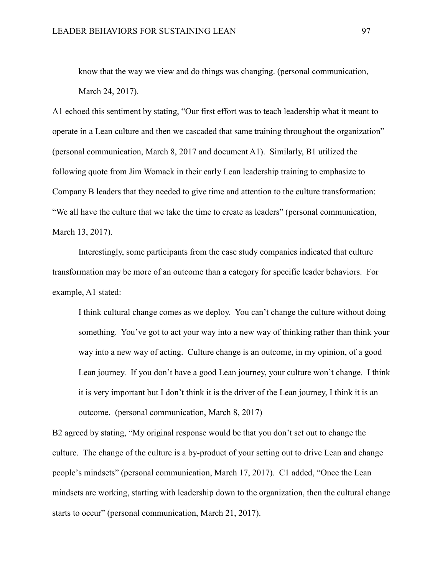know that the way we view and do things was changing. (personal communication, March 24, 2017).

A1 echoed this sentiment by stating, "Our first effort was to teach leadership what it meant to operate in a Lean culture and then we cascaded that same training throughout the organization" (personal communication, March 8, 2017 and document A1). Similarly, B1 utilized the following quote from Jim Womack in their early Lean leadership training to emphasize to Company B leaders that they needed to give time and attention to the culture transformation: "We all have the culture that we take the time to create as leaders" (personal communication, March 13, 2017).

Interestingly, some participants from the case study companies indicated that culture transformation may be more of an outcome than a category for specific leader behaviors. For example, A1 stated:

I think cultural change comes as we deploy. You can't change the culture without doing something. You've got to act your way into a new way of thinking rather than think your way into a new way of acting. Culture change is an outcome, in my opinion, of a good Lean journey. If you don't have a good Lean journey, your culture won't change. I think it is very important but I don't think it is the driver of the Lean journey, I think it is an outcome. (personal communication, March 8, 2017)

B2 agreed by stating, "My original response would be that you don't set out to change the culture. The change of the culture is a by-product of your setting out to drive Lean and change people's mindsets" (personal communication, March 17, 2017). C1 added, "Once the Lean mindsets are working, starting with leadership down to the organization, then the cultural change starts to occur" (personal communication, March 21, 2017).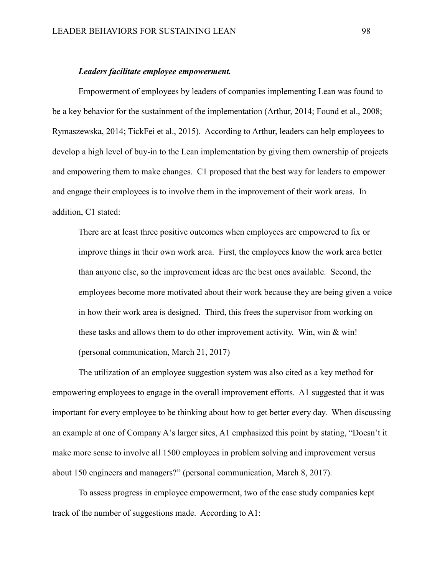#### *Leaders facilitate employee empowerment.*

Empowerment of employees by leaders of companies implementing Lean was found to be a key behavior for the sustainment of the implementation (Arthur, 2014; Found et al., 2008; Rymaszewska, 2014; TickFei et al., 2015). According to Arthur, leaders can help employees to develop a high level of buy-in to the Lean implementation by giving them ownership of projects and empowering them to make changes. C1 proposed that the best way for leaders to empower and engage their employees is to involve them in the improvement of their work areas. In addition, C1 stated:

There are at least three positive outcomes when employees are empowered to fix or improve things in their own work area. First, the employees know the work area better than anyone else, so the improvement ideas are the best ones available. Second, the employees become more motivated about their work because they are being given a voice in how their work area is designed. Third, this frees the supervisor from working on these tasks and allows them to do other improvement activity. Win, win & win! (personal communication, March 21, 2017)

The utilization of an employee suggestion system was also cited as a key method for empowering employees to engage in the overall improvement efforts. A1 suggested that it was important for every employee to be thinking about how to get better every day. When discussing an example at one of Company A's larger sites, A1 emphasized this point by stating, "Doesn't it make more sense to involve all 1500 employees in problem solving and improvement versus about 150 engineers and managers?" (personal communication, March 8, 2017).

To assess progress in employee empowerment, two of the case study companies kept track of the number of suggestions made. According to A1: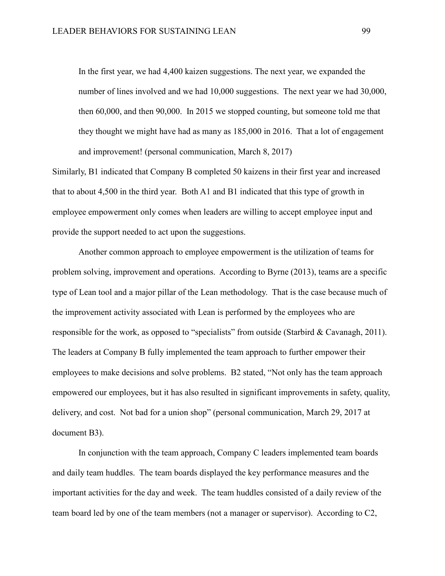In the first year, we had 4,400 kaizen suggestions. The next year, we expanded the number of lines involved and we had 10,000 suggestions. The next year we had 30,000, then 60,000, and then 90,000. In 2015 we stopped counting, but someone told me that they thought we might have had as many as 185,000 in 2016. That a lot of engagement and improvement! (personal communication, March 8, 2017)

Similarly, B1 indicated that Company B completed 50 kaizens in their first year and increased that to about 4,500 in the third year. Both A1 and B1 indicated that this type of growth in employee empowerment only comes when leaders are willing to accept employee input and provide the support needed to act upon the suggestions.

Another common approach to employee empowerment is the utilization of teams for problem solving, improvement and operations. According to Byrne (2013), teams are a specific type of Lean tool and a major pillar of the Lean methodology. That is the case because much of the improvement activity associated with Lean is performed by the employees who are responsible for the work, as opposed to "specialists" from outside (Starbird & Cavanagh, 2011). The leaders at Company B fully implemented the team approach to further empower their employees to make decisions and solve problems. B2 stated, "Not only has the team approach empowered our employees, but it has also resulted in significant improvements in safety, quality, delivery, and cost. Not bad for a union shop" (personal communication, March 29, 2017 at document B3).

In conjunction with the team approach, Company C leaders implemented team boards and daily team huddles. The team boards displayed the key performance measures and the important activities for the day and week. The team huddles consisted of a daily review of the team board led by one of the team members (not a manager or supervisor). According to C2,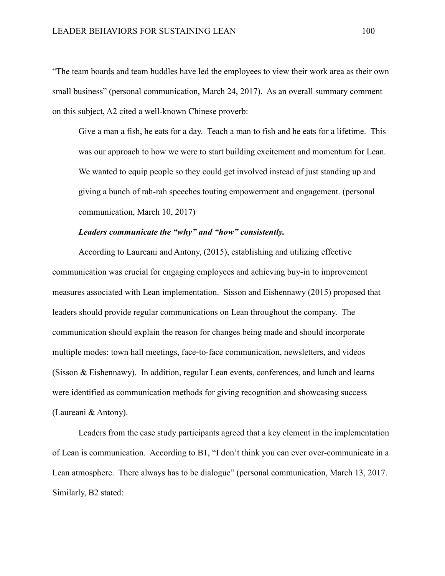"The team boards and team huddles have led the employees to view their work area as their own small business" (personal communication, March 24, 2017). As an overall summary comment on this subject, A2 cited a well-known Chinese proverb:

Give a man a fish, he eats for a day. Teach a man to fish and he eats for a lifetime. This was our approach to how we were to start building excitement and momentum for Lean. We wanted to equip people so they could get involved instead of just standing up and giving a bunch of rah-rah speeches touting empowerment and engagement. (personal communication, March 10, 2017)

### *Leaders communicate the "why" and "how" consistently.*

According to Laureani and Antony, (2015), establishing and utilizing effective communication was crucial for engaging employees and achieving buy-in to improvement measures associated with Lean implementation. Sisson and Eishennawy (2015) proposed that leaders should provide regular communications on Lean throughout the company. The communication should explain the reason for changes being made and should incorporate multiple modes: town hall meetings, face-to-face communication, newsletters, and videos (Sisson & Eishennawy). In addition, regular Lean events, conferences, and lunch and learns were identified as communication methods for giving recognition and showcasing success (Laureani & Antony).

Leaders from the case study participants agreed that a key element in the implementation of Lean is communication. According to B1, "I don't think you can ever over-communicate in a Lean atmosphere. There always has to be dialogue" (personal communication, March 13, 2017. Similarly, B2 stated: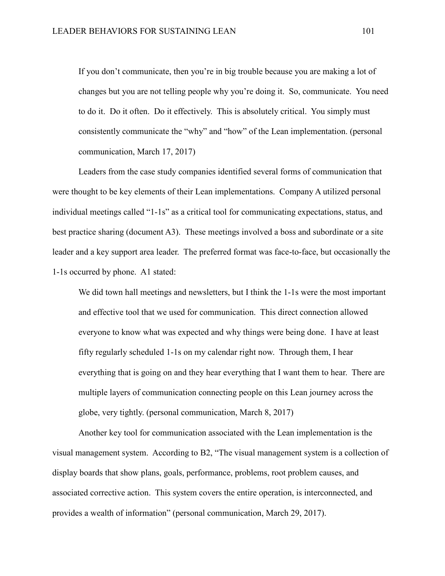If you don't communicate, then you're in big trouble because you are making a lot of changes but you are not telling people why you're doing it. So, communicate. You need to do it. Do it often. Do it effectively. This is absolutely critical. You simply must consistently communicate the "why" and "how" of the Lean implementation. (personal communication, March 17, 2017)

Leaders from the case study companies identified several forms of communication that were thought to be key elements of their Lean implementations. Company A utilized personal individual meetings called "1-1s" as a critical tool for communicating expectations, status, and best practice sharing (document A3). These meetings involved a boss and subordinate or a site leader and a key support area leader. The preferred format was face-to-face, but occasionally the 1-1s occurred by phone. A1 stated:

We did town hall meetings and newsletters, but I think the 1-1s were the most important and effective tool that we used for communication. This direct connection allowed everyone to know what was expected and why things were being done. I have at least fifty regularly scheduled 1-1s on my calendar right now. Through them, I hear everything that is going on and they hear everything that I want them to hear. There are multiple layers of communication connecting people on this Lean journey across the globe, very tightly. (personal communication, March 8, 2017)

Another key tool for communication associated with the Lean implementation is the visual management system. According to B2, "The visual management system is a collection of display boards that show plans, goals, performance, problems, root problem causes, and associated corrective action. This system covers the entire operation, is interconnected, and provides a wealth of information" (personal communication, March 29, 2017).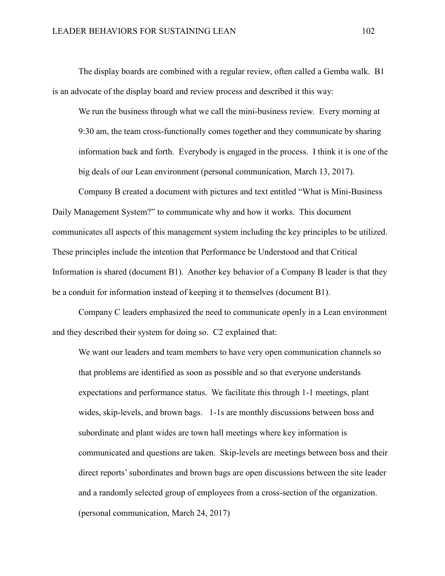The display boards are combined with a regular review, often called a Gemba walk. B1 is an advocate of the display board and review process and described it this way:

We run the business through what we call the mini-business review. Every morning at 9:30 am, the team cross-functionally comes together and they communicate by sharing information back and forth. Everybody is engaged in the process. I think it is one of the big deals of our Lean environment (personal communication, March 13, 2017).

Company B created a document with pictures and text entitled "What is Mini-Business Daily Management System?" to communicate why and how it works. This document communicates all aspects of this management system including the key principles to be utilized. These principles include the intention that Performance be Understood and that Critical Information is shared (document B1). Another key behavior of a Company B leader is that they be a conduit for information instead of keeping it to themselves (document B1).

Company C leaders emphasized the need to communicate openly in a Lean environment and they described their system for doing so. C2 explained that:

We want our leaders and team members to have very open communication channels so that problems are identified as soon as possible and so that everyone understands expectations and performance status. We facilitate this through 1-1 meetings, plant wides, skip-levels, and brown bags. 1-1s are monthly discussions between boss and subordinate and plant wides are town hall meetings where key information is communicated and questions are taken. Skip-levels are meetings between boss and their direct reports' subordinates and brown bags are open discussions between the site leader and a randomly selected group of employees from a cross-section of the organization. (personal communication, March 24, 2017)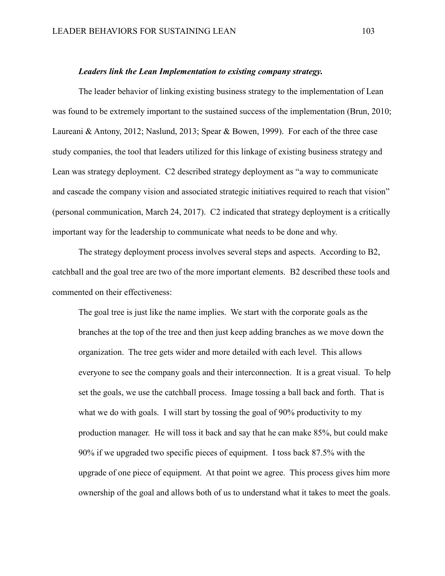#### *Leaders link the Lean Implementation to existing company strategy.*

The leader behavior of linking existing business strategy to the implementation of Lean was found to be extremely important to the sustained success of the implementation (Brun, 2010; Laureani & Antony, 2012; Naslund, 2013; Spear & Bowen, 1999). For each of the three case study companies, the tool that leaders utilized for this linkage of existing business strategy and Lean was strategy deployment. C2 described strategy deployment as "a way to communicate and cascade the company vision and associated strategic initiatives required to reach that vision" (personal communication, March 24, 2017). C2 indicated that strategy deployment is a critically important way for the leadership to communicate what needs to be done and why.

The strategy deployment process involves several steps and aspects. According to B2, catchball and the goal tree are two of the more important elements. B2 described these tools and commented on their effectiveness:

The goal tree is just like the name implies. We start with the corporate goals as the branches at the top of the tree and then just keep adding branches as we move down the organization. The tree gets wider and more detailed with each level. This allows everyone to see the company goals and their interconnection. It is a great visual. To help set the goals, we use the catchball process. Image tossing a ball back and forth. That is what we do with goals. I will start by tossing the goal of 90% productivity to my production manager. He will toss it back and say that he can make 85%, but could make 90% if we upgraded two specific pieces of equipment. I toss back 87.5% with the upgrade of one piece of equipment. At that point we agree. This process gives him more ownership of the goal and allows both of us to understand what it takes to meet the goals.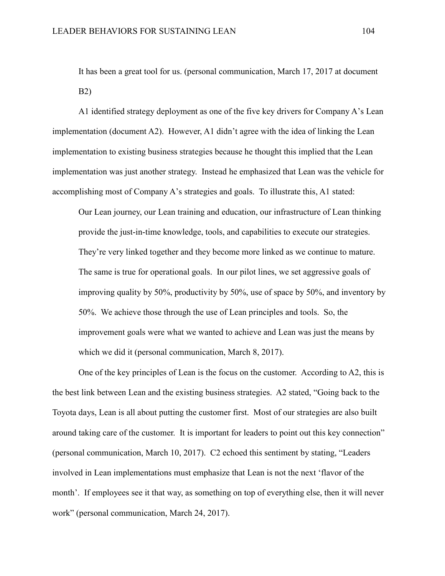It has been a great tool for us. (personal communication, March 17, 2017 at document B2)

A1 identified strategy deployment as one of the five key drivers for Company A's Lean implementation (document A2). However, A1 didn't agree with the idea of linking the Lean implementation to existing business strategies because he thought this implied that the Lean implementation was just another strategy. Instead he emphasized that Lean was the vehicle for accomplishing most of Company A's strategies and goals. To illustrate this, A1 stated:

Our Lean journey, our Lean training and education, our infrastructure of Lean thinking provide the just-in-time knowledge, tools, and capabilities to execute our strategies. They're very linked together and they become more linked as we continue to mature. The same is true for operational goals. In our pilot lines, we set aggressive goals of improving quality by 50%, productivity by 50%, use of space by 50%, and inventory by 50%. We achieve those through the use of Lean principles and tools. So, the improvement goals were what we wanted to achieve and Lean was just the means by which we did it (personal communication, March 8, 2017).

One of the key principles of Lean is the focus on the customer. According to A2, this is the best link between Lean and the existing business strategies. A2 stated, "Going back to the Toyota days, Lean is all about putting the customer first. Most of our strategies are also built around taking care of the customer. It is important for leaders to point out this key connection" (personal communication, March 10, 2017). C2 echoed this sentiment by stating, "Leaders involved in Lean implementations must emphasize that Lean is not the next 'flavor of the month'. If employees see it that way, as something on top of everything else, then it will never work" (personal communication, March 24, 2017).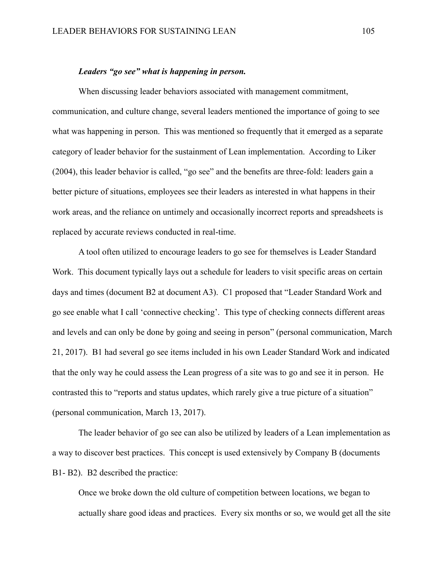### *Leaders "go see" what is happening in person.*

When discussing leader behaviors associated with management commitment, communication, and culture change, several leaders mentioned the importance of going to see what was happening in person. This was mentioned so frequently that it emerged as a separate category of leader behavior for the sustainment of Lean implementation. According to Liker (2004), this leader behavior is called, "go see" and the benefits are three-fold: leaders gain a better picture of situations, employees see their leaders as interested in what happens in their work areas, and the reliance on untimely and occasionally incorrect reports and spreadsheets is replaced by accurate reviews conducted in real-time.

A tool often utilized to encourage leaders to go see for themselves is Leader Standard Work. This document typically lays out a schedule for leaders to visit specific areas on certain days and times (document B2 at document A3). C1 proposed that "Leader Standard Work and go see enable what I call 'connective checking'. This type of checking connects different areas and levels and can only be done by going and seeing in person" (personal communication, March 21, 2017). B1 had several go see items included in his own Leader Standard Work and indicated that the only way he could assess the Lean progress of a site was to go and see it in person. He contrasted this to "reports and status updates, which rarely give a true picture of a situation" (personal communication, March 13, 2017).

The leader behavior of go see can also be utilized by leaders of a Lean implementation as a way to discover best practices. This concept is used extensively by Company B (documents B1- B2). B2 described the practice:

Once we broke down the old culture of competition between locations, we began to actually share good ideas and practices. Every six months or so, we would get all the site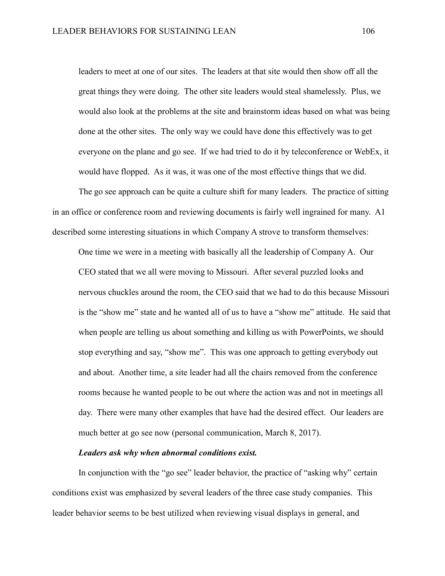leaders to meet at one of our sites. The leaders at that site would then show off all the great things they were doing. The other site leaders would steal shamelessly. Plus, we would also look at the problems at the site and brainstorm ideas based on what was being done at the other sites. The only way we could have done this effectively was to get everyone on the plane and go see. If we had tried to do it by teleconference or WebEx, it would have flopped. As it was, it was one of the most effective things that we did.

The go see approach can be quite a culture shift for many leaders. The practice of sitting in an office or conference room and reviewing documents is fairly well ingrained for many. A1 described some interesting situations in which Company A strove to transform themselves:

One time we were in a meeting with basically all the leadership of Company A. Our CEO stated that we all were moving to Missouri. After several puzzled looks and nervous chuckles around the room, the CEO said that we had to do this because Missouri is the "show me" state and he wanted all of us to have a "show me" attitude. He said that when people are telling us about something and killing us with PowerPoints, we should stop everything and say, "show me". This was one approach to getting everybody out and about. Another time, a site leader had all the chairs removed from the conference rooms because he wanted people to be out where the action was and not in meetings all day. There were many other examples that have had the desired effect. Our leaders are much better at go see now (personal communication, March 8, 2017).

## *Leaders ask why when abnormal conditions exist.*

In conjunction with the "go see" leader behavior, the practice of "asking why" certain conditions exist was emphasized by several leaders of the three case study companies. This leader behavior seems to be best utilized when reviewing visual displays in general, and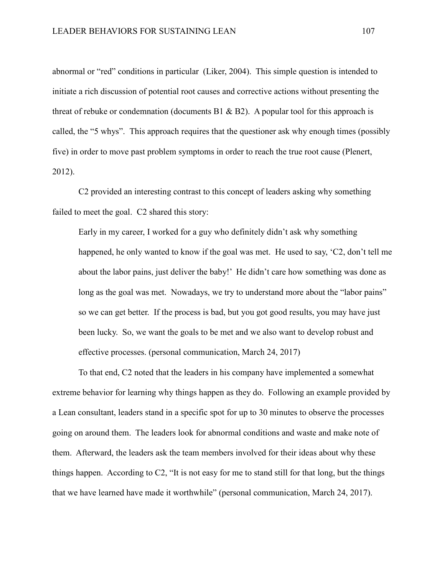abnormal or "red" conditions in particular (Liker, 2004). This simple question is intended to initiate a rich discussion of potential root causes and corrective actions without presenting the threat of rebuke or condemnation (documents B1  $\&$  B2). A popular tool for this approach is called, the "5 whys". This approach requires that the questioner ask why enough times (possibly five) in order to move past problem symptoms in order to reach the true root cause (Plenert, 2012).

C2 provided an interesting contrast to this concept of leaders asking why something failed to meet the goal. C2 shared this story:

Early in my career, I worked for a guy who definitely didn't ask why something happened, he only wanted to know if the goal was met. He used to say, 'C2, don't tell me about the labor pains, just deliver the baby!' He didn't care how something was done as long as the goal was met. Nowadays, we try to understand more about the "labor pains" so we can get better. If the process is bad, but you got good results, you may have just been lucky. So, we want the goals to be met and we also want to develop robust and effective processes. (personal communication, March 24, 2017)

To that end, C2 noted that the leaders in his company have implemented a somewhat extreme behavior for learning why things happen as they do. Following an example provided by a Lean consultant, leaders stand in a specific spot for up to 30 minutes to observe the processes going on around them. The leaders look for abnormal conditions and waste and make note of them. Afterward, the leaders ask the team members involved for their ideas about why these things happen. According to C2, "It is not easy for me to stand still for that long, but the things that we have learned have made it worthwhile" (personal communication, March 24, 2017).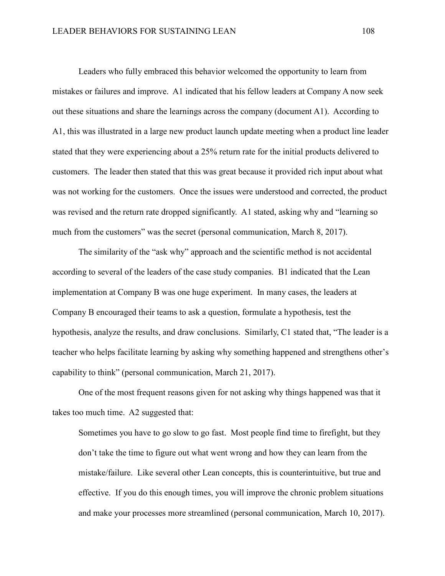Leaders who fully embraced this behavior welcomed the opportunity to learn from mistakes or failures and improve. A1 indicated that his fellow leaders at Company A now seek out these situations and share the learnings across the company (document A1). According to A1, this was illustrated in a large new product launch update meeting when a product line leader stated that they were experiencing about a 25% return rate for the initial products delivered to customers. The leader then stated that this was great because it provided rich input about what was not working for the customers. Once the issues were understood and corrected, the product was revised and the return rate dropped significantly. A1 stated, asking why and "learning so much from the customers" was the secret (personal communication, March 8, 2017).

The similarity of the "ask why" approach and the scientific method is not accidental according to several of the leaders of the case study companies. B1 indicated that the Lean implementation at Company B was one huge experiment. In many cases, the leaders at Company B encouraged their teams to ask a question, formulate a hypothesis, test the hypothesis, analyze the results, and draw conclusions. Similarly, C1 stated that, "The leader is a teacher who helps facilitate learning by asking why something happened and strengthens other's capability to think" (personal communication, March 21, 2017).

One of the most frequent reasons given for not asking why things happened was that it takes too much time. A2 suggested that:

Sometimes you have to go slow to go fast. Most people find time to firefight, but they don't take the time to figure out what went wrong and how they can learn from the mistake/failure. Like several other Lean concepts, this is counterintuitive, but true and effective. If you do this enough times, you will improve the chronic problem situations and make your processes more streamlined (personal communication, March 10, 2017).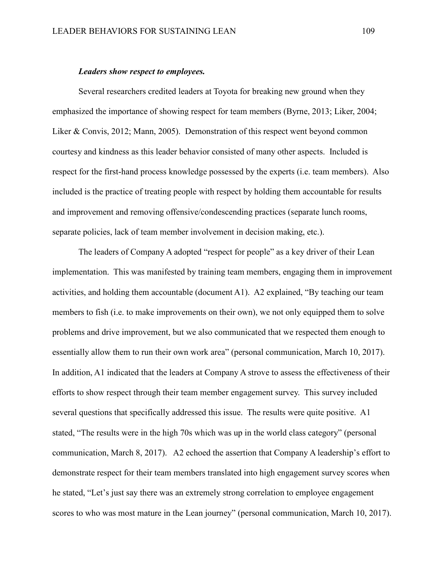### *Leaders show respect to employees.*

Several researchers credited leaders at Toyota for breaking new ground when they emphasized the importance of showing respect for team members (Byrne, 2013; Liker, 2004; Liker & Convis, 2012; Mann, 2005). Demonstration of this respect went beyond common courtesy and kindness as this leader behavior consisted of many other aspects. Included is respect for the first-hand process knowledge possessed by the experts (i.e. team members). Also included is the practice of treating people with respect by holding them accountable for results and improvement and removing offensive/condescending practices (separate lunch rooms, separate policies, lack of team member involvement in decision making, etc.).

The leaders of Company A adopted "respect for people" as a key driver of their Lean implementation. This was manifested by training team members, engaging them in improvement activities, and holding them accountable (document A1). A2 explained, "By teaching our team members to fish (i.e. to make improvements on their own), we not only equipped them to solve problems and drive improvement, but we also communicated that we respected them enough to essentially allow them to run their own work area" (personal communication, March 10, 2017). In addition, A1 indicated that the leaders at Company A strove to assess the effectiveness of their efforts to show respect through their team member engagement survey. This survey included several questions that specifically addressed this issue. The results were quite positive. A1 stated, "The results were in the high 70s which was up in the world class category" (personal communication, March 8, 2017). A2 echoed the assertion that Company A leadership's effort to demonstrate respect for their team members translated into high engagement survey scores when he stated, "Let's just say there was an extremely strong correlation to employee engagement scores to who was most mature in the Lean journey" (personal communication, March 10, 2017).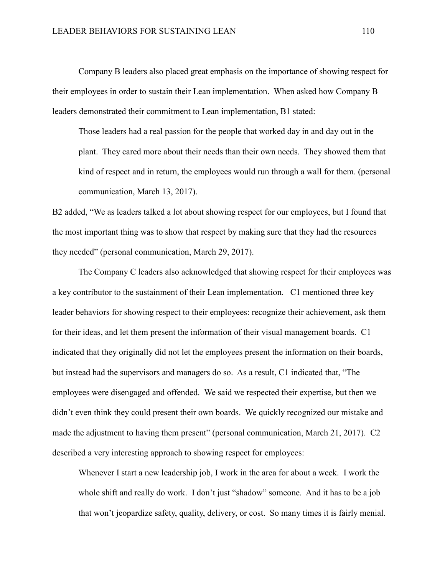Company B leaders also placed great emphasis on the importance of showing respect for their employees in order to sustain their Lean implementation. When asked how Company B leaders demonstrated their commitment to Lean implementation, B1 stated:

Those leaders had a real passion for the people that worked day in and day out in the plant. They cared more about their needs than their own needs. They showed them that kind of respect and in return, the employees would run through a wall for them. (personal communication, March 13, 2017).

B2 added, "We as leaders talked a lot about showing respect for our employees, but I found that the most important thing was to show that respect by making sure that they had the resources they needed" (personal communication, March 29, 2017).

The Company C leaders also acknowledged that showing respect for their employees was a key contributor to the sustainment of their Lean implementation. C1 mentioned three key leader behaviors for showing respect to their employees: recognize their achievement, ask them for their ideas, and let them present the information of their visual management boards. C1 indicated that they originally did not let the employees present the information on their boards, but instead had the supervisors and managers do so. As a result, C1 indicated that, "The employees were disengaged and offended. We said we respected their expertise, but then we didn't even think they could present their own boards. We quickly recognized our mistake and made the adjustment to having them present" (personal communication, March 21, 2017). C2 described a very interesting approach to showing respect for employees:

Whenever I start a new leadership job, I work in the area for about a week. I work the whole shift and really do work. I don't just "shadow" someone. And it has to be a job that won't jeopardize safety, quality, delivery, or cost. So many times it is fairly menial.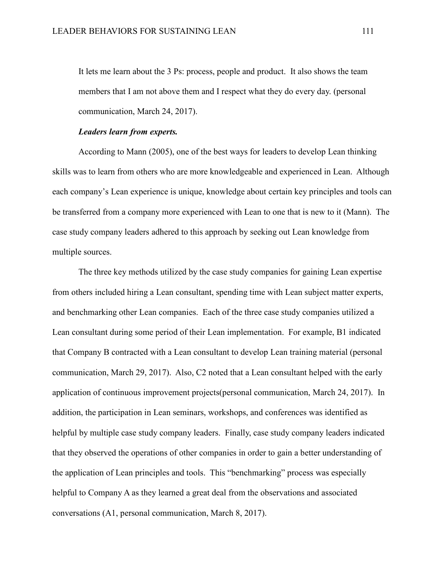It lets me learn about the 3 Ps: process, people and product. It also shows the team members that I am not above them and I respect what they do every day. (personal communication, March 24, 2017).

## *Leaders learn from experts.*

According to Mann (2005), one of the best ways for leaders to develop Lean thinking skills was to learn from others who are more knowledgeable and experienced in Lean. Although each company's Lean experience is unique, knowledge about certain key principles and tools can be transferred from a company more experienced with Lean to one that is new to it (Mann). The case study company leaders adhered to this approach by seeking out Lean knowledge from multiple sources.

The three key methods utilized by the case study companies for gaining Lean expertise from others included hiring a Lean consultant, spending time with Lean subject matter experts, and benchmarking other Lean companies. Each of the three case study companies utilized a Lean consultant during some period of their Lean implementation. For example, B1 indicated that Company B contracted with a Lean consultant to develop Lean training material (personal communication, March 29, 2017). Also, C2 noted that a Lean consultant helped with the early application of continuous improvement projects(personal communication, March 24, 2017). In addition, the participation in Lean seminars, workshops, and conferences was identified as helpful by multiple case study company leaders. Finally, case study company leaders indicated that they observed the operations of other companies in order to gain a better understanding of the application of Lean principles and tools. This "benchmarking" process was especially helpful to Company A as they learned a great deal from the observations and associated conversations (A1, personal communication, March 8, 2017).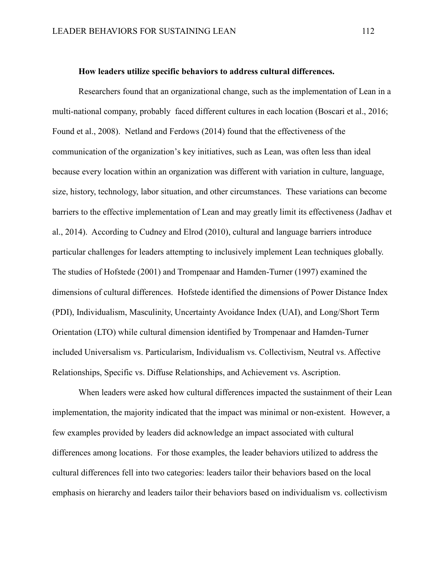## **How leaders utilize specific behaviors to address cultural differences.**

Researchers found that an organizational change, such as the implementation of Lean in a multi-national company, probably faced different cultures in each location (Boscari et al., 2016; Found et al., 2008). Netland and Ferdows (2014) found that the effectiveness of the communication of the organization's key initiatives, such as Lean, was often less than ideal because every location within an organization was different with variation in culture, language, size, history, technology, labor situation, and other circumstances. These variations can become barriers to the effective implementation of Lean and may greatly limit its effectiveness (Jadhav et al., 2014). According to Cudney and Elrod (2010), cultural and language barriers introduce particular challenges for leaders attempting to inclusively implement Lean techniques globally. The studies of Hofstede (2001) and Trompenaar and Hamden-Turner (1997) examined the dimensions of cultural differences. Hofstede identified the dimensions of Power Distance Index (PDI), Individualism, Masculinity, Uncertainty Avoidance Index (UAI), and Long/Short Term Orientation (LTO) while cultural dimension identified by Trompenaar and Hamden-Turner included Universalism vs. Particularism, Individualism vs. Collectivism, Neutral vs. Affective Relationships, Specific vs. Diffuse Relationships, and Achievement vs. Ascription.

When leaders were asked how cultural differences impacted the sustainment of their Lean implementation, the majority indicated that the impact was minimal or non-existent. However, a few examples provided by leaders did acknowledge an impact associated with cultural differences among locations. For those examples, the leader behaviors utilized to address the cultural differences fell into two categories: leaders tailor their behaviors based on the local emphasis on hierarchy and leaders tailor their behaviors based on individualism vs. collectivism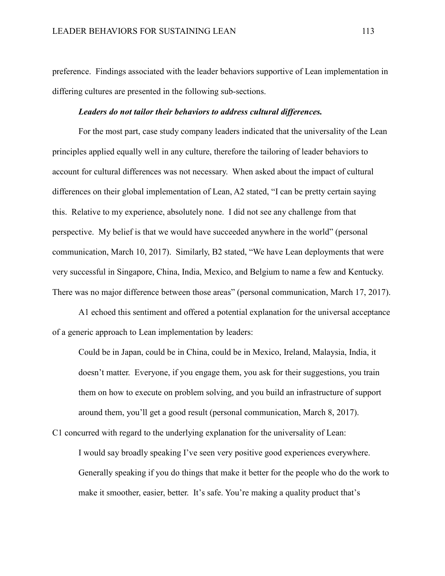preference. Findings associated with the leader behaviors supportive of Lean implementation in differing cultures are presented in the following sub-sections.

#### *Leaders do not tailor their behaviors to address cultural differences.*

For the most part, case study company leaders indicated that the universality of the Lean principles applied equally well in any culture, therefore the tailoring of leader behaviors to account for cultural differences was not necessary. When asked about the impact of cultural differences on their global implementation of Lean, A2 stated, "I can be pretty certain saying this. Relative to my experience, absolutely none. I did not see any challenge from that perspective. My belief is that we would have succeeded anywhere in the world" (personal communication, March 10, 2017). Similarly, B2 stated, "We have Lean deployments that were very successful in Singapore, China, India, Mexico, and Belgium to name a few and Kentucky. There was no major difference between those areas" (personal communication, March 17, 2017).

A1 echoed this sentiment and offered a potential explanation for the universal acceptance of a generic approach to Lean implementation by leaders:

Could be in Japan, could be in China, could be in Mexico, Ireland, Malaysia, India, it doesn't matter. Everyone, if you engage them, you ask for their suggestions, you train them on how to execute on problem solving, and you build an infrastructure of support around them, you'll get a good result (personal communication, March 8, 2017).

C1 concurred with regard to the underlying explanation for the universality of Lean:

I would say broadly speaking I've seen very positive good experiences everywhere. Generally speaking if you do things that make it better for the people who do the work to make it smoother, easier, better. It's safe. You're making a quality product that's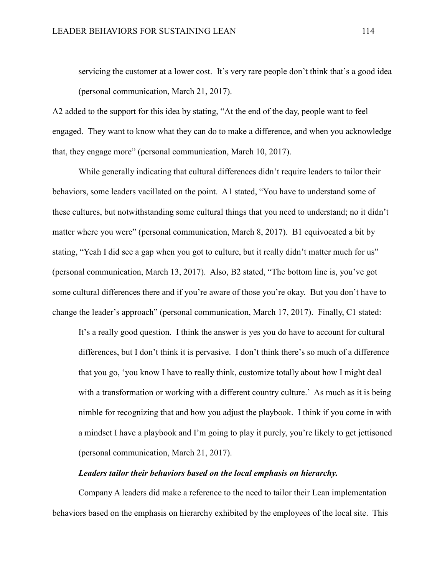servicing the customer at a lower cost. It's very rare people don't think that's a good idea (personal communication, March 21, 2017).

A2 added to the support for this idea by stating, "At the end of the day, people want to feel engaged. They want to know what they can do to make a difference, and when you acknowledge that, they engage more" (personal communication, March 10, 2017).

While generally indicating that cultural differences didn't require leaders to tailor their behaviors, some leaders vacillated on the point. A1 stated, "You have to understand some of these cultures, but notwithstanding some cultural things that you need to understand; no it didn't matter where you were" (personal communication, March 8, 2017). B1 equivocated a bit by stating, "Yeah I did see a gap when you got to culture, but it really didn't matter much for us" (personal communication, March 13, 2017). Also, B2 stated, "The bottom line is, you've got some cultural differences there and if you're aware of those you're okay. But you don't have to change the leader's approach" (personal communication, March 17, 2017). Finally, C1 stated:

It's a really good question. I think the answer is yes you do have to account for cultural differences, but I don't think it is pervasive. I don't think there's so much of a difference that you go, 'you know I have to really think, customize totally about how I might deal with a transformation or working with a different country culture.' As much as it is being nimble for recognizing that and how you adjust the playbook. I think if you come in with a mindset I have a playbook and I'm going to play it purely, you're likely to get jettisoned (personal communication, March 21, 2017).

## *Leaders tailor their behaviors based on the local emphasis on hierarchy.*

Company A leaders did make a reference to the need to tailor their Lean implementation behaviors based on the emphasis on hierarchy exhibited by the employees of the local site. This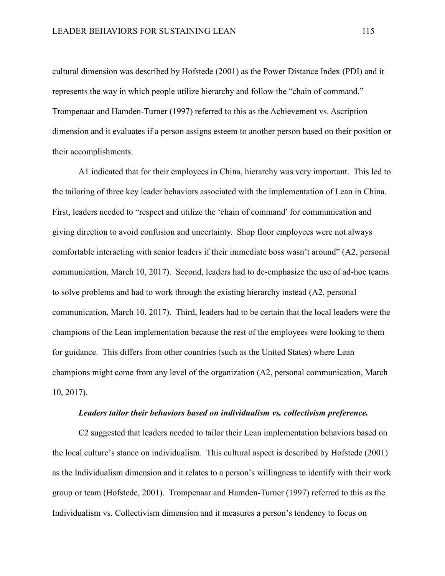cultural dimension was described by Hofstede (2001) as the Power Distance Index (PDI) and it represents the way in which people utilize hierarchy and follow the "chain of command." Trompenaar and Hamden-Turner (1997) referred to this as the Achievement vs. Ascription dimension and it evaluates if a person assigns esteem to another person based on their position or their accomplishments.

A1 indicated that for their employees in China, hierarchy was very important. This led to the tailoring of three key leader behaviors associated with the implementation of Lean in China. First, leaders needed to "respect and utilize the 'chain of command' for communication and giving direction to avoid confusion and uncertainty. Shop floor employees were not always comfortable interacting with senior leaders if their immediate boss wasn't around" (A2, personal communication, March 10, 2017). Second, leaders had to de-emphasize the use of ad-hoc teams to solve problems and had to work through the existing hierarchy instead (A2, personal communication, March 10, 2017). Third, leaders had to be certain that the local leaders were the champions of the Lean implementation because the rest of the employees were looking to them for guidance. This differs from other countries (such as the United States) where Lean champions might come from any level of the organization (A2, personal communication, March 10, 2017).

### *Leaders tailor their behaviors based on individualism vs. collectivism preference.*

C2 suggested that leaders needed to tailor their Lean implementation behaviors based on the local culture's stance on individualism. This cultural aspect is described by Hofstede (2001) as the Individualism dimension and it relates to a person's willingness to identify with their work group or team (Hofstede, 2001). Trompenaar and Hamden-Turner (1997) referred to this as the Individualism vs. Collectivism dimension and it measures a person's tendency to focus on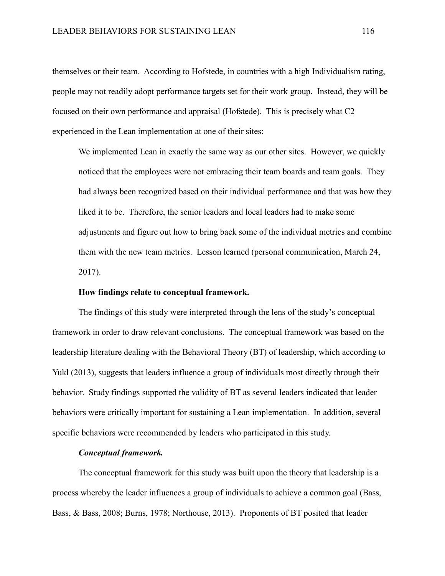themselves or their team. According to Hofstede, in countries with a high Individualism rating, people may not readily adopt performance targets set for their work group. Instead, they will be focused on their own performance and appraisal (Hofstede). This is precisely what C2 experienced in the Lean implementation at one of their sites:

We implemented Lean in exactly the same way as our other sites. However, we quickly noticed that the employees were not embracing their team boards and team goals. They had always been recognized based on their individual performance and that was how they liked it to be. Therefore, the senior leaders and local leaders had to make some adjustments and figure out how to bring back some of the individual metrics and combine them with the new team metrics. Lesson learned (personal communication, March 24, 2017).

## **How findings relate to conceptual framework.**

The findings of this study were interpreted through the lens of the study's conceptual framework in order to draw relevant conclusions. The conceptual framework was based on the leadership literature dealing with the Behavioral Theory (BT) of leadership, which according to Yukl (2013), suggests that leaders influence a group of individuals most directly through their behavior. Study findings supported the validity of BT as several leaders indicated that leader behaviors were critically important for sustaining a Lean implementation. In addition, several specific behaviors were recommended by leaders who participated in this study.

## *Conceptual framework.*

The conceptual framework for this study was built upon the theory that leadership is a process whereby the leader influences a group of individuals to achieve a common goal (Bass, Bass, & Bass, 2008; Burns, 1978; Northouse, 2013). Proponents of BT posited that leader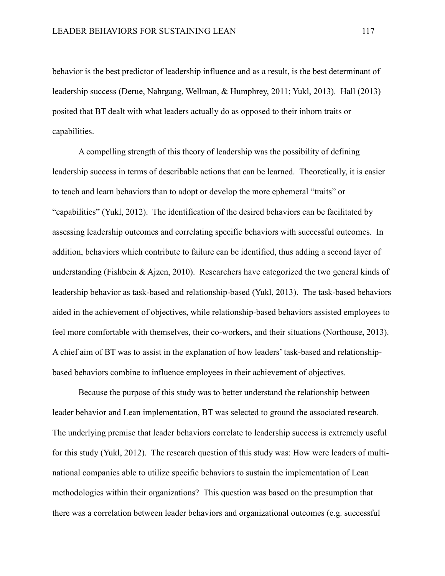behavior is the best predictor of leadership influence and as a result, is the best determinant of leadership success (Derue, Nahrgang, Wellman, & Humphrey, 2011; Yukl, 2013). Hall (2013) posited that BT dealt with what leaders actually do as opposed to their inborn traits or capabilities.

A compelling strength of this theory of leadership was the possibility of defining leadership success in terms of describable actions that can be learned. Theoretically, it is easier to teach and learn behaviors than to adopt or develop the more ephemeral "traits" or "capabilities" (Yukl, 2012). The identification of the desired behaviors can be facilitated by assessing leadership outcomes and correlating specific behaviors with successful outcomes. In addition, behaviors which contribute to failure can be identified, thus adding a second layer of understanding (Fishbein & Ajzen, 2010). Researchers have categorized the two general kinds of leadership behavior as task-based and relationship-based (Yukl, 2013). The task-based behaviors aided in the achievement of objectives, while relationship-based behaviors assisted employees to feel more comfortable with themselves, their co-workers, and their situations (Northouse, 2013). A chief aim of BT was to assist in the explanation of how leaders' task-based and relationshipbased behaviors combine to influence employees in their achievement of objectives.

Because the purpose of this study was to better understand the relationship between leader behavior and Lean implementation, BT was selected to ground the associated research. The underlying premise that leader behaviors correlate to leadership success is extremely useful for this study (Yukl, 2012). The research question of this study was: How were leaders of multinational companies able to utilize specific behaviors to sustain the implementation of Lean methodologies within their organizations? This question was based on the presumption that there was a correlation between leader behaviors and organizational outcomes (e.g. successful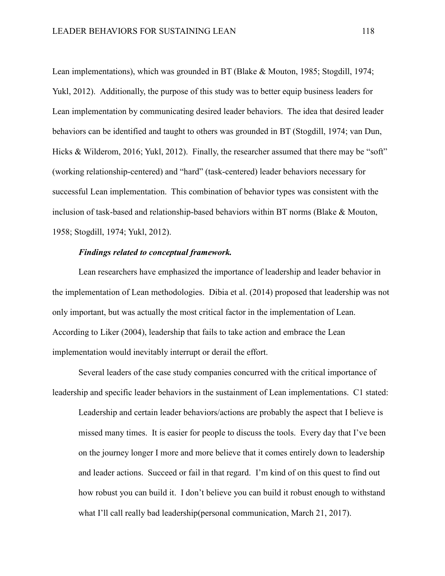Lean implementations), which was grounded in BT (Blake & Mouton, 1985; Stogdill, 1974; Yukl, 2012). Additionally, the purpose of this study was to better equip business leaders for Lean implementation by communicating desired leader behaviors. The idea that desired leader behaviors can be identified and taught to others was grounded in BT (Stogdill, 1974; van Dun, Hicks & Wilderom, 2016; Yukl, 2012). Finally, the researcher assumed that there may be "soft" (working relationship-centered) and "hard" (task-centered) leader behaviors necessary for successful Lean implementation. This combination of behavior types was consistent with the inclusion of task-based and relationship-based behaviors within BT norms (Blake & Mouton, 1958; Stogdill, 1974; Yukl, 2012).

## *Findings related to conceptual framework.*

Lean researchers have emphasized the importance of leadership and leader behavior in the implementation of Lean methodologies. Dibia et al. (2014) proposed that leadership was not only important, but was actually the most critical factor in the implementation of Lean. According to Liker (2004), leadership that fails to take action and embrace the Lean implementation would inevitably interrupt or derail the effort.

Several leaders of the case study companies concurred with the critical importance of leadership and specific leader behaviors in the sustainment of Lean implementations. C1 stated:

Leadership and certain leader behaviors/actions are probably the aspect that I believe is missed many times. It is easier for people to discuss the tools. Every day that I've been on the journey longer I more and more believe that it comes entirely down to leadership and leader actions. Succeed or fail in that regard. I'm kind of on this quest to find out how robust you can build it. I don't believe you can build it robust enough to withstand what I'll call really bad leadership(personal communication, March 21, 2017).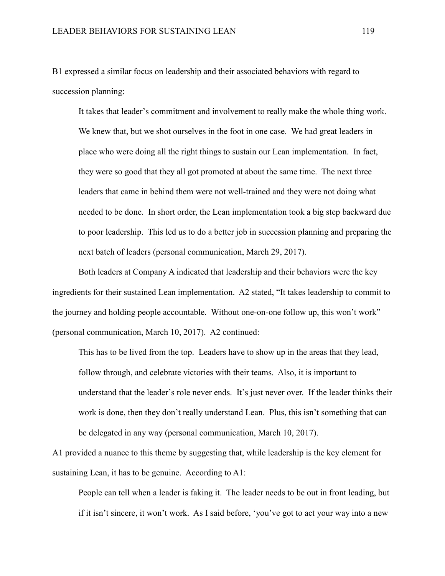B1 expressed a similar focus on leadership and their associated behaviors with regard to succession planning:

It takes that leader's commitment and involvement to really make the whole thing work. We knew that, but we shot ourselves in the foot in one case. We had great leaders in place who were doing all the right things to sustain our Lean implementation. In fact, they were so good that they all got promoted at about the same time. The next three leaders that came in behind them were not well-trained and they were not doing what needed to be done. In short order, the Lean implementation took a big step backward due to poor leadership. This led us to do a better job in succession planning and preparing the next batch of leaders (personal communication, March 29, 2017).

Both leaders at Company A indicated that leadership and their behaviors were the key ingredients for their sustained Lean implementation. A2 stated, "It takes leadership to commit to the journey and holding people accountable. Without one-on-one follow up, this won't work" (personal communication, March 10, 2017). A2 continued:

This has to be lived from the top. Leaders have to show up in the areas that they lead, follow through, and celebrate victories with their teams. Also, it is important to understand that the leader's role never ends. It's just never over. If the leader thinks their work is done, then they don't really understand Lean. Plus, this isn't something that can be delegated in any way (personal communication, March 10, 2017).

A1 provided a nuance to this theme by suggesting that, while leadership is the key element for sustaining Lean, it has to be genuine. According to A1:

People can tell when a leader is faking it. The leader needs to be out in front leading, but if it isn't sincere, it won't work. As I said before, 'you've got to act your way into a new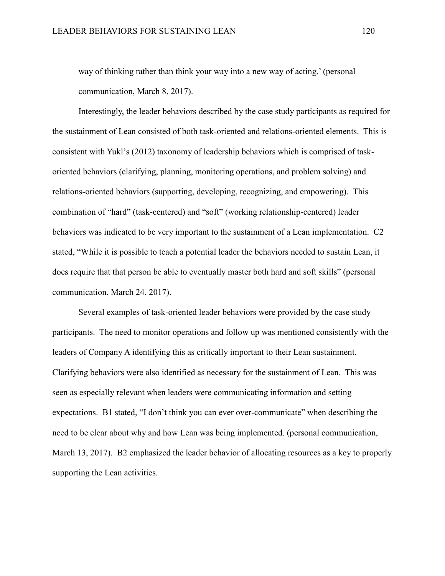way of thinking rather than think your way into a new way of acting.' (personal communication, March 8, 2017).

Interestingly, the leader behaviors described by the case study participants as required for the sustainment of Lean consisted of both task-oriented and relations-oriented elements. This is consistent with Yukl's (2012) taxonomy of leadership behaviors which is comprised of taskoriented behaviors (clarifying, planning, monitoring operations, and problem solving) and relations-oriented behaviors (supporting, developing, recognizing, and empowering). This combination of "hard" (task-centered) and "soft" (working relationship-centered) leader behaviors was indicated to be very important to the sustainment of a Lean implementation. C2 stated, "While it is possible to teach a potential leader the behaviors needed to sustain Lean, it does require that that person be able to eventually master both hard and soft skills" (personal communication, March 24, 2017).

Several examples of task-oriented leader behaviors were provided by the case study participants. The need to monitor operations and follow up was mentioned consistently with the leaders of Company A identifying this as critically important to their Lean sustainment. Clarifying behaviors were also identified as necessary for the sustainment of Lean. This was seen as especially relevant when leaders were communicating information and setting expectations. B1 stated, "I don't think you can ever over-communicate" when describing the need to be clear about why and how Lean was being implemented. (personal communication, March 13, 2017). B2 emphasized the leader behavior of allocating resources as a key to properly supporting the Lean activities.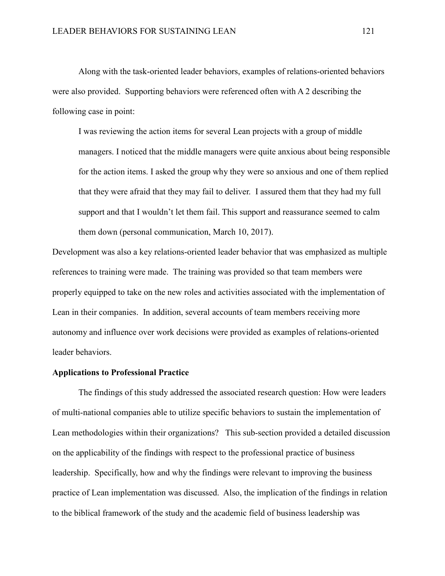Along with the task-oriented leader behaviors, examples of relations-oriented behaviors were also provided. Supporting behaviors were referenced often with A 2 describing the following case in point:

I was reviewing the action items for several Lean projects with a group of middle managers. I noticed that the middle managers were quite anxious about being responsible for the action items. I asked the group why they were so anxious and one of them replied that they were afraid that they may fail to deliver. I assured them that they had my full support and that I wouldn't let them fail. This support and reassurance seemed to calm them down (personal communication, March 10, 2017).

Development was also a key relations-oriented leader behavior that was emphasized as multiple references to training were made. The training was provided so that team members were properly equipped to take on the new roles and activities associated with the implementation of Lean in their companies. In addition, several accounts of team members receiving more autonomy and influence over work decisions were provided as examples of relations-oriented leader behaviors.

#### **Applications to Professional Practice**

The findings of this study addressed the associated research question: How were leaders of multi-national companies able to utilize specific behaviors to sustain the implementation of Lean methodologies within their organizations? This sub-section provided a detailed discussion on the applicability of the findings with respect to the professional practice of business leadership. Specifically, how and why the findings were relevant to improving the business practice of Lean implementation was discussed. Also, the implication of the findings in relation to the biblical framework of the study and the academic field of business leadership was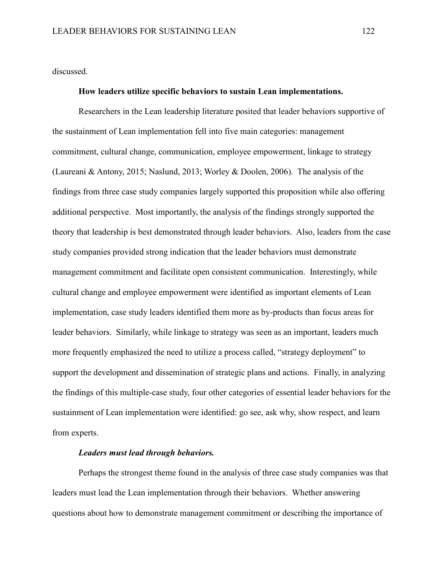discussed.

### **How leaders utilize specific behaviors to sustain Lean implementations.**

Researchers in the Lean leadership literature posited that leader behaviors supportive of the sustainment of Lean implementation fell into five main categories: management commitment, cultural change, communication, employee empowerment, linkage to strategy (Laureani & Antony, 2015; Naslund, 2013; Worley & Doolen, 2006). The analysis of the findings from three case study companies largely supported this proposition while also offering additional perspective. Most importantly, the analysis of the findings strongly supported the theory that leadership is best demonstrated through leader behaviors. Also, leaders from the case study companies provided strong indication that the leader behaviors must demonstrate management commitment and facilitate open consistent communication. Interestingly, while cultural change and employee empowerment were identified as important elements of Lean implementation, case study leaders identified them more as by-products than focus areas for leader behaviors. Similarly, while linkage to strategy was seen as an important, leaders much more frequently emphasized the need to utilize a process called, "strategy deployment" to support the development and dissemination of strategic plans and actions. Finally, in analyzing the findings of this multiple-case study, four other categories of essential leader behaviors for the sustainment of Lean implementation were identified: go see, ask why, show respect, and learn from experts.

## *Leaders must lead through behaviors.*

Perhaps the strongest theme found in the analysis of three case study companies was that leaders must lead the Lean implementation through their behaviors. Whether answering questions about how to demonstrate management commitment or describing the importance of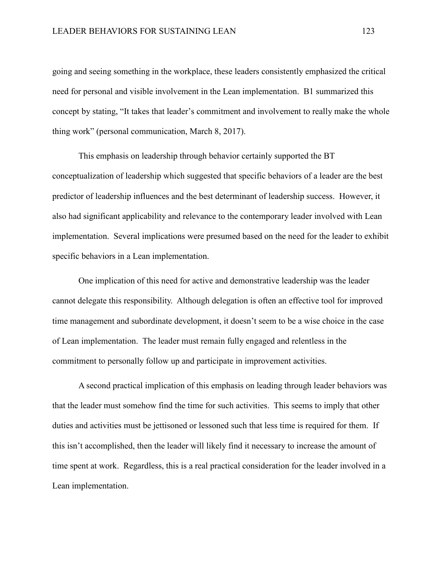going and seeing something in the workplace, these leaders consistently emphasized the critical need for personal and visible involvement in the Lean implementation. B1 summarized this concept by stating, "It takes that leader's commitment and involvement to really make the whole thing work" (personal communication, March 8, 2017).

This emphasis on leadership through behavior certainly supported the BT conceptualization of leadership which suggested that specific behaviors of a leader are the best predictor of leadership influences and the best determinant of leadership success. However, it also had significant applicability and relevance to the contemporary leader involved with Lean implementation. Several implications were presumed based on the need for the leader to exhibit specific behaviors in a Lean implementation.

One implication of this need for active and demonstrative leadership was the leader cannot delegate this responsibility. Although delegation is often an effective tool for improved time management and subordinate development, it doesn't seem to be a wise choice in the case of Lean implementation. The leader must remain fully engaged and relentless in the commitment to personally follow up and participate in improvement activities.

A second practical implication of this emphasis on leading through leader behaviors was that the leader must somehow find the time for such activities. This seems to imply that other duties and activities must be jettisoned or lessoned such that less time is required for them. If this isn't accomplished, then the leader will likely find it necessary to increase the amount of time spent at work. Regardless, this is a real practical consideration for the leader involved in a Lean implementation.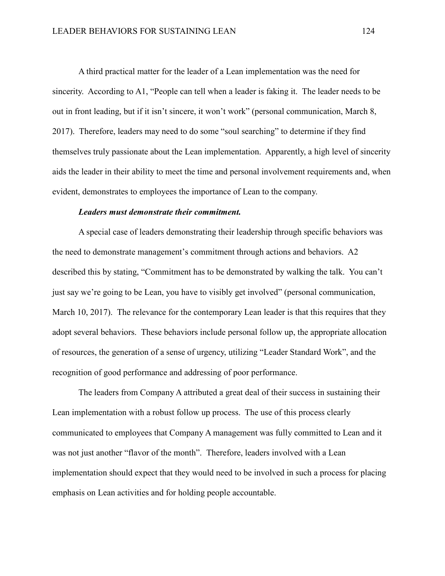A third practical matter for the leader of a Lean implementation was the need for sincerity. According to A1, "People can tell when a leader is faking it. The leader needs to be out in front leading, but if it isn't sincere, it won't work" (personal communication, March 8, 2017). Therefore, leaders may need to do some "soul searching" to determine if they find themselves truly passionate about the Lean implementation. Apparently, a high level of sincerity aids the leader in their ability to meet the time and personal involvement requirements and, when evident, demonstrates to employees the importance of Lean to the company.

### *Leaders must demonstrate their commitment.*

A special case of leaders demonstrating their leadership through specific behaviors was the need to demonstrate management's commitment through actions and behaviors. A2 described this by stating, "Commitment has to be demonstrated by walking the talk. You can't just say we're going to be Lean, you have to visibly get involved" (personal communication, March 10, 2017). The relevance for the contemporary Lean leader is that this requires that they adopt several behaviors. These behaviors include personal follow up, the appropriate allocation of resources, the generation of a sense of urgency, utilizing "Leader Standard Work", and the recognition of good performance and addressing of poor performance.

The leaders from Company A attributed a great deal of their success in sustaining their Lean implementation with a robust follow up process. The use of this process clearly communicated to employees that Company A management was fully committed to Lean and it was not just another "flavor of the month". Therefore, leaders involved with a Lean implementation should expect that they would need to be involved in such a process for placing emphasis on Lean activities and for holding people accountable.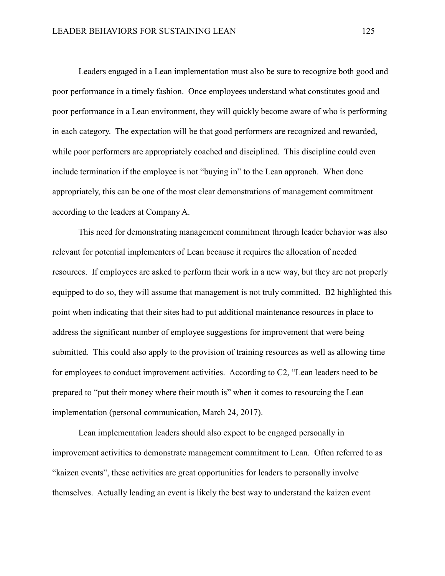Leaders engaged in a Lean implementation must also be sure to recognize both good and poor performance in a timely fashion. Once employees understand what constitutes good and poor performance in a Lean environment, they will quickly become aware of who is performing in each category. The expectation will be that good performers are recognized and rewarded, while poor performers are appropriately coached and disciplined. This discipline could even include termination if the employee is not "buying in" to the Lean approach. When done appropriately, this can be one of the most clear demonstrations of management commitment according to the leaders at Company A.

This need for demonstrating management commitment through leader behavior was also relevant for potential implementers of Lean because it requires the allocation of needed resources. If employees are asked to perform their work in a new way, but they are not properly equipped to do so, they will assume that management is not truly committed. B2 highlighted this point when indicating that their sites had to put additional maintenance resources in place to address the significant number of employee suggestions for improvement that were being submitted. This could also apply to the provision of training resources as well as allowing time for employees to conduct improvement activities. According to C2, "Lean leaders need to be prepared to "put their money where their mouth is" when it comes to resourcing the Lean implementation (personal communication, March 24, 2017).

Lean implementation leaders should also expect to be engaged personally in improvement activities to demonstrate management commitment to Lean. Often referred to as "kaizen events", these activities are great opportunities for leaders to personally involve themselves. Actually leading an event is likely the best way to understand the kaizen event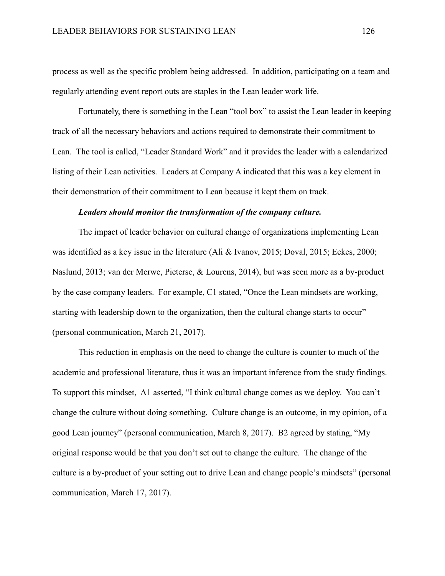process as well as the specific problem being addressed. In addition, participating on a team and regularly attending event report outs are staples in the Lean leader work life.

Fortunately, there is something in the Lean "tool box" to assist the Lean leader in keeping track of all the necessary behaviors and actions required to demonstrate their commitment to Lean. The tool is called, "Leader Standard Work" and it provides the leader with a calendarized listing of their Lean activities. Leaders at Company A indicated that this was a key element in their demonstration of their commitment to Lean because it kept them on track.

## *Leaders should monitor the transformation of the company culture.*

The impact of leader behavior on cultural change of organizations implementing Lean was identified as a key issue in the literature (Ali & Ivanov, 2015; Doval, 2015; Eckes, 2000; Naslund, 2013; van der Merwe, Pieterse, & Lourens, 2014), but was seen more as a by-product by the case company leaders. For example, C1 stated, "Once the Lean mindsets are working, starting with leadership down to the organization, then the cultural change starts to occur" (personal communication, March 21, 2017).

This reduction in emphasis on the need to change the culture is counter to much of the academic and professional literature, thus it was an important inference from the study findings. To support this mindset, A1 asserted, "I think cultural change comes as we deploy. You can't change the culture without doing something. Culture change is an outcome, in my opinion, of a good Lean journey" (personal communication, March 8, 2017). B2 agreed by stating, "My original response would be that you don't set out to change the culture. The change of the culture is a by-product of your setting out to drive Lean and change people's mindsets" (personal communication, March 17, 2017).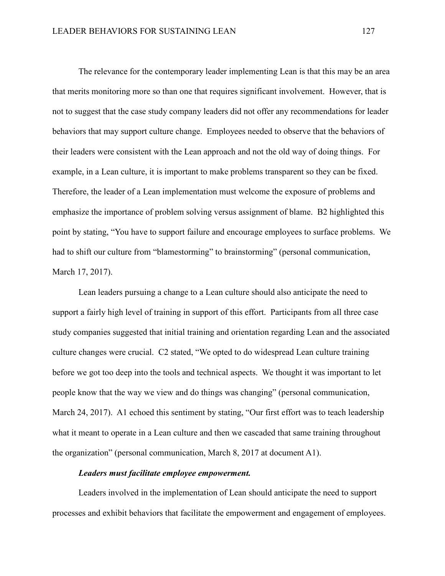The relevance for the contemporary leader implementing Lean is that this may be an area that merits monitoring more so than one that requires significant involvement. However, that is not to suggest that the case study company leaders did not offer any recommendations for leader behaviors that may support culture change. Employees needed to observe that the behaviors of their leaders were consistent with the Lean approach and not the old way of doing things. For example, in a Lean culture, it is important to make problems transparent so they can be fixed. Therefore, the leader of a Lean implementation must welcome the exposure of problems and emphasize the importance of problem solving versus assignment of blame. B2 highlighted this point by stating, "You have to support failure and encourage employees to surface problems. We had to shift our culture from "blamestorming" to brainstorming" (personal communication, March 17, 2017).

Lean leaders pursuing a change to a Lean culture should also anticipate the need to support a fairly high level of training in support of this effort. Participants from all three case study companies suggested that initial training and orientation regarding Lean and the associated culture changes were crucial. C2 stated, "We opted to do widespread Lean culture training before we got too deep into the tools and technical aspects. We thought it was important to let people know that the way we view and do things was changing" (personal communication, March 24, 2017). A1 echoed this sentiment by stating, "Our first effort was to teach leadership what it meant to operate in a Lean culture and then we cascaded that same training throughout the organization" (personal communication, March 8, 2017 at document A1).

#### *Leaders must facilitate employee empowerment.*

Leaders involved in the implementation of Lean should anticipate the need to support processes and exhibit behaviors that facilitate the empowerment and engagement of employees.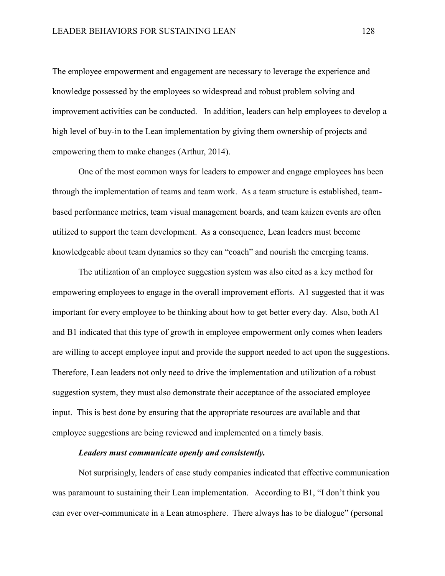The employee empowerment and engagement are necessary to leverage the experience and knowledge possessed by the employees so widespread and robust problem solving and improvement activities can be conducted. In addition, leaders can help employees to develop a high level of buy-in to the Lean implementation by giving them ownership of projects and empowering them to make changes (Arthur, 2014).

One of the most common ways for leaders to empower and engage employees has been through the implementation of teams and team work. As a team structure is established, teambased performance metrics, team visual management boards, and team kaizen events are often utilized to support the team development. As a consequence, Lean leaders must become knowledgeable about team dynamics so they can "coach" and nourish the emerging teams.

The utilization of an employee suggestion system was also cited as a key method for empowering employees to engage in the overall improvement efforts. A1 suggested that it was important for every employee to be thinking about how to get better every day. Also, both A1 and B1 indicated that this type of growth in employee empowerment only comes when leaders are willing to accept employee input and provide the support needed to act upon the suggestions. Therefore, Lean leaders not only need to drive the implementation and utilization of a robust suggestion system, they must also demonstrate their acceptance of the associated employee input. This is best done by ensuring that the appropriate resources are available and that employee suggestions are being reviewed and implemented on a timely basis.

# *Leaders must communicate openly and consistently.*

Not surprisingly, leaders of case study companies indicated that effective communication was paramount to sustaining their Lean implementation. According to B1, "I don't think you can ever over-communicate in a Lean atmosphere. There always has to be dialogue" (personal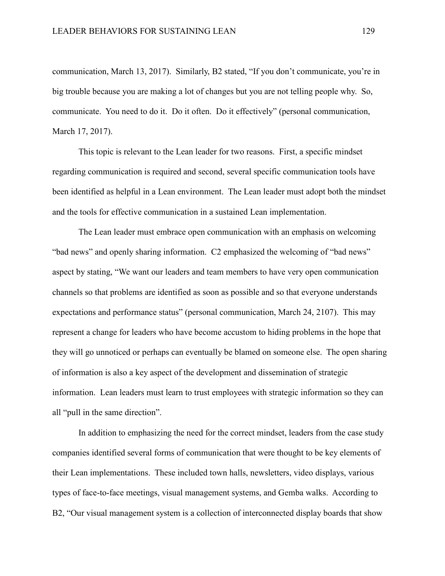communication, March 13, 2017). Similarly, B2 stated, "If you don't communicate, you're in big trouble because you are making a lot of changes but you are not telling people why. So, communicate. You need to do it. Do it often. Do it effectively" (personal communication, March 17, 2017).

This topic is relevant to the Lean leader for two reasons. First, a specific mindset regarding communication is required and second, several specific communication tools have been identified as helpful in a Lean environment. The Lean leader must adopt both the mindset and the tools for effective communication in a sustained Lean implementation.

The Lean leader must embrace open communication with an emphasis on welcoming "bad news" and openly sharing information. C2 emphasized the welcoming of "bad news" aspect by stating, "We want our leaders and team members to have very open communication channels so that problems are identified as soon as possible and so that everyone understands expectations and performance status" (personal communication, March 24, 2107). This may represent a change for leaders who have become accustom to hiding problems in the hope that they will go unnoticed or perhaps can eventually be blamed on someone else. The open sharing of information is also a key aspect of the development and dissemination of strategic information. Lean leaders must learn to trust employees with strategic information so they can all "pull in the same direction".

In addition to emphasizing the need for the correct mindset, leaders from the case study companies identified several forms of communication that were thought to be key elements of their Lean implementations. These included town halls, newsletters, video displays, various types of face-to-face meetings, visual management systems, and Gemba walks. According to B2, "Our visual management system is a collection of interconnected display boards that show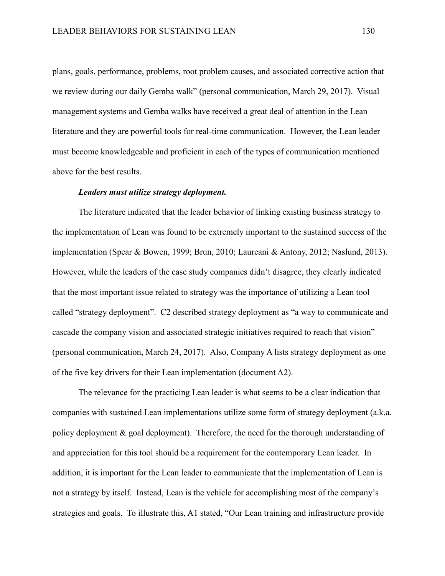plans, goals, performance, problems, root problem causes, and associated corrective action that we review during our daily Gemba walk" (personal communication, March 29, 2017). Visual management systems and Gemba walks have received a great deal of attention in the Lean literature and they are powerful tools for real-time communication. However, the Lean leader must become knowledgeable and proficient in each of the types of communication mentioned above for the best results.

## *Leaders must utilize strategy deployment.*

The literature indicated that the leader behavior of linking existing business strategy to the implementation of Lean was found to be extremely important to the sustained success of the implementation (Spear & Bowen, 1999; Brun, 2010; Laureani & Antony, 2012; Naslund, 2013). However, while the leaders of the case study companies didn't disagree, they clearly indicated that the most important issue related to strategy was the importance of utilizing a Lean tool called "strategy deployment". C2 described strategy deployment as "a way to communicate and cascade the company vision and associated strategic initiatives required to reach that vision" (personal communication, March 24, 2017). Also, Company A lists strategy deployment as one of the five key drivers for their Lean implementation (document A2).

The relevance for the practicing Lean leader is what seems to be a clear indication that companies with sustained Lean implementations utilize some form of strategy deployment (a.k.a. policy deployment & goal deployment). Therefore, the need for the thorough understanding of and appreciation for this tool should be a requirement for the contemporary Lean leader. In addition, it is important for the Lean leader to communicate that the implementation of Lean is not a strategy by itself. Instead, Lean is the vehicle for accomplishing most of the company's strategies and goals. To illustrate this, A1 stated, "Our Lean training and infrastructure provide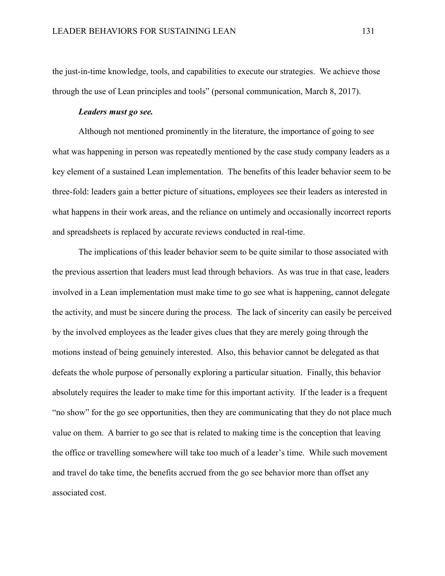the just-in-time knowledge, tools, and capabilities to execute our strategies. We achieve those through the use of Lean principles and tools" (personal communication, March 8, 2017).

## *Leaders must go see.*

Although not mentioned prominently in the literature, the importance of going to see what was happening in person was repeatedly mentioned by the case study company leaders as a key element of a sustained Lean implementation. The benefits of this leader behavior seem to be three-fold: leaders gain a better picture of situations, employees see their leaders as interested in what happens in their work areas, and the reliance on untimely and occasionally incorrect reports and spreadsheets is replaced by accurate reviews conducted in real-time.

The implications of this leader behavior seem to be quite similar to those associated with the previous assertion that leaders must lead through behaviors. As was true in that case, leaders involved in a Lean implementation must make time to go see what is happening, cannot delegate the activity, and must be sincere during the process. The lack of sincerity can easily be perceived by the involved employees as the leader gives clues that they are merely going through the motions instead of being genuinely interested. Also, this behavior cannot be delegated as that defeats the whole purpose of personally exploring a particular situation. Finally, this behavior absolutely requires the leader to make time for this important activity. If the leader is a frequent "no show" for the go see opportunities, then they are communicating that they do not place much value on them. A barrier to go see that is related to making time is the conception that leaving the office or travelling somewhere will take too much of a leader's time. While such movement and travel do take time, the benefits accrued from the go see behavior more than offset any associated cost.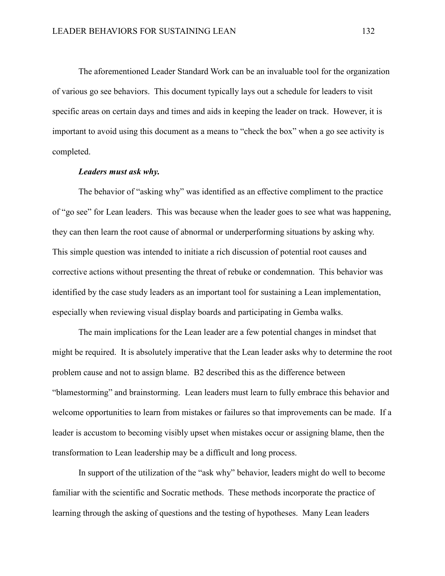The aforementioned Leader Standard Work can be an invaluable tool for the organization of various go see behaviors. This document typically lays out a schedule for leaders to visit specific areas on certain days and times and aids in keeping the leader on track. However, it is important to avoid using this document as a means to "check the box" when a go see activity is completed.

### *Leaders must ask why.*

The behavior of "asking why" was identified as an effective compliment to the practice of "go see" for Lean leaders. This was because when the leader goes to see what was happening, they can then learn the root cause of abnormal or underperforming situations by asking why. This simple question was intended to initiate a rich discussion of potential root causes and corrective actions without presenting the threat of rebuke or condemnation. This behavior was identified by the case study leaders as an important tool for sustaining a Lean implementation, especially when reviewing visual display boards and participating in Gemba walks.

The main implications for the Lean leader are a few potential changes in mindset that might be required. It is absolutely imperative that the Lean leader asks why to determine the root problem cause and not to assign blame. B2 described this as the difference between "blamestorming" and brainstorming. Lean leaders must learn to fully embrace this behavior and welcome opportunities to learn from mistakes or failures so that improvements can be made. If a leader is accustom to becoming visibly upset when mistakes occur or assigning blame, then the transformation to Lean leadership may be a difficult and long process.

In support of the utilization of the "ask why" behavior, leaders might do well to become familiar with the scientific and Socratic methods. These methods incorporate the practice of learning through the asking of questions and the testing of hypotheses. Many Lean leaders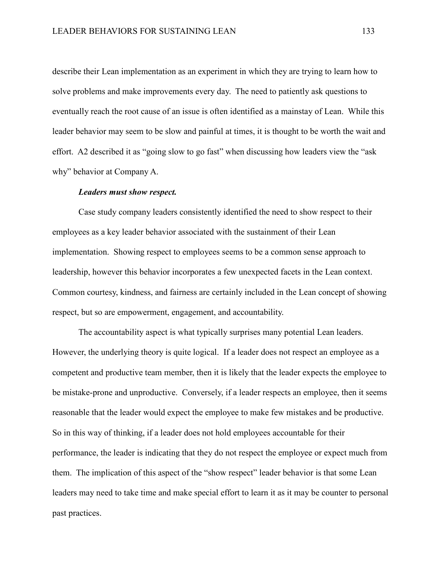describe their Lean implementation as an experiment in which they are trying to learn how to solve problems and make improvements every day. The need to patiently ask questions to eventually reach the root cause of an issue is often identified as a mainstay of Lean. While this leader behavior may seem to be slow and painful at times, it is thought to be worth the wait and effort. A2 described it as "going slow to go fast" when discussing how leaders view the "ask why" behavior at Company A.

#### *Leaders must show respect.*

Case study company leaders consistently identified the need to show respect to their employees as a key leader behavior associated with the sustainment of their Lean implementation. Showing respect to employees seems to be a common sense approach to leadership, however this behavior incorporates a few unexpected facets in the Lean context. Common courtesy, kindness, and fairness are certainly included in the Lean concept of showing respect, but so are empowerment, engagement, and accountability.

The accountability aspect is what typically surprises many potential Lean leaders. However, the underlying theory is quite logical. If a leader does not respect an employee as a competent and productive team member, then it is likely that the leader expects the employee to be mistake-prone and unproductive. Conversely, if a leader respects an employee, then it seems reasonable that the leader would expect the employee to make few mistakes and be productive. So in this way of thinking, if a leader does not hold employees accountable for their performance, the leader is indicating that they do not respect the employee or expect much from them. The implication of this aspect of the "show respect" leader behavior is that some Lean leaders may need to take time and make special effort to learn it as it may be counter to personal past practices.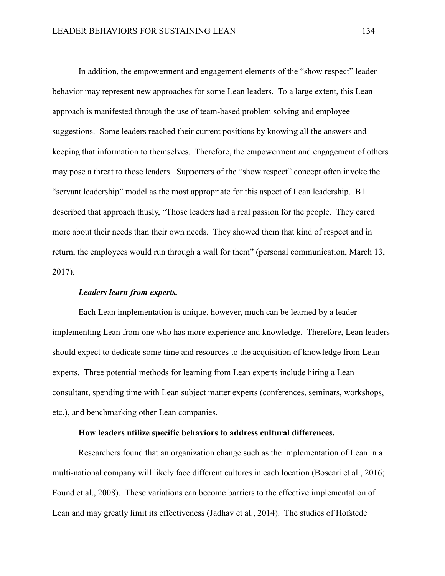In addition, the empowerment and engagement elements of the "show respect" leader behavior may represent new approaches for some Lean leaders. To a large extent, this Lean approach is manifested through the use of team-based problem solving and employee suggestions. Some leaders reached their current positions by knowing all the answers and keeping that information to themselves. Therefore, the empowerment and engagement of others may pose a threat to those leaders. Supporters of the "show respect" concept often invoke the "servant leadership" model as the most appropriate for this aspect of Lean leadership. B1 described that approach thusly, "Those leaders had a real passion for the people. They cared more about their needs than their own needs. They showed them that kind of respect and in return, the employees would run through a wall for them" (personal communication, March 13, 2017).

## *Leaders learn from experts.*

Each Lean implementation is unique, however, much can be learned by a leader implementing Lean from one who has more experience and knowledge. Therefore, Lean leaders should expect to dedicate some time and resources to the acquisition of knowledge from Lean experts. Three potential methods for learning from Lean experts include hiring a Lean consultant, spending time with Lean subject matter experts (conferences, seminars, workshops, etc.), and benchmarking other Lean companies.

## **How leaders utilize specific behaviors to address cultural differences.**

Researchers found that an organization change such as the implementation of Lean in a multi-national company will likely face different cultures in each location (Boscari et al., 2016; Found et al., 2008). These variations can become barriers to the effective implementation of Lean and may greatly limit its effectiveness (Jadhav et al., 2014). The studies of Hofstede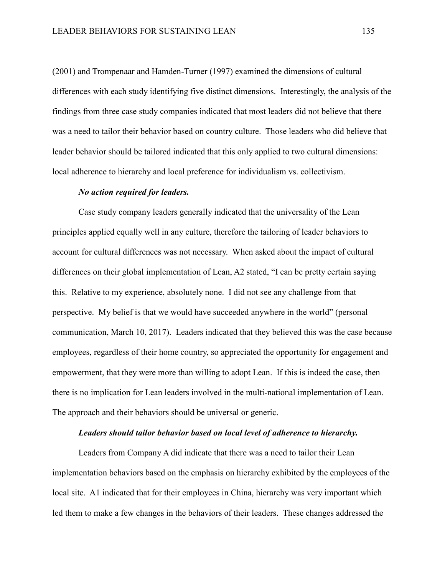(2001) and Trompenaar and Hamden-Turner (1997) examined the dimensions of cultural differences with each study identifying five distinct dimensions. Interestingly, the analysis of the findings from three case study companies indicated that most leaders did not believe that there was a need to tailor their behavior based on country culture. Those leaders who did believe that leader behavior should be tailored indicated that this only applied to two cultural dimensions: local adherence to hierarchy and local preference for individualism vs. collectivism.

## *No action required for leaders.*

Case study company leaders generally indicated that the universality of the Lean principles applied equally well in any culture, therefore the tailoring of leader behaviors to account for cultural differences was not necessary. When asked about the impact of cultural differences on their global implementation of Lean, A2 stated, "I can be pretty certain saying this. Relative to my experience, absolutely none. I did not see any challenge from that perspective. My belief is that we would have succeeded anywhere in the world" (personal communication, March 10, 2017). Leaders indicated that they believed this was the case because employees, regardless of their home country, so appreciated the opportunity for engagement and empowerment, that they were more than willing to adopt Lean. If this is indeed the case, then there is no implication for Lean leaders involved in the multi-national implementation of Lean. The approach and their behaviors should be universal or generic.

## *Leaders should tailor behavior based on local level of adherence to hierarchy.*

Leaders from Company A did indicate that there was a need to tailor their Lean implementation behaviors based on the emphasis on hierarchy exhibited by the employees of the local site. A1 indicated that for their employees in China, hierarchy was very important which led them to make a few changes in the behaviors of their leaders. These changes addressed the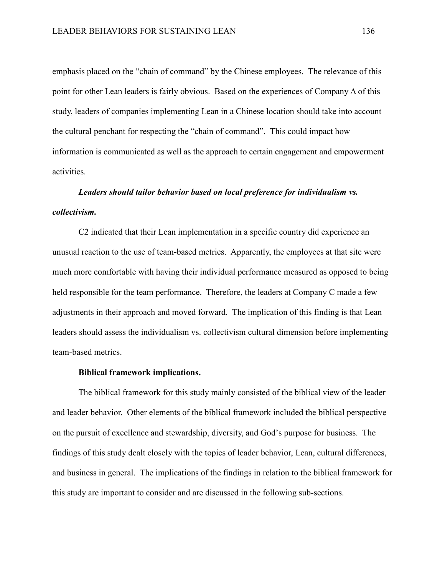emphasis placed on the "chain of command" by the Chinese employees. The relevance of this point for other Lean leaders is fairly obvious. Based on the experiences of Company A of this study, leaders of companies implementing Lean in a Chinese location should take into account the cultural penchant for respecting the "chain of command". This could impact how information is communicated as well as the approach to certain engagement and empowerment activities.

# *Leaders should tailor behavior based on local preference for individualism vs. collectivism.*

C2 indicated that their Lean implementation in a specific country did experience an unusual reaction to the use of team-based metrics. Apparently, the employees at that site were much more comfortable with having their individual performance measured as opposed to being held responsible for the team performance. Therefore, the leaders at Company C made a few adjustments in their approach and moved forward. The implication of this finding is that Lean leaders should assess the individualism vs. collectivism cultural dimension before implementing team-based metrics.

#### **Biblical framework implications.**

The biblical framework for this study mainly consisted of the biblical view of the leader and leader behavior. Other elements of the biblical framework included the biblical perspective on the pursuit of excellence and stewardship, diversity, and God's purpose for business. The findings of this study dealt closely with the topics of leader behavior, Lean, cultural differences, and business in general. The implications of the findings in relation to the biblical framework for this study are important to consider and are discussed in the following sub-sections.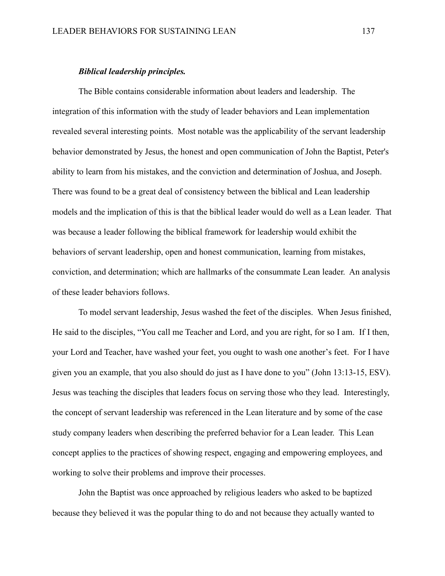#### *Biblical leadership principles.*

The Bible contains considerable information about leaders and leadership. The integration of this information with the study of leader behaviors and Lean implementation revealed several interesting points. Most notable was the applicability of the servant leadership behavior demonstrated by Jesus, the honest and open communication of John the Baptist, Peter's ability to learn from his mistakes, and the conviction and determination of Joshua, and Joseph. There was found to be a great deal of consistency between the biblical and Lean leadership models and the implication of this is that the biblical leader would do well as a Lean leader. That was because a leader following the biblical framework for leadership would exhibit the behaviors of servant leadership, open and honest communication, learning from mistakes, conviction, and determination; which are hallmarks of the consummate Lean leader. An analysis of these leader behaviors follows.

To model servant leadership, Jesus washed the feet of the disciples. When Jesus finished, He said to the disciples, "You call me Teacher and Lord, and you are right, for so I am. If I then, your Lord and Teacher, have washed your feet, you ought to wash one another's feet. For I have given you an example, that you also should do just as I have done to you" (John 13:13-15, ESV). Jesus was teaching the disciples that leaders focus on serving those who they lead. Interestingly, the concept of servant leadership was referenced in the Lean literature and by some of the case study company leaders when describing the preferred behavior for a Lean leader. This Lean concept applies to the practices of showing respect, engaging and empowering employees, and working to solve their problems and improve their processes.

John the Baptist was once approached by religious leaders who asked to be baptized because they believed it was the popular thing to do and not because they actually wanted to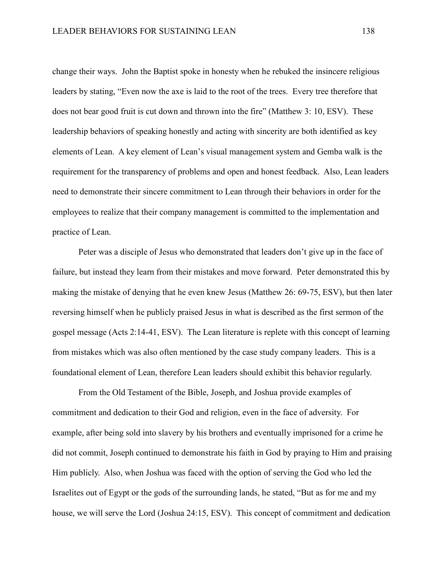change their ways. John the Baptist spoke in honesty when he rebuked the insincere religious leaders by stating, "Even now the axe is laid to the root of the trees. Every tree therefore that does not bear good fruit is cut down and thrown into the fire" (Matthew 3: 10, ESV). These leadership behaviors of speaking honestly and acting with sincerity are both identified as key elements of Lean. A key element of Lean's visual management system and Gemba walk is the requirement for the transparency of problems and open and honest feedback. Also, Lean leaders need to demonstrate their sincere commitment to Lean through their behaviors in order for the employees to realize that their company management is committed to the implementation and practice of Lean.

Peter was a disciple of Jesus who demonstrated that leaders don't give up in the face of failure, but instead they learn from their mistakes and move forward. Peter demonstrated this by making the mistake of denying that he even knew Jesus (Matthew 26: 69-75, ESV), but then later reversing himself when he publicly praised Jesus in what is described as the first sermon of the gospel message (Acts 2:14-41, ESV). The Lean literature is replete with this concept of learning from mistakes which was also often mentioned by the case study company leaders. This is a foundational element of Lean, therefore Lean leaders should exhibit this behavior regularly.

From the Old Testament of the Bible, Joseph, and Joshua provide examples of commitment and dedication to their God and religion, even in the face of adversity. For example, after being sold into slavery by his brothers and eventually imprisoned for a crime he did not commit, Joseph continued to demonstrate his faith in God by praying to Him and praising Him publicly. Also, when Joshua was faced with the option of serving the God who led the Israelites out of Egypt or the gods of the surrounding lands, he stated, "But as for me and my house, we will serve the Lord (Joshua 24:15, ESV). This concept of commitment and dedication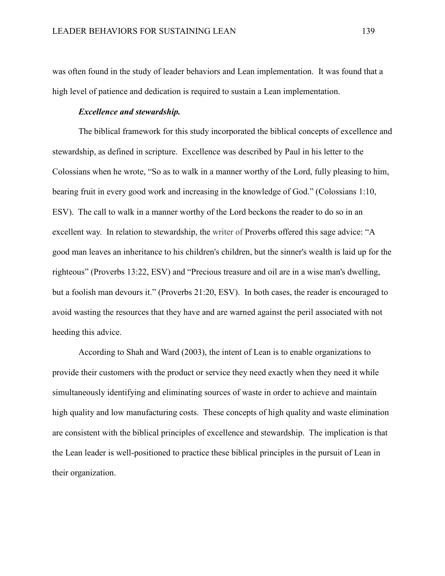was often found in the study of leader behaviors and Lean implementation. It was found that a high level of patience and dedication is required to sustain a Lean implementation.

## *Excellence and stewardship.*

The biblical framework for this study incorporated the biblical concepts of excellence and stewardship, as defined in scripture. Excellence was described by Paul in his letter to the Colossians when he wrote, "So as to walk in a manner worthy of the Lord, fully pleasing to him, bearing fruit in every good work and increasing in the knowledge of God." (Colossians 1:10, ESV). The call to walk in a manner worthy of the Lord beckons the reader to do so in an excellent way. In relation to stewardship, the writer of Proverbs offered this sage advice: "A good man leaves an inheritance to his children's children, but the sinner's wealth is laid up for the righteous" (Proverbs 13:22, ESV) and "Precious treasure and oil are in a wise man's dwelling, but a foolish man devours it." (Proverbs 21:20, ESV). In both cases, the reader is encouraged to avoid wasting the resources that they have and are warned against the peril associated with not heeding this advice.

According to Shah and Ward (2003), the intent of Lean is to enable organizations to provide their customers with the product or service they need exactly when they need it while simultaneously identifying and eliminating sources of waste in order to achieve and maintain high quality and low manufacturing costs. These concepts of high quality and waste elimination are consistent with the biblical principles of excellence and stewardship. The implication is that the Lean leader is well-positioned to practice these biblical principles in the pursuit of Lean in their organization.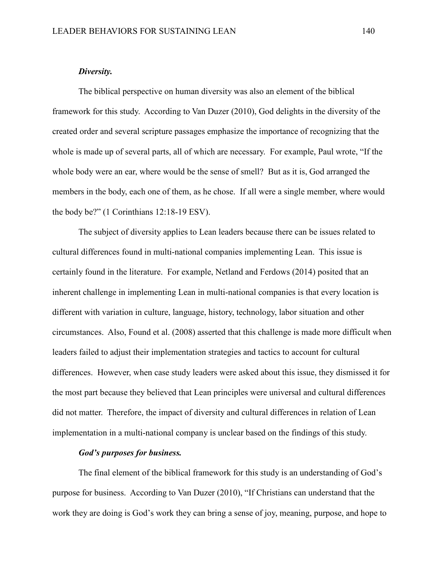## *Diversity.*

The biblical perspective on human diversity was also an element of the biblical framework for this study. According to Van Duzer (2010), God delights in the diversity of the created order and several scripture passages emphasize the importance of recognizing that the whole is made up of several parts, all of which are necessary. For example, Paul wrote, "If the whole body were an ear, where would be the sense of smell? But as it is, God arranged the members in the body, each one of them, as he chose. If all were a single member, where would the body be?" (1 Corinthians 12:18-19 ESV).

The subject of diversity applies to Lean leaders because there can be issues related to cultural differences found in multi-national companies implementing Lean. This issue is certainly found in the literature. For example, Netland and Ferdows (2014) posited that an inherent challenge in implementing Lean in multi-national companies is that every location is different with variation in culture, language, history, technology, labor situation and other circumstances. Also, Found et al. (2008) asserted that this challenge is made more difficult when leaders failed to adjust their implementation strategies and tactics to account for cultural differences. However, when case study leaders were asked about this issue, they dismissed it for the most part because they believed that Lean principles were universal and cultural differences did not matter. Therefore, the impact of diversity and cultural differences in relation of Lean implementation in a multi-national company is unclear based on the findings of this study.

# *God's purposes for business.*

The final element of the biblical framework for this study is an understanding of God's purpose for business. According to Van Duzer (2010), "If Christians can understand that the work they are doing is God's work they can bring a sense of joy, meaning, purpose, and hope to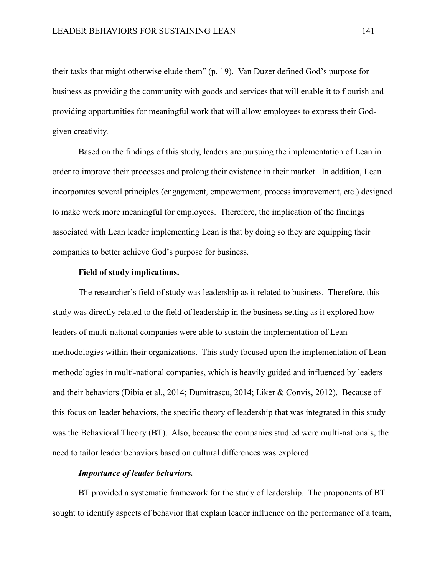their tasks that might otherwise elude them" (p. 19). Van Duzer defined God's purpose for business as providing the community with goods and services that will enable it to flourish and providing opportunities for meaningful work that will allow employees to express their Godgiven creativity.

Based on the findings of this study, leaders are pursuing the implementation of Lean in order to improve their processes and prolong their existence in their market. In addition, Lean incorporates several principles (engagement, empowerment, process improvement, etc.) designed to make work more meaningful for employees. Therefore, the implication of the findings associated with Lean leader implementing Lean is that by doing so they are equipping their companies to better achieve God's purpose for business.

## **Field of study implications.**

The researcher's field of study was leadership as it related to business. Therefore, this study was directly related to the field of leadership in the business setting as it explored how leaders of multi-national companies were able to sustain the implementation of Lean methodologies within their organizations. This study focused upon the implementation of Lean methodologies in multi-national companies, which is heavily guided and influenced by leaders and their behaviors (Dibia et al., 2014; Dumitrascu, 2014; Liker & Convis, 2012). Because of this focus on leader behaviors, the specific theory of leadership that was integrated in this study was the Behavioral Theory (BT). Also, because the companies studied were multi-nationals, the need to tailor leader behaviors based on cultural differences was explored.

#### *Importance of leader behaviors.*

BT provided a systematic framework for the study of leadership. The proponents of BT sought to identify aspects of behavior that explain leader influence on the performance of a team,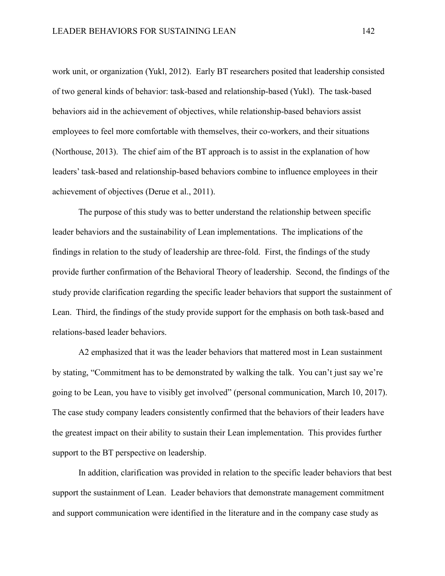work unit, or organization (Yukl, 2012). Early BT researchers posited that leadership consisted of two general kinds of behavior: task-based and relationship-based (Yukl). The task-based behaviors aid in the achievement of objectives, while relationship-based behaviors assist employees to feel more comfortable with themselves, their co-workers, and their situations (Northouse, 2013). The chief aim of the BT approach is to assist in the explanation of how leaders' task-based and relationship-based behaviors combine to influence employees in their achievement of objectives (Derue et al., 2011).

The purpose of this study was to better understand the relationship between specific leader behaviors and the sustainability of Lean implementations. The implications of the findings in relation to the study of leadership are three-fold. First, the findings of the study provide further confirmation of the Behavioral Theory of leadership. Second, the findings of the study provide clarification regarding the specific leader behaviors that support the sustainment of Lean. Third, the findings of the study provide support for the emphasis on both task-based and relations-based leader behaviors.

A2 emphasized that it was the leader behaviors that mattered most in Lean sustainment by stating, "Commitment has to be demonstrated by walking the talk. You can't just say we're going to be Lean, you have to visibly get involved" (personal communication, March 10, 2017). The case study company leaders consistently confirmed that the behaviors of their leaders have the greatest impact on their ability to sustain their Lean implementation. This provides further support to the BT perspective on leadership.

In addition, clarification was provided in relation to the specific leader behaviors that best support the sustainment of Lean. Leader behaviors that demonstrate management commitment and support communication were identified in the literature and in the company case study as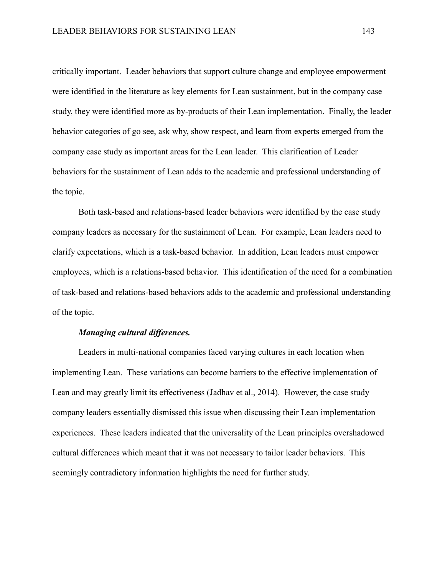critically important. Leader behaviors that support culture change and employee empowerment were identified in the literature as key elements for Lean sustainment, but in the company case study, they were identified more as by-products of their Lean implementation. Finally, the leader behavior categories of go see, ask why, show respect, and learn from experts emerged from the company case study as important areas for the Lean leader. This clarification of Leader behaviors for the sustainment of Lean adds to the academic and professional understanding of the topic.

Both task-based and relations-based leader behaviors were identified by the case study company leaders as necessary for the sustainment of Lean. For example, Lean leaders need to clarify expectations, which is a task-based behavior. In addition, Lean leaders must empower employees, which is a relations-based behavior. This identification of the need for a combination of task-based and relations-based behaviors adds to the academic and professional understanding of the topic.

# *Managing cultural differences.*

Leaders in multi-national companies faced varying cultures in each location when implementing Lean. These variations can become barriers to the effective implementation of Lean and may greatly limit its effectiveness (Jadhav et al., 2014). However, the case study company leaders essentially dismissed this issue when discussing their Lean implementation experiences. These leaders indicated that the universality of the Lean principles overshadowed cultural differences which meant that it was not necessary to tailor leader behaviors. This seemingly contradictory information highlights the need for further study.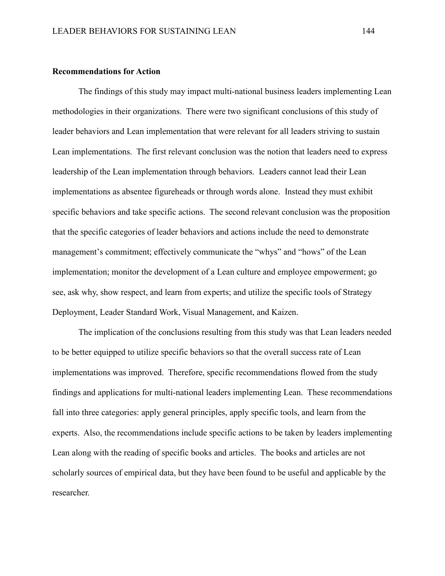#### **Recommendations for Action**

The findings of this study may impact multi-national business leaders implementing Lean methodologies in their organizations. There were two significant conclusions of this study of leader behaviors and Lean implementation that were relevant for all leaders striving to sustain Lean implementations. The first relevant conclusion was the notion that leaders need to express leadership of the Lean implementation through behaviors. Leaders cannot lead their Lean implementations as absentee figureheads or through words alone. Instead they must exhibit specific behaviors and take specific actions. The second relevant conclusion was the proposition that the specific categories of leader behaviors and actions include the need to demonstrate management's commitment; effectively communicate the "whys" and "hows" of the Lean implementation; monitor the development of a Lean culture and employee empowerment; go see, ask why, show respect, and learn from experts; and utilize the specific tools of Strategy Deployment, Leader Standard Work, Visual Management, and Kaizen.

The implication of the conclusions resulting from this study was that Lean leaders needed to be better equipped to utilize specific behaviors so that the overall success rate of Lean implementations was improved. Therefore, specific recommendations flowed from the study findings and applications for multi-national leaders implementing Lean. These recommendations fall into three categories: apply general principles, apply specific tools, and learn from the experts. Also, the recommendations include specific actions to be taken by leaders implementing Lean along with the reading of specific books and articles. The books and articles are not scholarly sources of empirical data, but they have been found to be useful and applicable by the researcher.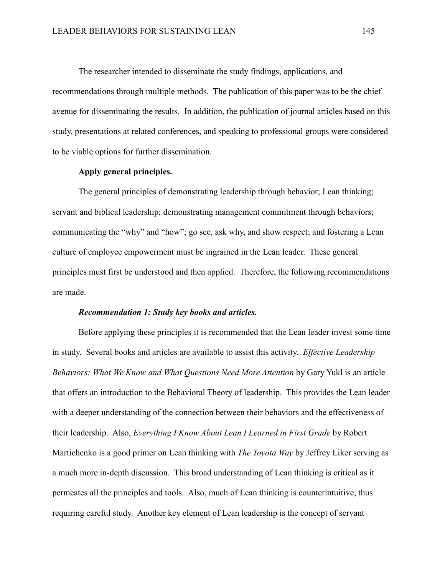The researcher intended to disseminate the study findings, applications, and recommendations through multiple methods. The publication of this paper was to be the chief avenue for disseminating the results. In addition, the publication of journal articles based on this study, presentations at related conferences, and speaking to professional groups were considered to be viable options for further dissemination.

#### **Apply general principles.**

The general principles of demonstrating leadership through behavior; Lean thinking; servant and biblical leadership; demonstrating management commitment through behaviors; communicating the "why" and "how"; go see, ask why, and show respect; and fostering a Lean culture of employee empowerment must be ingrained in the Lean leader. These general principles must first be understood and then applied. Therefore, the following recommendations are made.

### *Recommendation 1: Study key books and articles.*

Before applying these principles it is recommended that the Lean leader invest some time in study. Several books and articles are available to assist this activity. *Effective Leadership Behaviors: What We Know and What Questions Need More Attention* by Gary Yukl is an article that offers an introduction to the Behavioral Theory of leadership. This provides the Lean leader with a deeper understanding of the connection between their behaviors and the effectiveness of their leadership. Also, *Everything I Know About Lean I Learned in First Grade* by Robert Martichenko is a good primer on Lean thinking with *The Toyota Way* by Jeffrey Liker serving as a much more in-depth discussion. This broad understanding of Lean thinking is critical as it permeates all the principles and tools. Also, much of Lean thinking is counterintuitive, thus requiring careful study. Another key element of Lean leadership is the concept of servant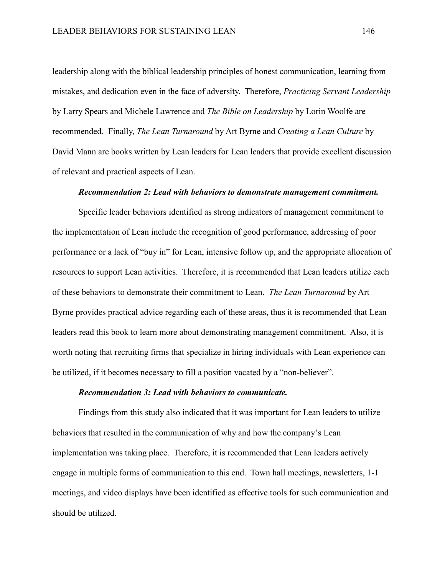leadership along with the biblical leadership principles of honest communication, learning from mistakes, and dedication even in the face of adversity. Therefore, *Practicing Servant Leadership* by Larry Spears and Michele Lawrence and *The Bible on Leadership* by Lorin Woolfe are recommended. Finally, *The Lean Turnaround* by Art Byrne and *Creating a Lean Culture* by David Mann are books written by Lean leaders for Lean leaders that provide excellent discussion of relevant and practical aspects of Lean.

# *Recommendation 2: Lead with behaviors to demonstrate management commitment.*

Specific leader behaviors identified as strong indicators of management commitment to the implementation of Lean include the recognition of good performance, addressing of poor performance or a lack of "buy in" for Lean, intensive follow up, and the appropriate allocation of resources to support Lean activities. Therefore, it is recommended that Lean leaders utilize each of these behaviors to demonstrate their commitment to Lean. *The Lean Turnaround* by Art Byrne provides practical advice regarding each of these areas, thus it is recommended that Lean leaders read this book to learn more about demonstrating management commitment. Also, it is worth noting that recruiting firms that specialize in hiring individuals with Lean experience can be utilized, if it becomes necessary to fill a position vacated by a "non-believer".

# *Recommendation 3: Lead with behaviors to communicate.*

Findings from this study also indicated that it was important for Lean leaders to utilize behaviors that resulted in the communication of why and how the company's Lean implementation was taking place. Therefore, it is recommended that Lean leaders actively engage in multiple forms of communication to this end. Town hall meetings, newsletters, 1-1 meetings, and video displays have been identified as effective tools for such communication and should be utilized.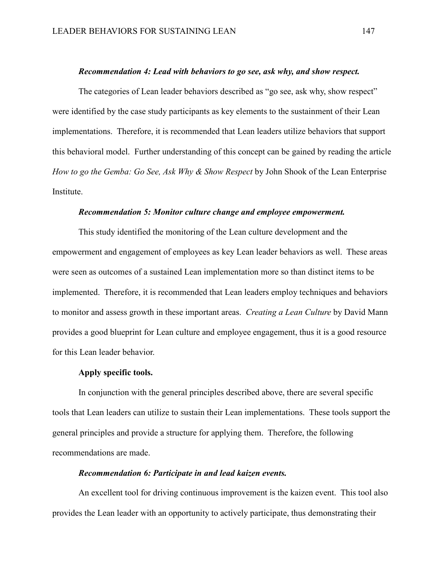#### *Recommendation 4: Lead with behaviors to go see, ask why, and show respect.*

The categories of Lean leader behaviors described as "go see, ask why, show respect" were identified by the case study participants as key elements to the sustainment of their Lean implementations. Therefore, it is recommended that Lean leaders utilize behaviors that support this behavioral model. Further understanding of this concept can be gained by reading the article *How to go the Gemba: Go See, Ask Why & Show Respect* by John Shook of the Lean Enterprise Institute.

## *Recommendation 5: Monitor culture change and employee empowerment.*

This study identified the monitoring of the Lean culture development and the empowerment and engagement of employees as key Lean leader behaviors as well. These areas were seen as outcomes of a sustained Lean implementation more so than distinct items to be implemented. Therefore, it is recommended that Lean leaders employ techniques and behaviors to monitor and assess growth in these important areas. *Creating a Lean Culture* by David Mann provides a good blueprint for Lean culture and employee engagement, thus it is a good resource for this Lean leader behavior.

#### **Apply specific tools.**

In conjunction with the general principles described above, there are several specific tools that Lean leaders can utilize to sustain their Lean implementations. These tools support the general principles and provide a structure for applying them. Therefore, the following recommendations are made.

#### *Recommendation 6: Participate in and lead kaizen events.*

An excellent tool for driving continuous improvement is the kaizen event. This tool also provides the Lean leader with an opportunity to actively participate, thus demonstrating their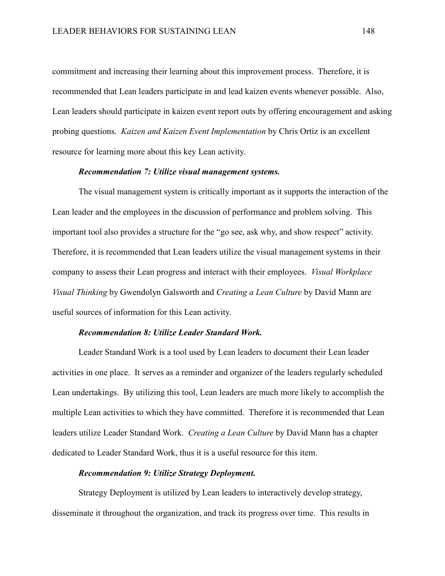commitment and increasing their learning about this improvement process. Therefore, it is recommended that Lean leaders participate in and lead kaizen events whenever possible. Also, Lean leaders should participate in kaizen event report outs by offering encouragement and asking probing questions. *Kaizen and Kaizen Event Implementation* by Chris Ortiz is an excellent resource for learning more about this key Lean activity.

#### *Recommendation 7: Utilize visual management systems.*

The visual management system is critically important as it supports the interaction of the Lean leader and the employees in the discussion of performance and problem solving. This important tool also provides a structure for the "go see, ask why, and show respect" activity. Therefore, it is recommended that Lean leaders utilize the visual management systems in their company to assess their Lean progress and interact with their employees. *Visual Workplace Visual Thinking* by Gwendolyn Galsworth and *Creating a Lean Culture* by David Mann are useful sources of information for this Lean activity.

## *Recommendation 8: Utilize Leader Standard Work.*

Leader Standard Work is a tool used by Lean leaders to document their Lean leader activities in one place. It serves as a reminder and organizer of the leaders regularly scheduled Lean undertakings. By utilizing this tool, Lean leaders are much more likely to accomplish the multiple Lean activities to which they have committed. Therefore it is recommended that Lean leaders utilize Leader Standard Work. *Creating a Lean Culture* by David Mann has a chapter dedicated to Leader Standard Work, thus it is a useful resource for this item.

#### *Recommendation 9: Utilize Strategy Deployment.*

Strategy Deployment is utilized by Lean leaders to interactively develop strategy, disseminate it throughout the organization, and track its progress over time. This results in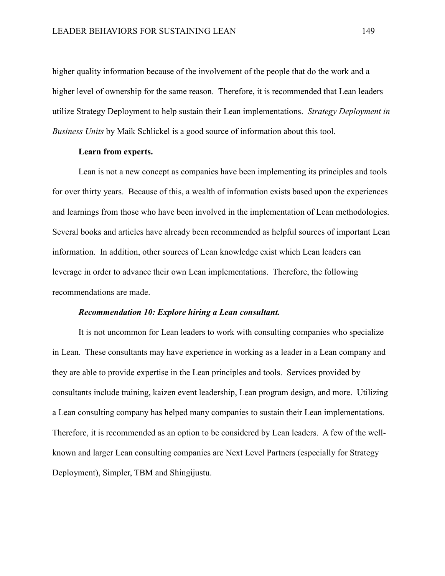higher quality information because of the involvement of the people that do the work and a higher level of ownership for the same reason. Therefore, it is recommended that Lean leaders utilize Strategy Deployment to help sustain their Lean implementations. *Strategy Deployment in Business Units* by Maik Schlickel is a good source of information about this tool.

# **Learn from experts.**

Lean is not a new concept as companies have been implementing its principles and tools for over thirty years. Because of this, a wealth of information exists based upon the experiences and learnings from those who have been involved in the implementation of Lean methodologies. Several books and articles have already been recommended as helpful sources of important Lean information. In addition, other sources of Lean knowledge exist which Lean leaders can leverage in order to advance their own Lean implementations. Therefore, the following recommendations are made.

### *Recommendation 10: Explore hiring a Lean consultant.*

It is not uncommon for Lean leaders to work with consulting companies who specialize in Lean. These consultants may have experience in working as a leader in a Lean company and they are able to provide expertise in the Lean principles and tools. Services provided by consultants include training, kaizen event leadership, Lean program design, and more. Utilizing a Lean consulting company has helped many companies to sustain their Lean implementations. Therefore, it is recommended as an option to be considered by Lean leaders. A few of the wellknown and larger Lean consulting companies are Next Level Partners (especially for Strategy Deployment), Simpler, TBM and Shingijustu.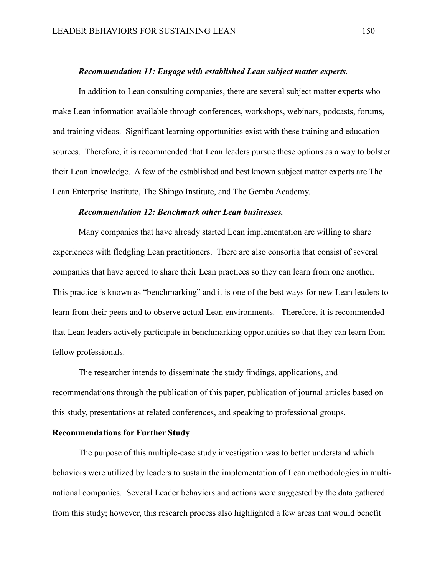#### *Recommendation 11: Engage with established Lean subject matter experts.*

In addition to Lean consulting companies, there are several subject matter experts who make Lean information available through conferences, workshops, webinars, podcasts, forums, and training videos. Significant learning opportunities exist with these training and education sources. Therefore, it is recommended that Lean leaders pursue these options as a way to bolster their Lean knowledge. A few of the established and best known subject matter experts are The Lean Enterprise Institute, The Shingo Institute, and The Gemba Academy.

# *Recommendation 12: Benchmark other Lean businesses.*

Many companies that have already started Lean implementation are willing to share experiences with fledgling Lean practitioners. There are also consortia that consist of several companies that have agreed to share their Lean practices so they can learn from one another. This practice is known as "benchmarking" and it is one of the best ways for new Lean leaders to learn from their peers and to observe actual Lean environments. Therefore, it is recommended that Lean leaders actively participate in benchmarking opportunities so that they can learn from fellow professionals.

The researcher intends to disseminate the study findings, applications, and recommendations through the publication of this paper, publication of journal articles based on this study, presentations at related conferences, and speaking to professional groups.

# **Recommendations for Further Study**

The purpose of this multiple-case study investigation was to better understand which behaviors were utilized by leaders to sustain the implementation of Lean methodologies in multinational companies. Several Leader behaviors and actions were suggested by the data gathered from this study; however, this research process also highlighted a few areas that would benefit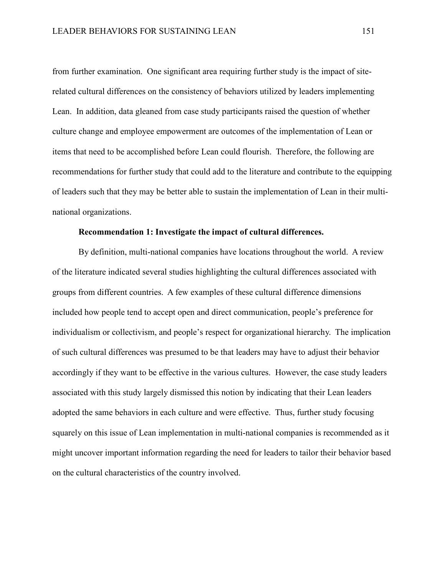from further examination. One significant area requiring further study is the impact of siterelated cultural differences on the consistency of behaviors utilized by leaders implementing Lean. In addition, data gleaned from case study participants raised the question of whether culture change and employee empowerment are outcomes of the implementation of Lean or items that need to be accomplished before Lean could flourish. Therefore, the following are recommendations for further study that could add to the literature and contribute to the equipping of leaders such that they may be better able to sustain the implementation of Lean in their multinational organizations.

### **Recommendation 1: Investigate the impact of cultural differences.**

By definition, multi-national companies have locations throughout the world. A review of the literature indicated several studies highlighting the cultural differences associated with groups from different countries. A few examples of these cultural difference dimensions included how people tend to accept open and direct communication, people's preference for individualism or collectivism, and people's respect for organizational hierarchy. The implication of such cultural differences was presumed to be that leaders may have to adjust their behavior accordingly if they want to be effective in the various cultures. However, the case study leaders associated with this study largely dismissed this notion by indicating that their Lean leaders adopted the same behaviors in each culture and were effective. Thus, further study focusing squarely on this issue of Lean implementation in multi-national companies is recommended as it might uncover important information regarding the need for leaders to tailor their behavior based on the cultural characteristics of the country involved.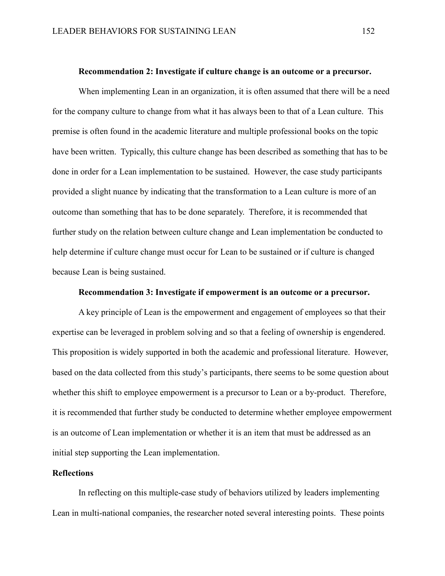#### **Recommendation 2: Investigate if culture change is an outcome or a precursor.**

When implementing Lean in an organization, it is often assumed that there will be a need for the company culture to change from what it has always been to that of a Lean culture. This premise is often found in the academic literature and multiple professional books on the topic have been written. Typically, this culture change has been described as something that has to be done in order for a Lean implementation to be sustained. However, the case study participants provided a slight nuance by indicating that the transformation to a Lean culture is more of an outcome than something that has to be done separately. Therefore, it is recommended that further study on the relation between culture change and Lean implementation be conducted to help determine if culture change must occur for Lean to be sustained or if culture is changed because Lean is being sustained.

# **Recommendation 3: Investigate if empowerment is an outcome or a precursor.**

A key principle of Lean is the empowerment and engagement of employees so that their expertise can be leveraged in problem solving and so that a feeling of ownership is engendered. This proposition is widely supported in both the academic and professional literature. However, based on the data collected from this study's participants, there seems to be some question about whether this shift to employee empowerment is a precursor to Lean or a by-product. Therefore, it is recommended that further study be conducted to determine whether employee empowerment is an outcome of Lean implementation or whether it is an item that must be addressed as an initial step supporting the Lean implementation.

# **Reflections**

In reflecting on this multiple-case study of behaviors utilized by leaders implementing Lean in multi-national companies, the researcher noted several interesting points. These points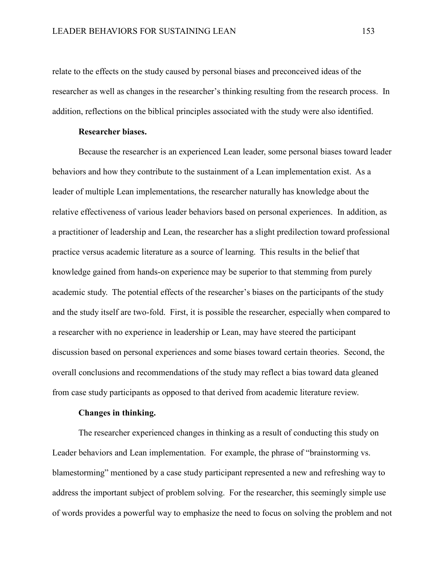relate to the effects on the study caused by personal biases and preconceived ideas of the researcher as well as changes in the researcher's thinking resulting from the research process. In addition, reflections on the biblical principles associated with the study were also identified.

## **Researcher biases.**

Because the researcher is an experienced Lean leader, some personal biases toward leader behaviors and how they contribute to the sustainment of a Lean implementation exist. As a leader of multiple Lean implementations, the researcher naturally has knowledge about the relative effectiveness of various leader behaviors based on personal experiences. In addition, as a practitioner of leadership and Lean, the researcher has a slight predilection toward professional practice versus academic literature as a source of learning. This results in the belief that knowledge gained from hands-on experience may be superior to that stemming from purely academic study. The potential effects of the researcher's biases on the participants of the study and the study itself are two-fold. First, it is possible the researcher, especially when compared to a researcher with no experience in leadership or Lean, may have steered the participant discussion based on personal experiences and some biases toward certain theories. Second, the overall conclusions and recommendations of the study may reflect a bias toward data gleaned from case study participants as opposed to that derived from academic literature review.

# **Changes in thinking.**

The researcher experienced changes in thinking as a result of conducting this study on Leader behaviors and Lean implementation. For example, the phrase of "brainstorming vs. blamestorming" mentioned by a case study participant represented a new and refreshing way to address the important subject of problem solving. For the researcher, this seemingly simple use of words provides a powerful way to emphasize the need to focus on solving the problem and not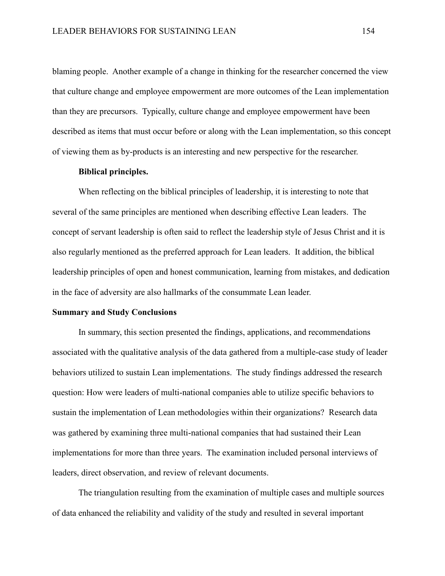blaming people. Another example of a change in thinking for the researcher concerned the view that culture change and employee empowerment are more outcomes of the Lean implementation than they are precursors. Typically, culture change and employee empowerment have been described as items that must occur before or along with the Lean implementation, so this concept of viewing them as by-products is an interesting and new perspective for the researcher.

#### **Biblical principles.**

When reflecting on the biblical principles of leadership, it is interesting to note that several of the same principles are mentioned when describing effective Lean leaders. The concept of servant leadership is often said to reflect the leadership style of Jesus Christ and it is also regularly mentioned as the preferred approach for Lean leaders. It addition, the biblical leadership principles of open and honest communication, learning from mistakes, and dedication in the face of adversity are also hallmarks of the consummate Lean leader.

# **Summary and Study Conclusions**

In summary, this section presented the findings, applications, and recommendations associated with the qualitative analysis of the data gathered from a multiple-case study of leader behaviors utilized to sustain Lean implementations. The study findings addressed the research question: How were leaders of multi-national companies able to utilize specific behaviors to sustain the implementation of Lean methodologies within their organizations? Research data was gathered by examining three multi-national companies that had sustained their Lean implementations for more than three years. The examination included personal interviews of leaders, direct observation, and review of relevant documents.

The triangulation resulting from the examination of multiple cases and multiple sources of data enhanced the reliability and validity of the study and resulted in several important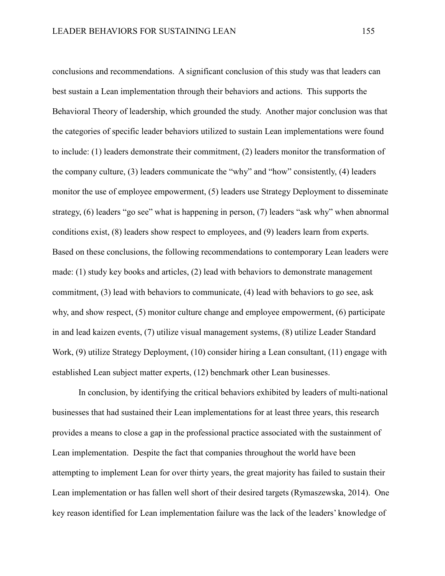conclusions and recommendations. A significant conclusion of this study was that leaders can best sustain a Lean implementation through their behaviors and actions. This supports the Behavioral Theory of leadership, which grounded the study. Another major conclusion was that the categories of specific leader behaviors utilized to sustain Lean implementations were found to include: (1) leaders demonstrate their commitment, (2) leaders monitor the transformation of the company culture, (3) leaders communicate the "why" and "how" consistently, (4) leaders monitor the use of employee empowerment, (5) leaders use Strategy Deployment to disseminate strategy, (6) leaders "go see" what is happening in person, (7) leaders "ask why" when abnormal conditions exist, (8) leaders show respect to employees, and (9) leaders learn from experts. Based on these conclusions, the following recommendations to contemporary Lean leaders were made: (1) study key books and articles, (2) lead with behaviors to demonstrate management commitment, (3) lead with behaviors to communicate, (4) lead with behaviors to go see, ask why, and show respect, (5) monitor culture change and employee empowerment, (6) participate in and lead kaizen events, (7) utilize visual management systems, (8) utilize Leader Standard Work, (9) utilize Strategy Deployment, (10) consider hiring a Lean consultant, (11) engage with established Lean subject matter experts, (12) benchmark other Lean businesses.

In conclusion, by identifying the critical behaviors exhibited by leaders of multi-national businesses that had sustained their Lean implementations for at least three years, this research provides a means to close a gap in the professional practice associated with the sustainment of Lean implementation. Despite the fact that companies throughout the world have been attempting to implement Lean for over thirty years, the great majority has failed to sustain their Lean implementation or has fallen well short of their desired targets (Rymaszewska, 2014). One key reason identified for Lean implementation failure was the lack of the leaders' knowledge of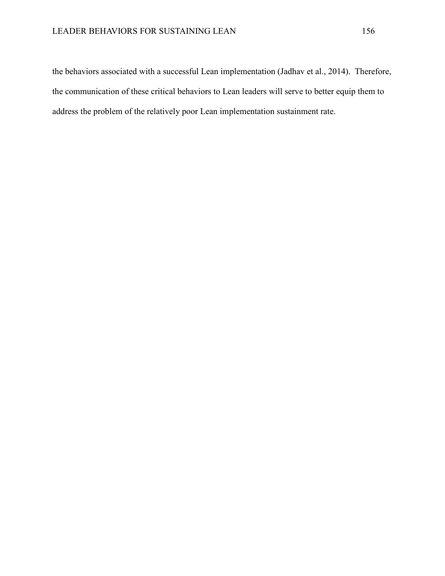the behaviors associated with a successful Lean implementation (Jadhav et al., 2014). Therefore, the communication of these critical behaviors to Lean leaders will serve to better equip them to address the problem of the relatively poor Lean implementation sustainment rate.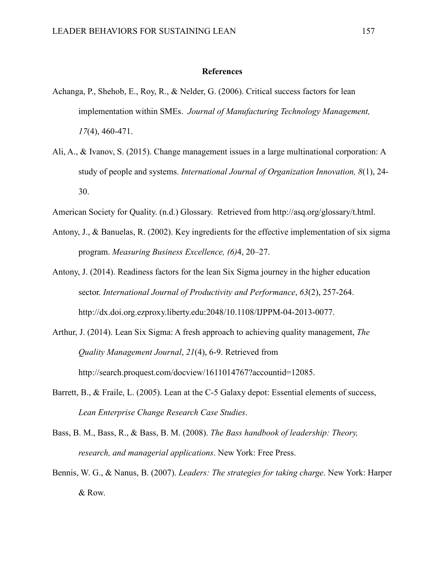#### **References**

- Achanga, P., Shehob, E., Roy, R., & Nelder, G. (2006). Critical success factors for lean implementation within SMEs. *Journal of Manufacturing Technology Management, 17*(4), 460-471.
- Ali, A., & Ivanov, S. (2015). Change management issues in a large multinational corporation: A study of people and systems. *International Journal of Organization Innovation, 8*(1), 24- 30.
- American Society for Quality. (n.d.) Glossary. Retrieved from http://asq.org/glossary/t.html.
- Antony, J., & Banuelas, R. (2002). Key ingredients for the effective implementation of six sigma program. *Measuring Business Excellence, (6)*4, 20–27.
- Antony, J. (2014). Readiness factors for the lean Six Sigma journey in the higher education sector. *International Journal of Productivity and Performance*, *63*(2), 257-264. http://dx.doi.org.ezproxy.liberty.edu:2048/10.1108/IJPPM-04-2013-0077.
- Arthur, J. (2014). Lean Six Sigma: A fresh approach to achieving quality management, *The Quality Management Journal*, *21*(4), 6-9. Retrieved from http://search.proquest.com/docview/1611014767?accountid=12085.
- Barrett, B., & Fraile, L. (2005). Lean at the C-5 Galaxy depot: Essential elements of success, *Lean Enterprise Change Research Case Studies*.
- Bass, B. M., Bass, R., & Bass, B. M. (2008). *The Bass handbook of leadership: Theory, research, and managerial applications*. New York: Free Press.
- Bennis, W. G., & Nanus, B. (2007). *Leaders: The strategies for taking charge*. New York: Harper & Row.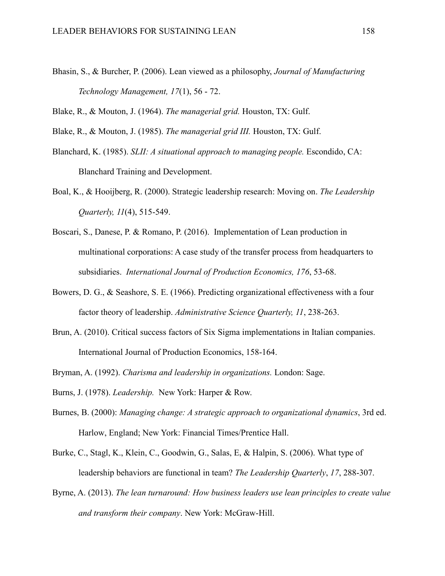Bhasin, S., & Burcher, P. (2006). Lean viewed as a philosophy, *Journal of Manufacturing Technology Management, 17*(1), 56 - 72.

Blake, R., & Mouton, J. (1964). *The managerial grid.* Houston, TX: Gulf.

Blake, R., & Mouton, J. (1985). *The managerial grid III.* Houston, TX: Gulf.

- Blanchard, K. (1985). *SLII: A situational approach to managing people.* Escondido, CA: Blanchard Training and Development.
- Boal, K., & Hooijberg, R. (2000). Strategic leadership research: Moving on. *The Leadership Quarterly, 11*(4), 515-549.
- Boscari, S., Danese, P. & Romano, P. (2016). Implementation of Lean production in multinational corporations: A case study of the transfer process from headquarters to subsidiaries. *International Journal of Production Economics, 176*, 53-68.
- Bowers, D. G., & Seashore, S. E. (1966). Predicting organizational effectiveness with a four factor theory of leadership. *Administrative Science Quarterly, 11*, 238-263.
- Brun, A. (2010). Critical success factors of Six Sigma implementations in Italian companies. International Journal of Production Economics, 158-164.
- Bryman, A. (1992). *Charisma and leadership in organizations.* London: Sage.
- Burns, J. (1978). *Leadership.* New York: Harper & Row.
- Burnes, B. (2000): *Managing change: A strategic approach to organizational dynamics*, 3rd ed. Harlow, England; New York: Financial Times/Prentice Hall.
- Burke, C., Stagl, K., Klein, C., Goodwin, G., Salas, E, & Halpin, S. (2006). What type of leadership behaviors are functional in team? *The Leadership Quarterly*, *17*, 288-307.
- Byrne, A. (2013). *The lean turnaround: How business leaders use lean principles to create value and transform their company*. New York: McGraw-Hill.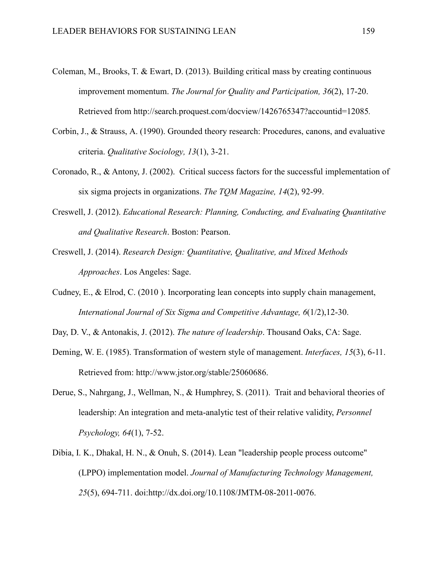- Coleman, M., Brooks, T. & Ewart, D. (2013). Building critical mass by creating continuous improvement momentum. *The Journal for Quality and Participation, 36*(2), 17-20. Retrieved from http://search.proquest.com/docview/1426765347?accountid=12085*.*
- Corbin, J., & Strauss, A. (1990). Grounded theory research: Procedures, canons, and evaluative criteria. *Qualitative Sociology, 13*(1), 3-21.
- Coronado, R., & Antony, J. (2002). Critical success factors for the successful implementation of six sigma projects in organizations. *The TQM Magazine, 14*(2), 92-99.
- Creswell, J. (2012). *Educational Research: Planning, Conducting, and Evaluating Quantitative and Qualitative Research*. Boston: Pearson.
- Creswell, J. (2014). *Research Design: Quantitative, Qualitative, and Mixed Methods Approaches*. Los Angeles: Sage.
- Cudney, E., & Elrod, C. (2010 ). Incorporating lean concepts into supply chain management, *International Journal of Six Sigma and Competitive Advantage, 6*(1/2),12-30.
- Day, D. V., & Antonakis, J. (2012). *The nature of leadership*. Thousand Oaks, CA: Sage.
- Deming, W. E. (1985). Transformation of western style of management. *Interfaces, 15*(3), 6-11. Retrieved from: http://www.jstor.org/stable/25060686.
- Derue, S., Nahrgang, J., Wellman, N., & Humphrey, S. (2011). Trait and behavioral theories of leadership: An integration and meta-analytic test of their relative validity, *Personnel Psychology, 64*(1), 7-52.
- Dibia, I. K., Dhakal, H. N., & Onuh, S. (2014). Lean "leadership people process outcome" (LPPO) implementation model. *Journal of Manufacturing Technology Management, 25*(5), 694-711. doi:http://dx.doi.org/10.1108/JMTM-08-2011-0076.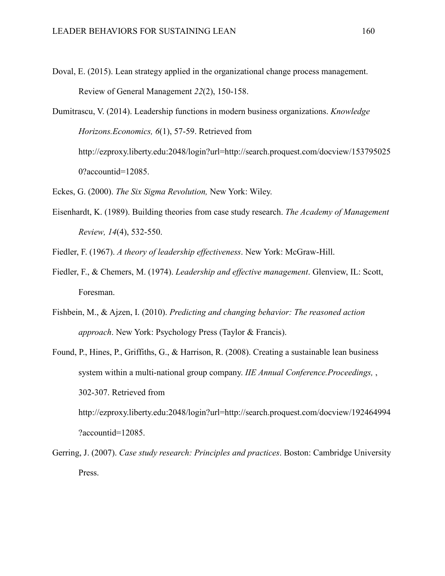Doval, E. (2015). Lean strategy applied in the organizational change process management. Review of General Management *22*(2), 150-158.

Dumitrascu, V. (2014). Leadership functions in modern business organizations. *Knowledge Horizons.Economics, 6*(1), 57-59. Retrieved from http://ezproxy.liberty.edu:2048/login?url=http://search.proquest.com/docview/153795025 0?accountid=12085.

- Eckes, G. (2000). *The Six Sigma Revolution,* New York: Wiley.
- Eisenhardt, K. (1989). Building theories from case study research. *The Academy of Management Review, 14*(4), 532-550.

Fiedler, F. (1967). *A theory of leadership effectiveness*. New York: McGraw-Hill.

- Fiedler, F., & Chemers, M. (1974). *Leadership and effective management*. Glenview, IL: Scott, Foresman.
- Fishbein, M., & Ajzen, I. (2010). *Predicting and changing behavior: The reasoned action approach*. New York: Psychology Press (Taylor & Francis).
- Found, P., Hines, P., Griffiths, G., & Harrison, R. (2008). Creating a sustainable lean business system within a multi-national group company. *IIE Annual Conference.Proceedings,* , 302-307. Retrieved from http://ezproxy.liberty.edu:2048/login?url=http://search.proquest.com/docview/192464994

?accountid=12085.

Gerring, J. (2007). *Case study research: Principles and practices*. Boston: Cambridge University Press.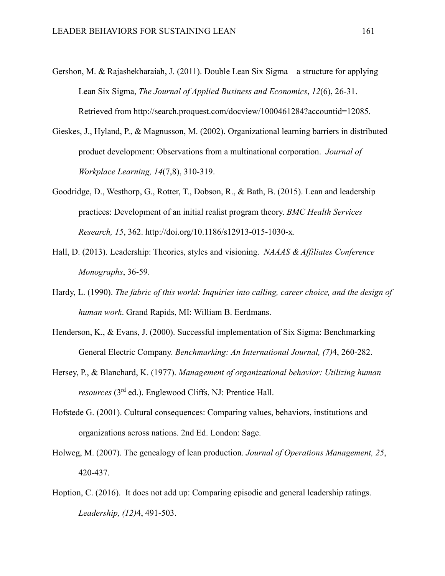- Gershon, M. & Rajashekharaiah, J. (2011). Double Lean Six Sigma a structure for applying Lean Six Sigma, *The Journal of Applied Business and Economics*, *12*(6), 26-31. Retrieved from http://search.proquest.com/docview/1000461284?accountid=12085.
- Gieskes, J., Hyland, P., & Magnusson, M. (2002). Organizational learning barriers in distributed product development: Observations from a multinational corporation. *Journal of Workplace Learning, 14*(7,8), 310-319.
- Goodridge, D., Westhorp, G., Rotter, T., Dobson, R., & Bath, B. (2015). Lean and leadership practices: Development of an initial realist program theory. *BMC Health Services Research, 15*, 362. http://doi.org/10.1186/s12913-015-1030-x.
- Hall, D. (2013). Leadership: Theories, styles and visioning. *NAAAS & Affiliates Conference Monographs*, 36-59.
- Hardy, L. (1990). *The fabric of this world: Inquiries into calling, career choice, and the design of human work*. Grand Rapids, MI: William B. Eerdmans.
- Henderson, K., & Evans, J. (2000). Successful implementation of Six Sigma: Benchmarking General Electric Company. *Benchmarking: An International Journal, (7)*4, 260-282.
- Hersey, P., & Blanchard, K. (1977). *Management of organizational behavior: Utilizing human resources* (3rd ed.). Englewood Cliffs, NJ: Prentice Hall.
- Hofstede G. (2001). Cultural consequences: Comparing values, behaviors, institutions and organizations across nations. 2nd Ed. London: Sage.
- Holweg, M. (2007). The genealogy of lean production. *Journal of Operations Management, 25*, 420-437.
- Hoption, C. (2016). It does not add up: Comparing episodic and general leadership ratings. *Leadership, (12)*4, 491-503.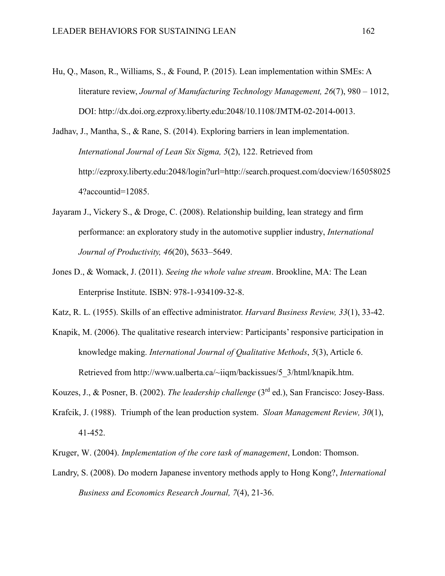- Hu, Q., Mason, R., Williams, S., & Found, P. (2015). Lean implementation within SMEs: A literature review, *Journal of Manufacturing Technology Management, 26*(7), 980 – 1012, DOI: http://dx.doi.org.ezproxy.liberty.edu:2048/10.1108/JMTM-02-2014-0013.
- Jadhav, J., Mantha, S., & Rane, S. (2014). Exploring barriers in lean implementation. *International Journal of Lean Six Sigma, 5*(2), 122. Retrieved from http://ezproxy.liberty.edu:2048/login?url=http://search.proquest.com/docview/165058025 4?accountid=12085.
- Jayaram J., Vickery S., & Droge, C. (2008). Relationship building, lean strategy and firm performance: an exploratory study in the automotive supplier industry, *International Journal of Productivity, 46*(20), 5633–5649.
- Jones D., & Womack, J. (2011). *Seeing the whole value stream*. Brookline, MA: The Lean Enterprise Institute. ISBN: 978-1-934109-32-8.
- Katz, R. L. (1955). Skills of an effective administrator. *Harvard Business Review, 33*(1), 33-42.
- Knapik, M. (2006). The qualitative research interview: Participants' responsive participation in knowledge making. *International Journal of Qualitative Methods*, *5*(3), Article 6. Retrieved from http://www.ualberta.ca/~iiqm/backissues/5\_3/html/knapik.htm.

Kouzes, J., & Posner, B. (2002). *The leadership challenge* (3rd ed.), San Francisco: Josey-Bass.

- Krafcik, J. (1988). Triumph of the lean production system. *Sloan Management Review, 30*(1), 41-452.
- Kruger, W. (2004). *Implementation of the core task of management*, London: Thomson.
- Landry, S. (2008). Do modern Japanese inventory methods apply to Hong Kong?, *International Business and Economics Research Journal, 7*(4), 21-36.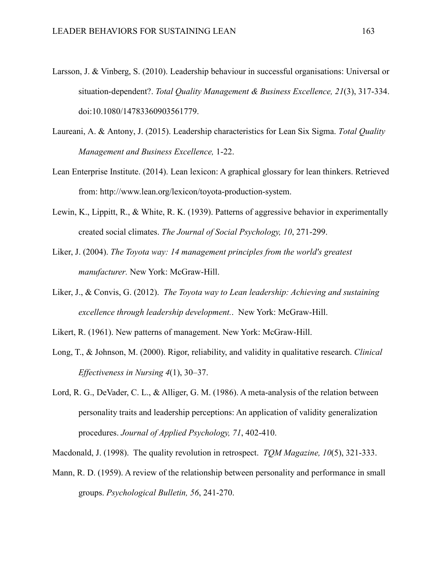- Larsson, J. & Vinberg, S. (2010). Leadership behaviour in successful organisations: Universal or situation-dependent?. *Total Quality Management & Business Excellence, 21*(3), 317-334. doi:10.1080/14783360903561779.
- Laureani, A. & Antony, J. (2015). Leadership characteristics for Lean Six Sigma. *Total Quality Management and Business Excellence,* 1-22.
- Lean Enterprise Institute. (2014). Lean lexicon: A graphical glossary for lean thinkers. Retrieved from: http://www.lean.org/lexicon/toyota-production-system.
- Lewin, K., Lippitt, R., & White, R. K. (1939). Patterns of aggressive behavior in experimentally created social climates. *The Journal of Social Psychology, 10*, 271-299.
- Liker, J. (2004). *The Toyota way: 14 management principles from the world's greatest manufacturer.* New York: McGraw-Hill.
- Liker, J., & Convis, G. (2012). *The Toyota way to Lean leadership: Achieving and sustaining excellence through leadership development.*. New York: McGraw-Hill.
- Likert, R. (1961). New patterns of management. New York: McGraw-Hill.
- Long, T., & Johnson, M. (2000). Rigor, reliability, and validity in qualitative research. *Clinical Effectiveness in Nursing 4*(1), 30–37.
- Lord, R. G., DeVader, C. L., & Alliger, G. M. (1986). A meta-analysis of the relation between personality traits and leadership perceptions: An application of validity generalization procedures. *Journal of Applied Psychology, 71*, 402-410.

Macdonald, J. (1998). The quality revolution in retrospect. *TQM Magazine, 10*(5), 321-333.

Mann, R. D. (1959). A review of the relationship between personality and performance in small groups. *Psychological Bulletin, 56*, 241-270.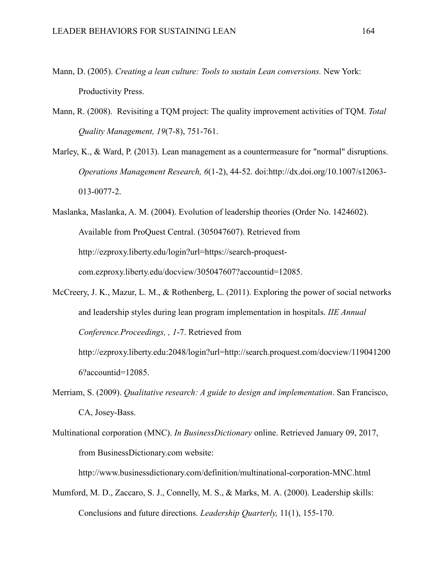- Mann, D. (2005). *Creating a lean culture: Tools to sustain Lean conversions.* New York: Productivity Press.
- Mann, R. (2008). Revisiting a TQM project: The quality improvement activities of TQM. *Total Quality Management, 19*(7-8), 751-761.
- Marley, K., & Ward, P. (2013). Lean management as a countermeasure for "normal" disruptions. *Operations Management Research, 6*(1-2), 44-52. doi:http://dx.doi.org/10.1007/s12063- 013-0077-2.
- Maslanka, Maslanka, A. M. (2004). Evolution of leadership theories (Order No. 1424602). Available from ProQuest Central. (305047607). Retrieved from http://ezproxy.liberty.edu/login?url=https://search-proquestcom.ezproxy.liberty.edu/docview/305047607?accountid=12085.
- McCreery, J. K., Mazur, L. M., & Rothenberg, L. (2011). Exploring the power of social networks and leadership styles during lean program implementation in hospitals. *IIE Annual Conference.Proceedings, , 1*-7. Retrieved from http://ezproxy.liberty.edu:2048/login?url=http://search.proquest.com/docview/119041200

6?accountid=12085.

- Merriam, S. (2009). *Qualitative research: A guide to design and implementation*. San Francisco, CA, Josey-Bass.
- Multinational corporation (MNC). *In BusinessDictionary* online. Retrieved January 09, 2017, from BusinessDictionary.com website:

http://www.businessdictionary.com/definition/multinational-corporation-MNC.html

Mumford, M. D., Zaccaro, S. J., Connelly, M. S., & Marks, M. A. (2000). Leadership skills: Conclusions and future directions. *Leadership Quarterly,* 11(1), 155-170.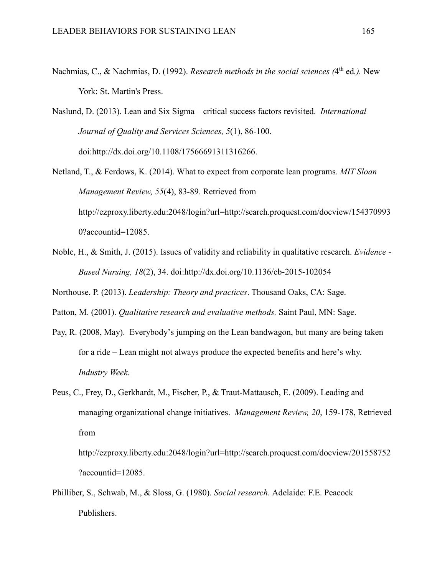Nachmias, C., & Nachmias, D. (1992). *Research methods in the social sciences* (4<sup>th</sup> ed.). New York: St. Martin's Press.

Naslund, D. (2013). Lean and Six Sigma – critical success factors revisited. *International Journal of Quality and Services Sciences, 5*(1), 86-100. doi:http://dx.doi.org/10.1108/17566691311316266.

- Netland, T., & Ferdows, K. (2014). What to expect from corporate lean programs. *MIT Sloan Management Review, 55*(4), 83-89. Retrieved from http://ezproxy.liberty.edu:2048/login?url=http://search.proquest.com/docview/154370993 0?accountid=12085.
- Noble, H., & Smith, J. (2015). Issues of validity and reliability in qualitative research. *Evidence Based Nursing, 18*(2), 34. doi:http://dx.doi.org/10.1136/eb-2015-102054

Northouse, P. (2013). *Leadership: Theory and practices*. Thousand Oaks, CA: Sage.

Patton, M. (2001). *Qualitative research and evaluative methods.* Saint Paul, MN: Sage.

- Pay, R. (2008, May). Everybody's jumping on the Lean bandwagon, but many are being taken for a ride – Lean might not always produce the expected benefits and here's why. *Industry Week*.
- Peus, C., Frey, D., Gerkhardt, M., Fischer, P., & Traut-Mattausch, E. (2009). Leading and managing organizational change initiatives. *Management Review, 20*, 159-178, Retrieved from

http://ezproxy.liberty.edu:2048/login?url=http://search.proquest.com/docview/201558752 ?accountid=12085.

Philliber, S., Schwab, M., & Sloss, G. (1980). *Social research*. Adelaide: F.E. Peacock Publishers.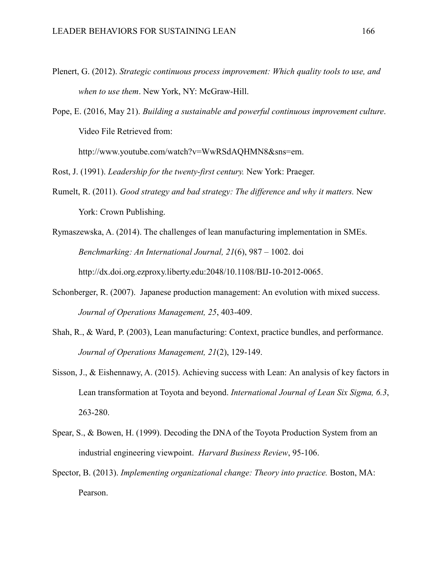- Plenert, G. (2012). *Strategic continuous process improvement: Which quality tools to use, and when to use them*. New York, NY: McGraw-Hill.
- Pope, E. (2016, May 21). *Building a sustainable and powerful continuous improvement culture*. Video File Retrieved from:

http://www.youtube.com/watch?v=WwRSdAQHMN8&sns=em.

Rost, J. (1991). *Leadership for the twenty-first century.* New York: Praeger.

- Rumelt, R. (2011). *Good strategy and bad strategy: The difference and why it matters.* New York: Crown Publishing.
- Rymaszewska, A. (2014). The challenges of lean manufacturing implementation in SMEs. *Benchmarking: An International Journal, 21*(6), 987 – 1002. doi http://dx.doi.org.ezproxy.liberty.edu:2048/10.1108/BIJ-10-2012-0065.
- Schonberger, R. (2007). Japanese production management: An evolution with mixed success. *Journal of Operations Management, 25*, 403-409.
- Shah, R., & Ward, P. (2003), Lean manufacturing: Context, practice bundles, and performance. *Journal of Operations Management, 21*(2), 129-149.
- Sisson, J., & Eishennawy, A. (2015). Achieving success with Lean: An analysis of key factors in Lean transformation at Toyota and beyond. *International Journal of Lean Six Sigma, 6.3*, 263-280.
- Spear, S., & Bowen, H. (1999). Decoding the DNA of the Toyota Production System from an industrial engineering viewpoint. *Harvard Business Review*, 95-106.
- Spector, B. (2013). *Implementing organizational change: Theory into practice.* Boston, MA: Pearson.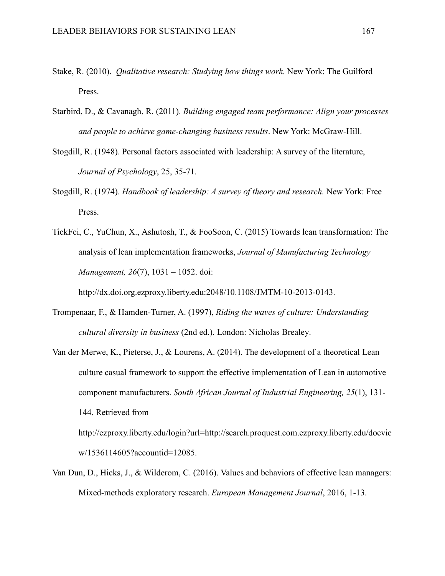- Stake, R. (2010). *Qualitative research: Studying how things work*. New York: The Guilford Press.
- Starbird, D., & Cavanagh, R. (2011). *Building engaged team performance: Align your processes and people to achieve game-changing business results*. New York: McGraw-Hill.
- Stogdill, R. (1948). Personal factors associated with leadership: A survey of the literature, *Journal of Psychology*, 25, 35-71.
- Stogdill, R. (1974). *Handbook of leadership: A survey of theory and research.* New York: Free Press.
- TickFei, C., YuChun, X., Ashutosh, T., & FooSoon, C. (2015) Towards lean transformation: The analysis of lean implementation frameworks, *Journal of Manufacturing Technology Management, 26*(7), 1031 – 1052. doi:

http://dx.doi.org.ezproxy.liberty.edu:2048/10.1108/JMTM-10-2013-0143.

- Trompenaar, F., & Hamden-Turner, A. (1997), *Riding the waves of culture: Understanding cultural diversity in business* (2nd ed.). London: Nicholas Brealey.
- Van der Merwe, K., Pieterse, J., & Lourens, A. (2014). The development of a theoretical Lean culture casual framework to support the effective implementation of Lean in automotive component manufacturers. *South African Journal of Industrial Engineering, 25*(1), 131- 144. Retrieved from http://ezproxy.liberty.edu/login?url=http://search.proquest.com.ezproxy.liberty.edu/docvie w/1536114605?accountid=12085.
- Van Dun, D., Hicks, J., & Wilderom, C. (2016). Values and behaviors of effective lean managers: Mixed-methods exploratory research. *European Management Journal*, 2016, 1-13.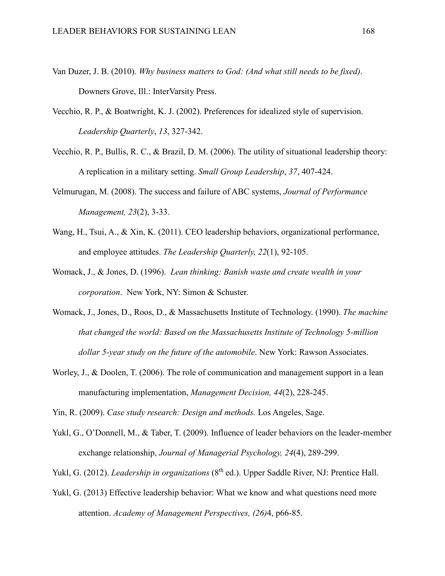- Van Duzer, J. B. (2010). *Why business matters to God: (And what still needs to be fixed)*. Downers Grove, Ill.: InterVarsity Press.
- Vecchio, R. P., & Boatwright, K. J. (2002). Preferences for idealized style of supervision. *Leadership Quarterly*, *13*, 327-342.
- Vecchio, R. P., Bullis, R. C., & Brazil, D. M. (2006). The utility of situational leadership theory: A replication in a military setting. *Small Group Leadership*, *37*, 407-424.
- Velmurugan, M. (2008). The success and failure of ABC systems, *Journal of Performance Management, 23*(2), 3-33.
- Wang, H., Tsui, A., & Xin, K. (2011). CEO leadership behaviors, organizational performance, and employee attitudes. *The Leadership Quarterly, 22*(1), 92-105.
- Womack, J., & Jones, D. (1996). *Lean thinking: Banish waste and create wealth in your corporation*. New York, NY: Simon & Schuster.
- Womack, J., Jones, D., Roos, D., & Massachusetts Institute of Technology. (1990). *The machine that changed the world: Based on the Massachusetts Institute of Technology 5-million dollar 5-year study on the future of the automobile*. New York: Rawson Associates.
- Worley, J., & Doolen, T. (2006). The role of communication and management support in a lean manufacturing implementation, *Management Decision, 44*(2), 228-245.

Yin, R. (2009). *Case study research: Design and methods.* Los Angeles, Sage.

- Yukl, G., O'Donnell, M., & Taber, T. (2009). Influence of leader behaviors on the leader-member exchange relationship, *Journal of Managerial Psychology, 24*(4), 289-299.
- Yukl, G. (2012). *Leadership in organizations* (8<sup>th</sup> ed.). Upper Saddle River, NJ: Prentice Hall.
- Yukl, G. (2013) Effective leadership behavior: What we know and what questions need more attention. *Academy of Management Perspectives, (26)*4, p66-85.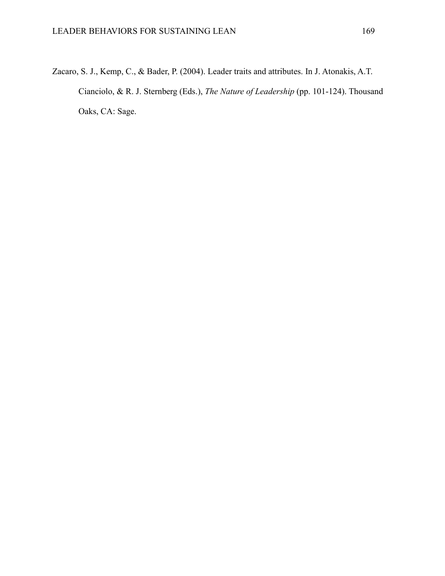Zacaro, S. J., Kemp, C., & Bader, P. (2004). Leader traits and attributes. In J. Atonakis, A.T. Cianciolo, & R. J. Sternberg (Eds.), *The Nature of Leadership* (pp. 101-124). Thousand Oaks, CA: Sage.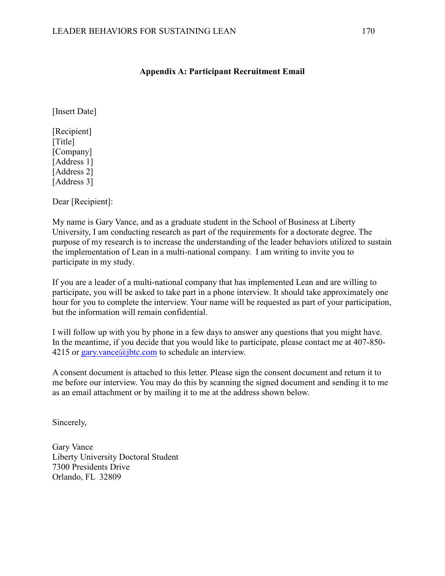# **Appendix A: Participant Recruitment Email**

[Insert Date]

[Recipient] [Title] [Company] [Address 1] [Address 2] [Address 3]

Dear [Recipient]:

My name is Gary Vance, and as a graduate student in the School of Business at Liberty University, I am conducting research as part of the requirements for a doctorate degree. The purpose of my research is to increase the understanding of the leader behaviors utilized to sustain the implementation of Lean in a multi-national company. I am writing to invite you to participate in my study.

If you are a leader of a multi-national company that has implemented Lean and are willing to participate, you will be asked to take part in a phone interview. It should take approximately one hour for you to complete the interview. Your name will be requested as part of your participation, but the information will remain confidential.

I will follow up with you by phone in a few days to answer any questions that you might have. In the meantime, if you decide that you would like to participate, please contact me at 407-850- 4215 or gary.vance@jbtc.com to schedule an interview.

A consent document is attached to this letter. Please sign the consent document and return it to me before our interview. You may do this by scanning the signed document and sending it to me as an email attachment or by mailing it to me at the address shown below.

Sincerely,

Gary Vance Liberty University Doctoral Student 7300 Presidents Drive Orlando, FL 32809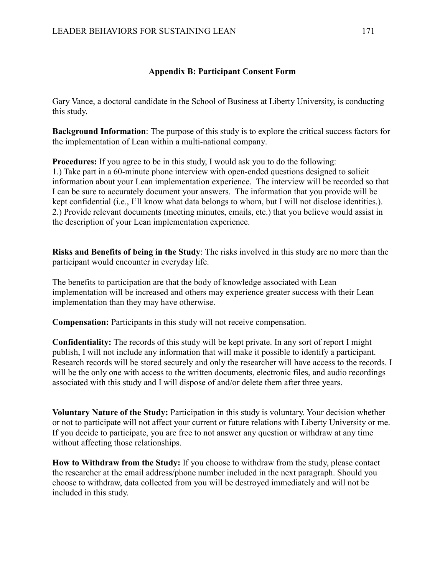# **Appendix B: Participant Consent Form**

Gary Vance, a doctoral candidate in the School of Business at Liberty University, is conducting this study.

**Background Information**: The purpose of this study is to explore the critical success factors for the implementation of Lean within a multi-national company.

**Procedures:** If you agree to be in this study, I would ask you to do the following: 1.) Take part in a 60-minute phone interview with open-ended questions designed to solicit information about your Lean implementation experience. The interview will be recorded so that I can be sure to accurately document your answers. The information that you provide will be kept confidential (i.e., I'll know what data belongs to whom, but I will not disclose identities.). 2.) Provide relevant documents (meeting minutes, emails, etc.) that you believe would assist in the description of your Lean implementation experience.

**Risks and Benefits of being in the Study**: The risks involved in this study are no more than the participant would encounter in everyday life.

The benefits to participation are that the body of knowledge associated with Lean implementation will be increased and others may experience greater success with their Lean implementation than they may have otherwise.

**Compensation:** Participants in this study will not receive compensation.

**Confidentiality:** The records of this study will be kept private. In any sort of report I might publish, I will not include any information that will make it possible to identify a participant. Research records will be stored securely and only the researcher will have access to the records. I will be the only one with access to the written documents, electronic files, and audio recordings associated with this study and I will dispose of and/or delete them after three years.

**Voluntary Nature of the Study:** Participation in this study is voluntary. Your decision whether or not to participate will not affect your current or future relations with Liberty University or me. If you decide to participate, you are free to not answer any question or withdraw at any time without affecting those relationships.

**How to Withdraw from the Study:** If you choose to withdraw from the study, please contact the researcher at the email address/phone number included in the next paragraph. Should you choose to withdraw, data collected from you will be destroyed immediately and will not be included in this study.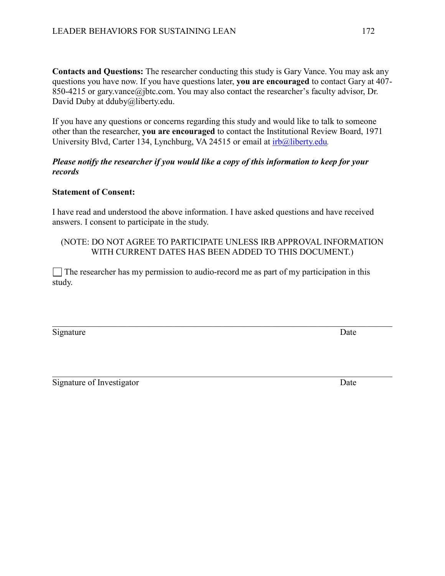**Contacts and Questions:** The researcher conducting this study is Gary Vance. You may ask any questions you have now. If you have questions later, **you are encouraged** to contact Gary at 407- 850-4215 or gary.vance@jbtc.com. You may also contact the researcher's faculty advisor, Dr. David Duby at dduby@liberty.edu.

If you have any questions or concerns regarding this study and would like to talk to someone other than the researcher, **you are encouraged** to contact the Institutional Review Board, 1971 University Blvd, Carter 134, Lynchburg, VA 24515 or email at irb@liberty.edu*.*

## *Please notify the researcher if you would like a copy of this information to keep for your records*

## **Statement of Consent:**

I have read and understood the above information. I have asked questions and have received answers. I consent to participate in the study.

## (NOTE: DO NOT AGREE TO PARTICIPATE UNLESS IRB APPROVAL INFORMATION WITH CURRENT DATES HAS BEEN ADDED TO THIS DOCUMENT.)

 $\_$  , and the contribution of the contribution of  $\mathcal{L}_1$  , and  $\mathcal{L}_2$  , and  $\mathcal{L}_3$  , and  $\mathcal{L}_4$  , and  $\mathcal{L}_5$ 

 $\_$  , and the contribution of the contribution of  $\mathcal{L}_1$  , and  $\mathcal{L}_2$  , and  $\mathcal{L}_3$  , and  $\mathcal{L}_4$  , and  $\mathcal{L}_5$ 

 $\Box$  The researcher has my permission to audio-record me as part of my participation in this study.

Signature Date

| Signature of Investigator | Date |
|---------------------------|------|
|                           |      |